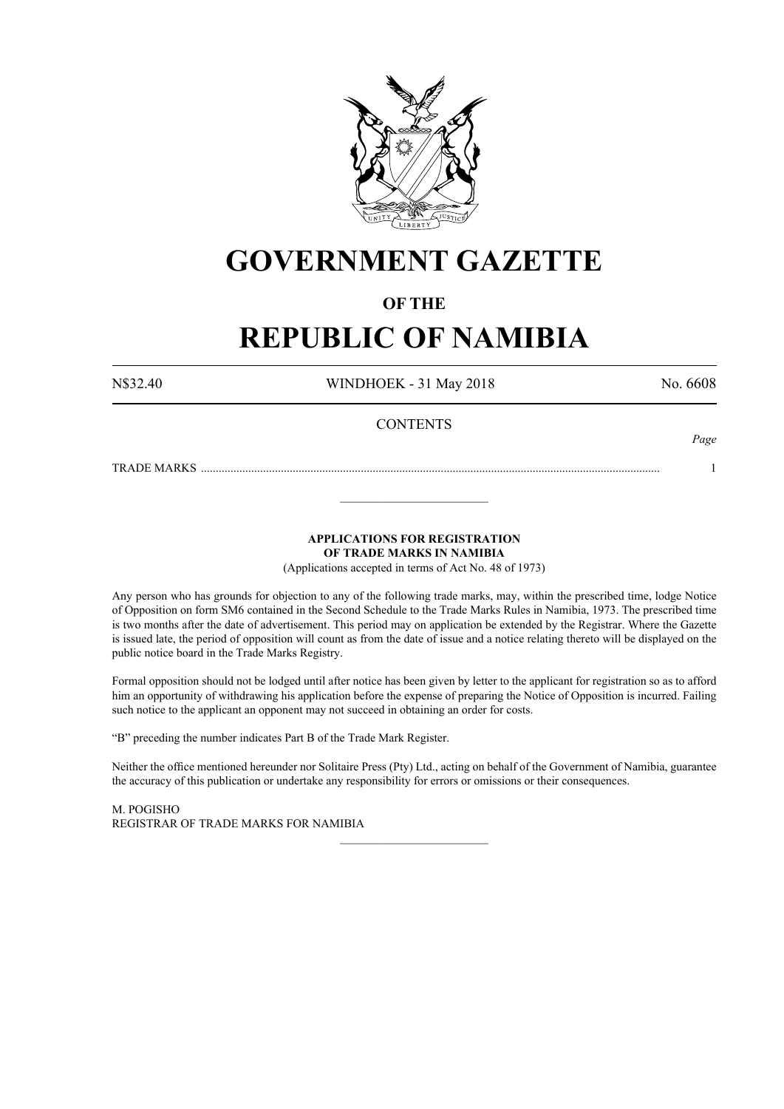

### **GOVERNMENT GAZETTE**

### **OF THE**

### **REPUBLIC OF NAMIBIA**

N\$32.40 WINDHOEK - 31 May 2018 No. 6608

*Page*

#### **CONTENTS**

TRADE MARKS ........................................................................................................................................................... 1

**APPLICATIONS FOR REGISTRATION OF TRADE MARKS IN NAMIBIA**

\_\_\_\_\_\_\_\_\_\_\_\_\_\_\_\_\_\_\_\_\_\_\_\_\_

(Applications accepted in terms of Act No. 48 of 1973)

Any person who has grounds for objection to any of the following trade marks, may, within the prescribed time, lodge Notice of Opposition on form SM6 contained in the Second Schedule to the Trade Marks Rules in Namibia, 1973. The prescribed time is two months after the date of advertisement. This period may on application be extended by the Registrar. Where the Gazette is issued late, the period of opposition will count as from the date of issue and a notice relating thereto will be displayed on the public notice board in the Trade Marks Registry.

Formal opposition should not be lodged until after notice has been given by letter to the applicant for registration so as to afford him an opportunity of withdrawing his application before the expense of preparing the Notice of Opposition is incurred. Failing such notice to the applicant an opponent may not succeed in obtaining an order for costs.

"B" preceding the number indicates Part B of the Trade Mark Register.

Neither the office mentioned hereunder nor Solitaire Press (Pty) Ltd., acting on behalf of the Government of Namibia, guarantee the accuracy of this publication or undertake any responsibility for errors or omissions or their consequences.

\_\_\_\_\_\_\_\_\_\_\_\_\_\_\_\_\_\_\_\_\_\_\_\_\_

M. PogIsho REGISTRAR OF TRADE MARKS FOR NAMIBIA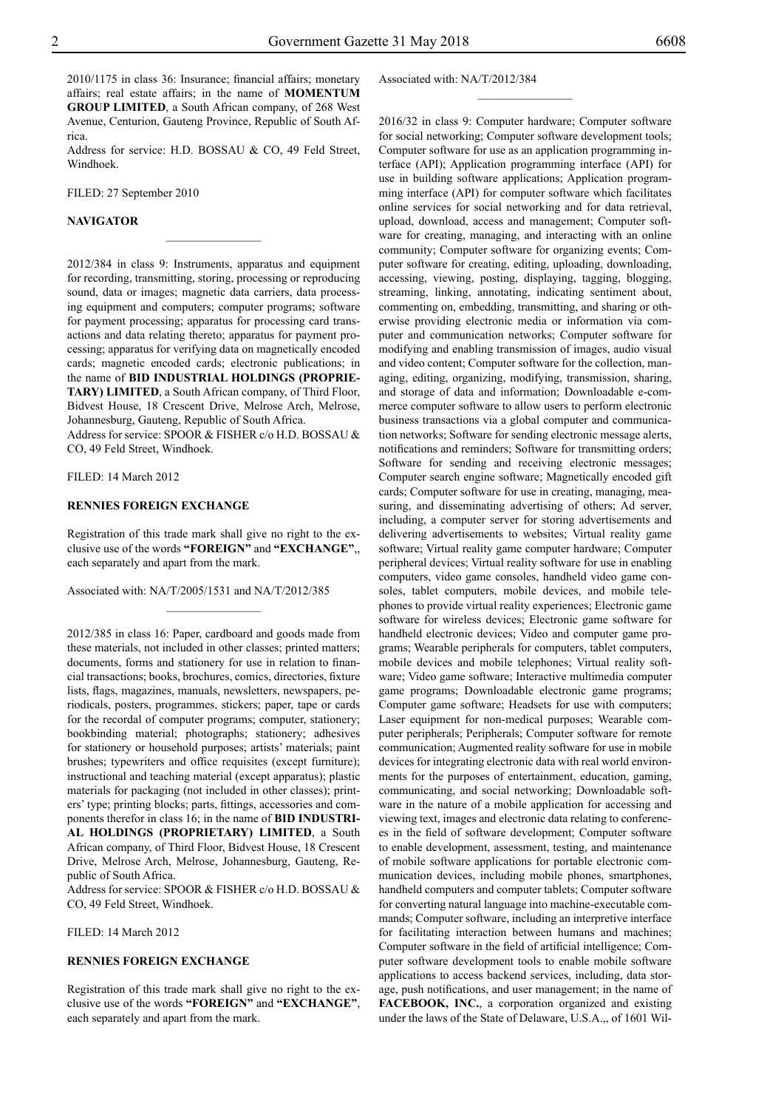2010/1175 in class 36: Insurance; financial affairs; monetary affairs; real estate affairs; in the name of **MOMENTUM GROUP LIMITED**, a South African company, of 268 West Avenue, Centurion, Gauteng Province, Republic of South Africa.

Address for service: H.D. BOSSAU & CO, 49 Feld Street, Windhoek.

 $\frac{1}{2}$ 

Filed: 27 September 2010

#### **NAVIGATOR**

2012/384 in class 9: Instruments, apparatus and equipment for recording, transmitting, storing, processing or reproducing sound, data or images; magnetic data carriers, data processing equipment and computers; computer programs; software for payment processing; apparatus for processing card transactions and data relating thereto; apparatus for payment processing; apparatus for verifying data on magnetically encoded cards; magnetic encoded cards; electronic publications; in the name of **BID INDUSTRIAL HOLDINGS (PROPRIE-TARY) LIMITED**, a South African company, of Third Floor, Bidvest House, 18 Crescent Drive, Melrose Arch, Melrose, Johannesburg, Gauteng, Republic of South Africa.

Address for service: SPOOR & FISHER c/o H.D. BOSSAU & Co, 49 Feld Street, Windhoek.

Filed: 14 March 2012

#### **RENNIES FOREIGN EXCHANGE**

Registration of this trade mark shall give no right to the exclusive use of the words **"FOREIGN"** and **"EXCHANGE"**,, each separately and apart from the mark.

 $\frac{1}{2}$ 

Associated with: NA/T/2005/1531 and NA/T/2012/385

2012/385 in class 16: Paper, cardboard and goods made from these materials, not included in other classes; printed matters; documents, forms and stationery for use in relation to financial transactions; books, brochures, comics, directories, fixture lists, flags, magazines, manuals, newsletters, newspapers, periodicals, posters, programmes, stickers; paper, tape or cards for the recordal of computer programs; computer, stationery; bookbinding material; photographs; stationery; adhesives for stationery or household purposes; artists' materials; paint brushes; typewriters and office requisites (except furniture); instructional and teaching material (except apparatus); plastic materials for packaging (not included in other classes); printers' type; printing blocks; parts, fittings, accessories and components therefor in class 16; in the name of **BID INDUSTRI-AL HOLDINGS (PROPRIETARY) LIMITED**, a South African company, of Third Floor, Bidvest House, 18 Crescent Drive, Melrose Arch, Melrose, Johannesburg, Gauteng, Republic of South Africa.

Address for service: SPOOR & FISHER c/o H.D. BOSSAU & Co, 49 Feld Street, Windhoek.

Filed: 14 March 2012

#### **RENNIES FOREIGN EXCHANGE**

Registration of this trade mark shall give no right to the exclusive use of the words **"FOREIGN"** and **"EXCHANGE"**, each separately and apart from the mark.

Associated with: NA/T/2012/384

 $\frac{1}{2}$ 

2016/32 in class 9: Computer hardware; Computer software for social networking; Computer software development tools; Computer software for use as an application programming interface (API); Application programming interface (API) for use in building software applications; Application programming interface (API) for computer software which facilitates online services for social networking and for data retrieval, upload, download, access and management; Computer software for creating, managing, and interacting with an online community; Computer software for organizing events; Computer software for creating, editing, uploading, downloading, accessing, viewing, posting, displaying, tagging, blogging, streaming, linking, annotating, indicating sentiment about, commenting on, embedding, transmitting, and sharing or otherwise providing electronic media or information via computer and communication networks; Computer software for modifying and enabling transmission of images, audio visual and video content; Computer software for the collection, managing, editing, organizing, modifying, transmission, sharing, and storage of data and information; Downloadable e-commerce computer software to allow users to perform electronic business transactions via a global computer and communication networks; Software for sending electronic message alerts, notifications and reminders; Software for transmitting orders; Software for sending and receiving electronic messages; Computer search engine software; Magnetically encoded gift cards; Computer software for use in creating, managing, measuring, and disseminating advertising of others; Ad server, including, a computer server for storing advertisements and delivering advertisements to websites; Virtual reality game software; Virtual reality game computer hardware; Computer peripheral devices; Virtual reality software for use in enabling computers, video game consoles, handheld video game consoles, tablet computers, mobile devices, and mobile telephones to provide virtual reality experiences; Electronic game software for wireless devices; Electronic game software for handheld electronic devices; Video and computer game programs; Wearable peripherals for computers, tablet computers, mobile devices and mobile telephones; Virtual reality software; Video game software; Interactive multimedia computer game programs; Downloadable electronic game programs; Computer game software; Headsets for use with computers; Laser equipment for non-medical purposes; Wearable computer peripherals; Peripherals; Computer software for remote communication; Augmented reality software for use in mobile devices for integrating electronic data with real world environments for the purposes of entertainment, education, gaming, communicating, and social networking; Downloadable software in the nature of a mobile application for accessing and viewing text, images and electronic data relating to conferences in the field of software development; Computer software to enable development, assessment, testing, and maintenance of mobile software applications for portable electronic communication devices, including mobile phones, smartphones, handheld computers and computer tablets; Computer software for converting natural language into machine-executable commands; Computer software, including an interpretive interface for facilitating interaction between humans and machines; Computer software in the field of artificial intelligence; Computer software development tools to enable mobile software applications to access backend services, including, data storage, push notifications, and user management; in the name of **FACEBOOK, INC.**, a corporation organized and existing under the laws of the State of Delaware, U.S.A.,, of 1601 Wil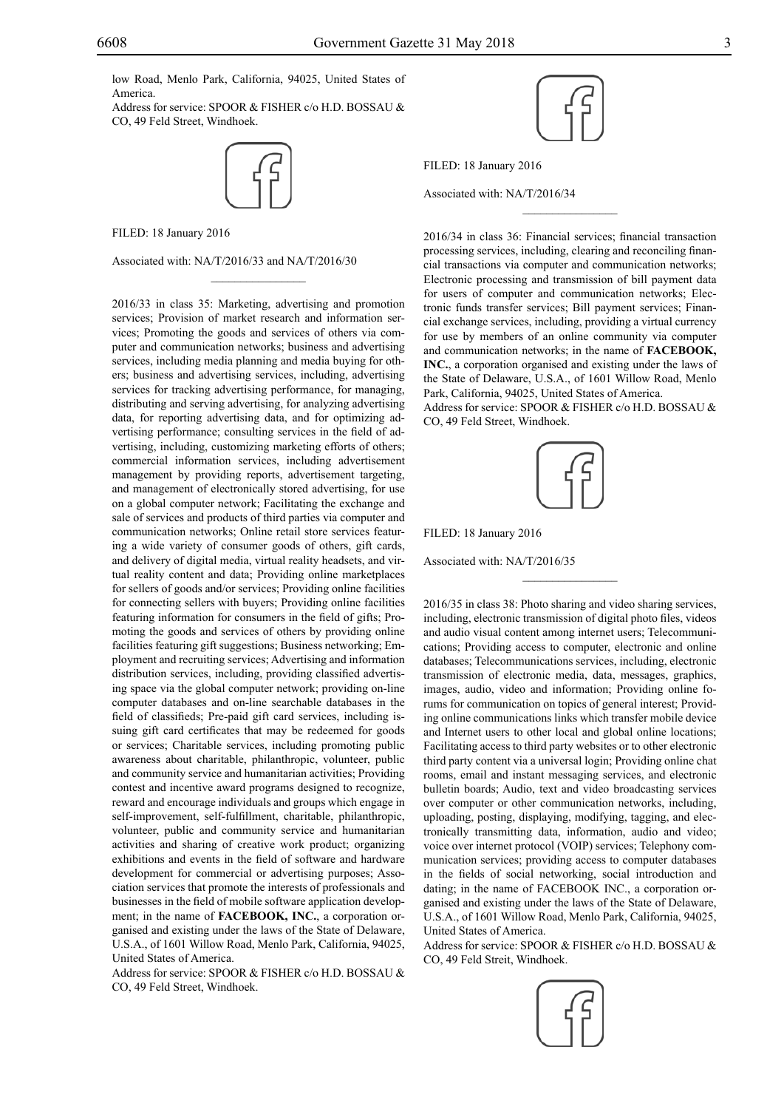low Road, Menlo Park, California, 94025, United States of America.

Address for service: SPOOR & FISHER c/o H.D. BOSSAU & CO, 49 Feld Street, Windhoek.



 $\overline{\phantom{a}}$  , where  $\overline{\phantom{a}}$ 

FILED: 18 January 2016

Associated with: NA/T/2016/33 and NA/T/2016/30

2016/33 in class 35: Marketing, advertising and promotion services; Provision of market research and information services; Promoting the goods and services of others via computer and communication networks; business and advertising services, including media planning and media buying for others; business and advertising services, including, advertising services for tracking advertising performance, for managing, distributing and serving advertising, for analyzing advertising data, for reporting advertising data, and for optimizing advertising performance; consulting services in the field of advertising, including, customizing marketing efforts of others; commercial information services, including advertisement management by providing reports, advertisement targeting, and management of electronically stored advertising, for use on a global computer network; Facilitating the exchange and sale of services and products of third parties via computer and communication networks; Online retail store services featuring a wide variety of consumer goods of others, gift cards, and delivery of digital media, virtual reality headsets, and virtual reality content and data; Providing online marketplaces for sellers of goods and/or services; Providing online facilities for connecting sellers with buyers; Providing online facilities featuring information for consumers in the field of gifts; Promoting the goods and services of others by providing online facilities featuring gift suggestions; Business networking; Employment and recruiting services; Advertising and information distribution services, including, providing classified advertising space via the global computer network; providing on-line computer databases and on-line searchable databases in the field of classifieds; Pre-paid gift card services, including issuing gift card certificates that may be redeemed for goods or services; Charitable services, including promoting public awareness about charitable, philanthropic, volunteer, public and community service and humanitarian activities; Providing contest and incentive award programs designed to recognize, reward and encourage individuals and groups which engage in self-improvement, self-fulfillment, charitable, philanthropic, volunteer, public and community service and humanitarian activities and sharing of creative work product; organizing exhibitions and events in the field of software and hardware development for commercial or advertising purposes; Association services that promote the interests of professionals and businesses in the field of mobile software application development; in the name of **FACEBOOK, INC.**, a corporation organised and existing under the laws of the State of Delaware, U.S.A., of 1601 Willow Road, Menlo Park, California, 94025, United States of America.

Address for service: SPOOR & FISHER c/o H.D. BOSSAU & Co, 49 Feld Street, Windhoek.



 $\frac{1}{2}$ 

Filed: 18 January 2016

Associated with: NA/T/2016/34

2016/34 in class 36: Financial services; financial transaction processing services, including, clearing and reconciling financial transactions via computer and communication networks; Electronic processing and transmission of bill payment data for users of computer and communication networks; Electronic funds transfer services; Bill payment services; Financial exchange services, including, providing a virtual currency for use by members of an online community via computer and communication networks; in the name of **FACEBOOK, INC.**, a corporation organised and existing under the laws of the State of Delaware, U.S.A., of 1601 Willow Road, Menlo Park, California, 94025, United States of America. Address for service: SPOOR & FISHER c/o H.D. BOSSAU & Co, 49 Feld Street, Windhoek.



 $\frac{1}{2}$ 

FILED: 18 January 2016

Associated with: NA/T/2016/35

2016/35 in class 38: Photo sharing and video sharing services, including, electronic transmission of digital photo files, videos and audio visual content among internet users; Telecommunications; Providing access to computer, electronic and online databases; Telecommunications services, including, electronic transmission of electronic media, data, messages, graphics, images, audio, video and information; Providing online forums for communication on topics of general interest; Providing online communications links which transfer mobile device and Internet users to other local and global online locations; Facilitating access to third party websites or to other electronic third party content via a universal login; Providing online chat rooms, email and instant messaging services, and electronic bulletin boards; Audio, text and video broadcasting services over computer or other communication networks, including, uploading, posting, displaying, modifying, tagging, and electronically transmitting data, information, audio and video; voice over internet protocol (VOIP) services; Telephony communication services; providing access to computer databases in the fields of social networking, social introduction and dating; in the name of FACEBOOK INC., a corporation organised and existing under the laws of the State of Delaware, U.S.A., of 1601 Willow Road, Menlo Park, California, 94025, United States of America.

Address for service: SPOOR & FISHER c/o H.D. BOSSAU & Co, 49 Feld Streit, Windhoek.

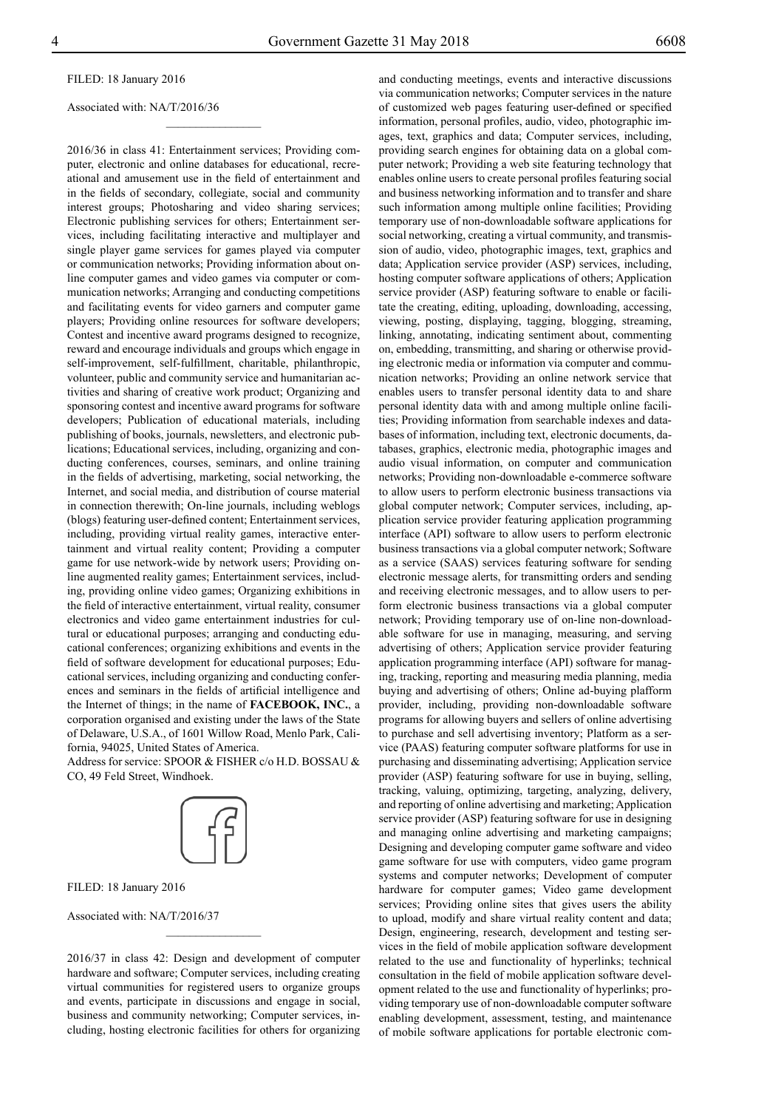Filed: 18 January 2016

Associated with: NA/T/2016/36

2016/36 in class 41: Entertainment services; Providing computer, electronic and online databases for educational, recreational and amusement use in the field of entertainment and in the fields of secondary, collegiate, social and community interest groups; Photosharing and video sharing services; Electronic publishing services for others; Entertainment services, including facilitating interactive and multiplayer and single player game services for games played via computer or communication networks; Providing information about online computer games and video games via computer or communication networks; Arranging and conducting competitions and facilitating events for video garners and computer game players; Providing online resources for software developers; Contest and incentive award programs designed to recognize, reward and encourage individuals and groups which engage in self-improvement, self-fulfillment, charitable, philanthropic, volunteer, public and community service and humanitarian activities and sharing of creative work product; Organizing and sponsoring contest and incentive award programs for software developers; Publication of educational materials, including publishing of books, journals, newsletters, and electronic publications; Educational services, including, organizing and conducting conferences, courses, seminars, and online training in the fields of advertising, marketing, social networking, the Internet, and social media, and distribution of course material in connection therewith; On-line journals, including weblogs (blogs) featuring user-defined content; Entertainment services, including, providing virtual reality games, interactive entertainment and virtual reality content; Providing a computer game for use network-wide by network users; Providing online augmented reality games; Entertainment services, including, providing online video games; Organizing exhibitions in the field of interactive entertainment, virtual reality, consumer electronics and video game entertainment industries for cultural or educational purposes; arranging and conducting educational conferences; organizing exhibitions and events in the field of software development for educational purposes; Educational services, including organizing and conducting conferences and seminars in the fields of artificial intelligence and the Internet of things; in the name of **FACEBOOK, INC.**, a corporation organised and existing under the laws of the State of Delaware, U.S.A., of 1601 Willow Road, Menlo Park, California, 94025, United States of America.

 $\overline{\phantom{a}}$  , where  $\overline{\phantom{a}}$ 

Address for service: SPOOR & FISHER c/o H.D. BOSSAU & Co, 49 Feld Street, Windhoek.



Filed: 18 January 2016

Associated with: NA/T/2016/37

2016/37 in class 42: Design and development of computer hardware and software; Computer services, including creating virtual communities for registered users to organize groups and events, participate in discussions and engage in social, business and community networking; Computer services, including, hosting electronic facilities for others for organizing

 $\frac{1}{2}$ 

and conducting meetings, events and interactive discussions via communication networks; Computer services in the nature of customized web pages featuring user-defined or specified information, personal profiles, audio, video, photographic images, text, graphics and data; Computer services, including, providing search engines for obtaining data on a global computer network; Providing a web site featuring technology that enables online users to create personal profiles featuring social and business networking information and to transfer and share such information among multiple online facilities; Providing temporary use of non-downloadable software applications for social networking, creating a virtual community, and transmission of audio, video, photographic images, text, graphics and data; Application service provider (ASP) services, including, hosting computer software applications of others; Application service provider (ASP) featuring software to enable or facilitate the creating, editing, uploading, downloading, accessing, viewing, posting, displaying, tagging, blogging, streaming, linking, annotating, indicating sentiment about, commenting on, embedding, transmitting, and sharing or otherwise providing electronic media or information via computer and communication networks; Providing an online network service that enables users to transfer personal identity data to and share personal identity data with and among multiple online facilities; Providing information from searchable indexes and databases of information, including text, electronic documents, databases, graphics, electronic media, photographic images and audio visual information, on computer and communication networks; Providing non-downloadable e-commerce software to allow users to perform electronic business transactions via global computer network; Computer services, including, application service provider featuring application programming interface (API) software to allow users to perform electronic business transactions via a global computer network; Software as a service (SAAS) services featuring software for sending electronic message alerts, for transmitting orders and sending and receiving electronic messages, and to allow users to perform electronic business transactions via a global computer network; Providing temporary use of on-line non-downloadable software for use in managing, measuring, and serving advertising of others; Application service provider featuring application programming interface (API) software for managing, tracking, reporting and measuring media planning, media buying and advertising of others; Online ad-buying plafform provider, including, providing non-downloadable software programs for allowing buyers and sellers of online advertising to purchase and sell advertising inventory; Platform as a service (PAAS) featuring computer software platforms for use in purchasing and disseminating advertising; Application service provider (ASP) featuring software for use in buying, selling, tracking, valuing, optimizing, targeting, analyzing, delivery, and reporting of online advertising and marketing; Application service provider (ASP) featuring software for use in designing and managing online advertising and marketing campaigns; Designing and developing computer game software and video game software for use with computers, video game program systems and computer networks; Development of computer hardware for computer games; Video game development services; Providing online sites that gives users the ability to upload, modify and share virtual reality content and data; Design, engineering, research, development and testing services in the field of mobile application software development related to the use and functionality of hyperlinks; technical consultation in the field of mobile application software development related to the use and functionality of hyperlinks; providing temporary use of non-downloadable computer software enabling development, assessment, testing, and maintenance of mobile software applications for portable electronic com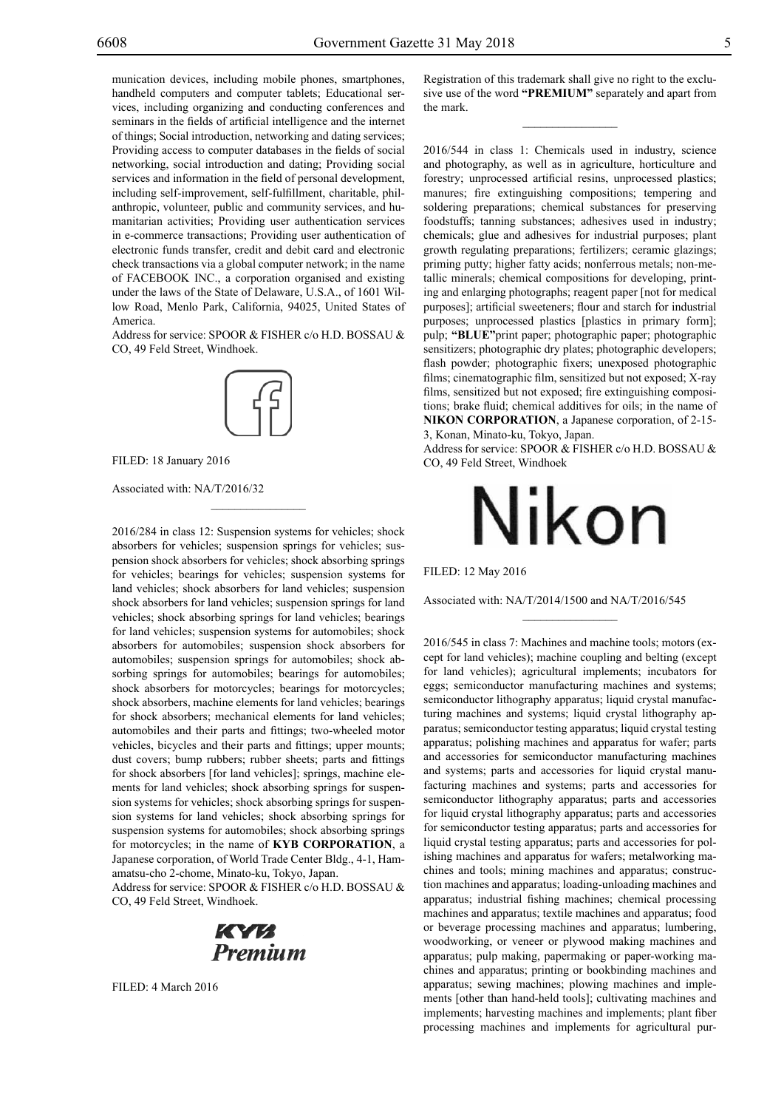munication devices, including mobile phones, smartphones, handheld computers and computer tablets; Educational services, including organizing and conducting conferences and seminars in the fields of artificial intelligence and the internet of things; Social introduction, networking and dating services; Providing access to computer databases in the fields of social networking, social introduction and dating; Providing social services and information in the field of personal development, including self-improvement, self-fulfillment, charitable, philanthropic, volunteer, public and community services, and humanitarian activities; Providing user authentication services in e-commerce transactions; Providing user authentication of electronic funds transfer, credit and debit card and electronic check transactions via a global computer network; in the name of FACEBOOK INC., a corporation organised and existing under the laws of the State of Delaware, U.S.A., of 1601 Willow Road, Menlo Park, California, 94025, United States of America.

Address for service: SPOOR & FISHER c/o H.D. BOSSAU & Co, 49 Feld Street, Windhoek.



 $\overline{\phantom{a}}$  , where  $\overline{\phantom{a}}$ 

Filed: 18 January 2016

Associated with: NA/T/2016/32

2016/284 in class 12: Suspension systems for vehicles; shock absorbers for vehicles; suspension springs for vehicles; suspension shock absorbers for vehicles; shock absorbing springs for vehicles; bearings for vehicles; suspension systems for land vehicles; shock absorbers for land vehicles; suspension shock absorbers for land vehicles; suspension springs for land vehicles; shock absorbing springs for land vehicles; bearings for land vehicles; suspension systems for automobiles; shock absorbers for automobiles; suspension shock absorbers for automobiles; suspension springs for automobiles; shock absorbing springs for automobiles; bearings for automobiles; shock absorbers for motorcycles; bearings for motorcycles; shock absorbers, machine elements for land vehicles; bearings for shock absorbers; mechanical elements for land vehicles; automobiles and their parts and fittings; two-wheeled motor vehicles, bicycles and their parts and fittings; upper mounts; dust covers; bump rubbers; rubber sheets; parts and fittings for shock absorbers [for land vehicles]; springs, machine elements for land vehicles; shock absorbing springs for suspension systems for vehicles; shock absorbing springs for suspension systems for land vehicles; shock absorbing springs for suspension systems for automobiles; shock absorbing springs for motorcycles; in the name of **KYB CORPORATION**, a Japanese corporation, of World Trade Center Bldg., 4-1, Hamamatsu-cho 2-chome, Minato-ku, Tokyo, Japan.

Address for service: SPOOR & FISHER c/o H.D. BOSSAU & Co, 49 Feld Street, Windhoek.



FILED: 4 March 2016

Registration of this trademark shall give no right to the exclusive use of the word **"PREMIUM"** separately and apart from the mark.

 $\overline{\phantom{a}}$  , we can also the set of  $\overline{\phantom{a}}$ 

2016/544 in class 1: Chemicals used in industry, science and photography, as well as in agriculture, horticulture and forestry; unprocessed artificial resins, unprocessed plastics; manures; fire extinguishing compositions; tempering and soldering preparations; chemical substances for preserving foodstuffs; tanning substances; adhesives used in industry; chemicals; glue and adhesives for industrial purposes; plant growth regulating preparations; fertilizers; ceramic glazings; priming putty; higher fatty acids; nonferrous metals; non-metallic minerals; chemical compositions for developing, printing and enlarging photographs; reagent paper [not for medical purposes]; artificial sweeteners; flour and starch for industrial purposes; unprocessed plastics [plastics in primary form]; pulp; **"Blue"**print paper; photographic paper; photographic sensitizers; photographic dry plates; photographic developers; flash powder; photographic fixers; unexposed photographic films; cinematographic film, sensitized but not exposed; X-ray films, sensitized but not exposed; fire extinguishing compositions; brake fluid; chemical additives for oils; in the name of **NIKON CORPORATION**, a Japanese corporation, of 2-15- 3, Konan, Minato-ku, Tokyo, Japan.

Address for service: SPOOR & FISHER c/o H.D. BOSSAU & Co, 49 Feld Street, Windhoek



Filed: 12 May 2016

Associated with: NA/T/2014/1500 and NA/T/2016/545

 $\frac{1}{2}$ 

2016/545 in class 7: Machines and machine tools; motors (except for land vehicles); machine coupling and belting (except for land vehicles); agricultural implements; incubators for eggs; semiconductor manufacturing machines and systems; semiconductor lithography apparatus; liquid crystal manufacturing machines and systems; liquid crystal lithography apparatus; semiconductor testing apparatus; liquid crystal testing apparatus; polishing machines and apparatus for wafer; parts and accessories for semiconductor manufacturing machines and systems; parts and accessories for liquid crystal manufacturing machines and systems; parts and accessories for semiconductor lithography apparatus; parts and accessories for liquid crystal lithography apparatus; parts and accessories for semiconductor testing apparatus; parts and accessories for liquid crystal testing apparatus; parts and accessories for polishing machines and apparatus for wafers; metalworking machines and tools; mining machines and apparatus; construction machines and apparatus; loading-unloading machines and apparatus; industrial fishing machines; chemical processing machines and apparatus; textile machines and apparatus; food or beverage processing machines and apparatus; lumbering, woodworking, or veneer or plywood making machines and apparatus; pulp making, papermaking or paper-working machines and apparatus; printing or bookbinding machines and apparatus; sewing machines; plowing machines and implements [other than hand-held tools]; cultivating machines and implements; harvesting machines and implements; plant fiber processing machines and implements for agricultural pur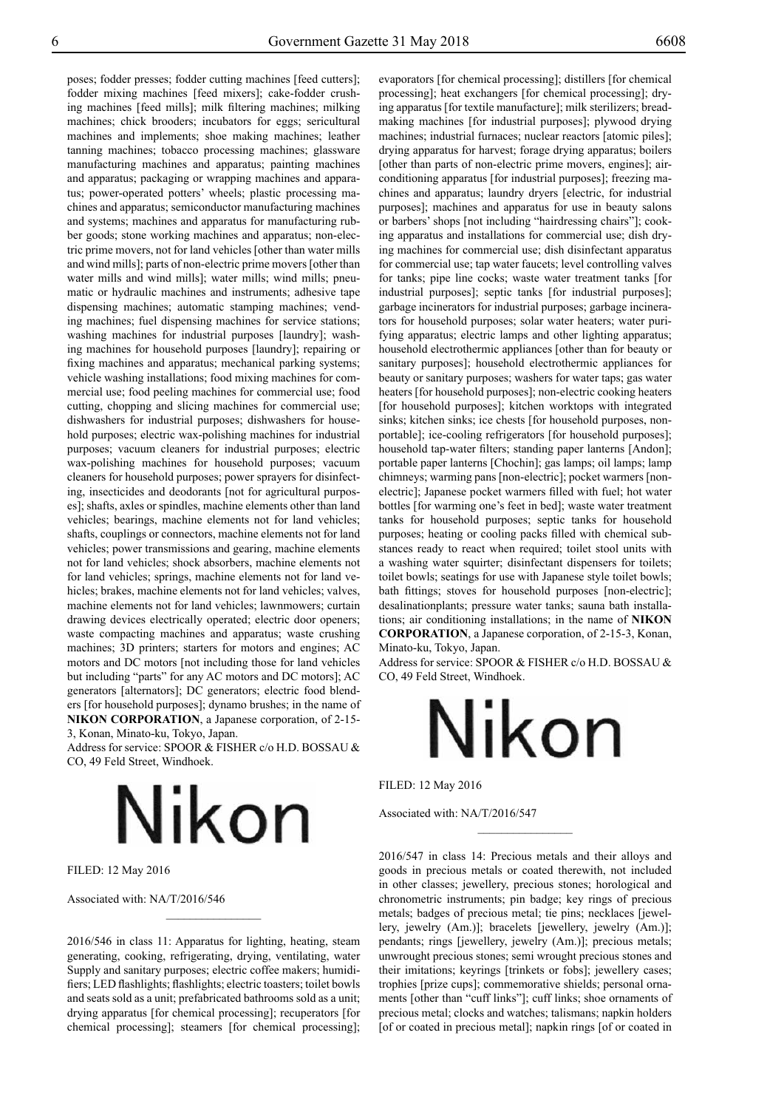poses; fodder presses; fodder cutting machines [feed cutters]; fodder mixing machines [feed mixers]; cake-fodder crushing machines [feed mills]; milk filtering machines; milking machines; chick brooders; incubators for eggs; sericultural machines and implements; shoe making machines; leather tanning machines; tobacco processing machines; glassware manufacturing machines and apparatus; painting machines and apparatus; packaging or wrapping machines and apparatus; power-operated potters' wheels; plastic processing machines and apparatus; semiconductor manufacturing machines and systems; machines and apparatus for manufacturing rubber goods; stone working machines and apparatus; non-electric prime movers, not for land vehicles [other than water mills and wind mills]; parts of non-electric prime movers [other than water mills and wind mills]; water mills; wind mills; pneumatic or hydraulic machines and instruments; adhesive tape dispensing machines; automatic stamping machines; vending machines; fuel dispensing machines for service stations; washing machines for industrial purposes [laundry]; washing machines for household purposes [laundry]; repairing or fixing machines and apparatus; mechanical parking systems; vehicle washing installations; food mixing machines for commercial use; food peeling machines for commercial use; food cutting, chopping and slicing machines for commercial use; dishwashers for industrial purposes; dishwashers for household purposes; electric wax-polishing machines for industrial purposes; vacuum cleaners for industrial purposes; electric wax-polishing machines for household purposes; vacuum cleaners for household purposes; power sprayers for disinfecting, insecticides and deodorants [not for agricultural purposes]; shafts, axles or spindles, machine elements other than land vehicles; bearings, machine elements not for land vehicles; shafts, couplings or connectors, machine elements not for land vehicles; power transmissions and gearing, machine elements not for land vehicles; shock absorbers, machine elements not for land vehicles; springs, machine elements not for land vehicles; brakes, machine elements not for land vehicles; valves, machine elements not for land vehicles; lawnmowers; curtain drawing devices electrically operated; electric door openers; waste compacting machines and apparatus; waste crushing machines; 3D printers; starters for motors and engines; AC motors and DC motors [not including those for land vehicles but including "parts" for any AC motors and DC motors]; AC generators [alternators]; DC generators; electric food blenders [for household purposes]; dynamo brushes; in the name of **NIKON CORPORATION**, a Japanese corporation, of 2-15- 3, Konan, Minato-ku, Tokyo, Japan.

Address for service: SPOOR & FISHER c/o H.D. BOSSAU & Co, 49 Feld Street, Windhoek.

Nikon

Filed: 12 May 2016

Associated with: NA/T/2016/546

2016/546 in class 11: Apparatus for lighting, heating, steam generating, cooking, refrigerating, drying, ventilating, water Supply and sanitary purposes; electric coffee makers; humidifiers; LED flashlights; flashlights; electric toasters; toilet bowls and seats sold as a unit; prefabricated bathrooms sold as a unit; drying apparatus [for chemical processing]; recuperators [for chemical processing]; steamers [for chemical processing]; evaporators [for chemical processing]; distillers [for chemical processing]; heat exchangers [for chemical processing]; drying apparatus [for textile manufacture]; milk sterilizers; breadmaking machines [for industrial purposes]; plywood drying machines; industrial furnaces; nuclear reactors [atomic piles]; drying apparatus for harvest; forage drying apparatus; boilers [other than parts of non-electric prime movers, engines]; airconditioning apparatus [for industrial purposes]; freezing machines and apparatus; laundry dryers [electric, for industrial purposes]; machines and apparatus for use in beauty salons or barbers' shops [not including "hairdressing chairs"]; cooking apparatus and installations for commercial use; dish drying machines for commercial use; dish disinfectant apparatus for commercial use; tap water faucets; level controlling valves for tanks; pipe line cocks; waste water treatment tanks [for industrial purposes]; septic tanks [for industrial purposes]; garbage incinerators for industrial purposes; garbage incinerators for household purposes; solar water heaters; water purifying apparatus; electric lamps and other lighting apparatus; household electrothermic appliances [other than for beauty or sanitary purposes]; household electrothermic appliances for beauty or sanitary purposes; washers for water taps; gas water heaters [for household purposes]; non-electric cooking heaters [for household purposes]; kitchen worktops with integrated sinks; kitchen sinks; ice chests [for household purposes, nonportable]; ice-cooling refrigerators [for household purposes]; household tap-water filters; standing paper lanterns [Andon]; portable paper lanterns [Chochin]; gas lamps; oil lamps; lamp chimneys; warming pans [non-electric]; pocket warmers [nonelectric]; Japanese pocket warmers filled with fuel; hot water bottles [for warming one's feet in bed]; waste water treatment tanks for household purposes; septic tanks for household purposes; heating or cooling packs filled with chemical substances ready to react when required; toilet stool units with a washing water squirter; disinfectant dispensers for toilets; toilet bowls; seatings for use with Japanese style toilet bowls; bath fittings; stoves for household purposes [non-electric]; desalinationplants; pressure water tanks; sauna bath installations; air conditioning installations; in the name of **NIKON CORPORATION**, a Japanese corporation, of 2-15-3, Konan, Minato-ku, Tokyo, Japan.

Address for service: SPOOR & FISHER c/o H.D. BOSSAU & Co, 49 Feld Street, Windhoek.



 $\overline{\phantom{a}}$  , where  $\overline{\phantom{a}}$ 

Filed: 12 May 2016

Associated with: NA/T/2016/547

2016/547 in class 14: Precious metals and their alloys and goods in precious metals or coated therewith, not included in other classes; jewellery, precious stones; horological and chronometric instruments; pin badge; key rings of precious metals; badges of precious metal; tie pins; necklaces [jewellery, jewelry (Am.)]; bracelets [jewellery, jewelry (Am.)]; pendants; rings [jewellery, jewelry (Am.)]; precious metals; unwrought precious stones; semi wrought precious stones and their imitations; keyrings [trinkets or fobs]; jewellery cases; trophies [prize cups]; commemorative shields; personal ornaments [other than "cuff links"]; cuff links; shoe ornaments of precious metal; clocks and watches; talismans; napkin holders [of or coated in precious metal]; napkin rings [of or coated in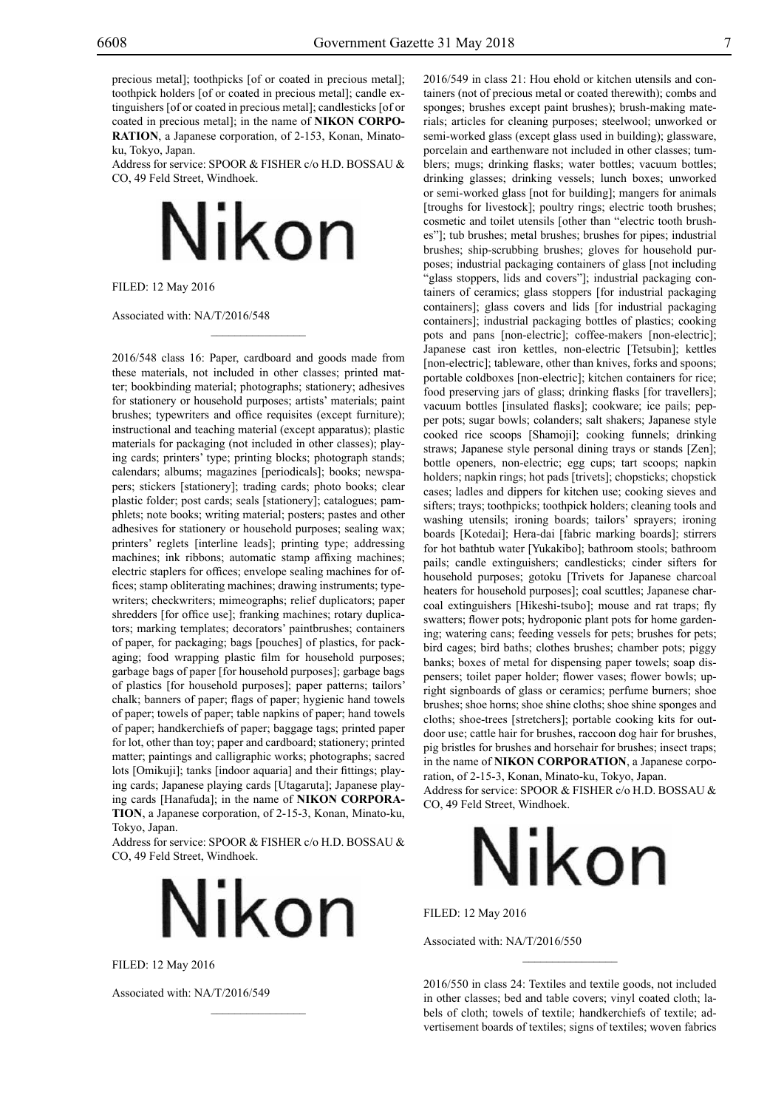precious metal]; toothpicks [of or coated in precious metal]; toothpick holders [of or coated in precious metal]; candle extinguishers [of or coated in precious metal]; candlesticks [of or coated in precious metal]; in the name of **NIKON CORPO-RATION**, a Japanese corporation, of 2-153, Konan, Minatoku, Tokyo, Japan.

Address for service: SPOOR & FISHER c/o H.D. BOSSAU & Co, 49 Feld Street, Windhoek.



 $\mathcal{L}=\mathcal{L}^{\mathcal{L}}$ 

Filed: 12 May 2016

Associated with: NA/T/2016/548

2016/548 class 16: Paper, cardboard and goods made from these materials, not included in other classes; printed matter; bookbinding material; photographs; stationery; adhesives for stationery or household purposes; artists' materials; paint brushes; typewriters and office requisites (except furniture); instructional and teaching material (except apparatus); plastic materials for packaging (not included in other classes); playing cards; printers' type; printing blocks; photograph stands; calendars; albums; magazines [periodicals]; books; newspapers; stickers [stationery]; trading cards; photo books; clear plastic folder; post cards; seals [stationery]; catalogues; pamphlets; note books; writing material; posters; pastes and other adhesives for stationery or household purposes; sealing wax; printers' reglets [interline leads]; printing type; addressing machines; ink ribbons; automatic stamp affixing machines; electric staplers for offices; envelope sealing machines for offices; stamp obliterating machines; drawing instruments; typewriters; checkwriters; mimeographs; relief duplicators; paper shredders [for office use]; franking machines; rotary duplicators; marking templates; decorators' paintbrushes; containers of paper, for packaging; bags [pouches] of plastics, for packaging; food wrapping plastic film for household purposes; garbage bags of paper [for household purposes]; garbage bags of plastics [for household purposes]; paper patterns; tailors' chalk; banners of paper; flags of paper; hygienic hand towels of paper; towels of paper; table napkins of paper; hand towels of paper; handkerchiefs of paper; baggage tags; printed paper for lot, other than toy; paper and cardboard; stationery; printed matter; paintings and calligraphic works; photographs; sacred lots [Omikuji]; tanks [indoor aquaria] and their fittings; playing cards; Japanese playing cards [Utagaruta]; Japanese playing cards [Hanafuda]; in the name of **NIKON CORPORA-TION**, a Japanese corporation, of 2-15-3, Konan, Minato-ku, Tokyo, Japan.

Address for service: SPOOR & FISHER c/o H.D. BOSSAU & Co, 49 Feld Street, Windhoek.



 $\overline{\phantom{a}}$  , where  $\overline{\phantom{a}}$ 

Filed: 12 May 2016

Associated with: NA/T/2016/549

2016/549 in class 21: Hou ehold or kitchen utensils and containers (not of precious metal or coated therewith); combs and sponges; brushes except paint brushes); brush-making materials; articles for cleaning purposes; steelwool; unworked or semi-worked glass (except glass used in building); glassware, porcelain and earthenware not included in other classes; tumblers; mugs; drinking flasks; water bottles; vacuum bottles; drinking glasses; drinking vessels; lunch boxes; unworked or semi-worked glass [not for building]; mangers for animals [troughs for livestock]; poultry rings; electric tooth brushes; cosmetic and toilet utensils [other than "electric tooth brushes"]; tub brushes; metal brushes; brushes for pipes; industrial brushes; ship-scrubbing brushes; gloves for household purposes; industrial packaging containers of glass [not including "glass stoppers, lids and covers"]; industrial packaging containers of ceramics; glass stoppers [for industrial packaging containers]; glass covers and lids [for industrial packaging containers]; industrial packaging bottles of plastics; cooking pots and pans [non-electric]; coffee-makers [non-electric]; Japanese cast iron kettles, non-electric [Tetsubin]; kettles [non-electric]; tableware, other than knives, forks and spoons; portable coldboxes [non-electric]; kitchen containers for rice; food preserving jars of glass; drinking flasks [for travellers]; vacuum bottles [insulated flasks]; cookware; ice pails; pepper pots; sugar bowls; colanders; salt shakers; Japanese style cooked rice scoops [Shamoji]; cooking funnels; drinking straws; Japanese style personal dining trays or stands [Zen]; bottle openers, non-electric; egg cups; tart scoops; napkin holders; napkin rings; hot pads [trivets]; chopsticks; chopstick cases; ladles and dippers for kitchen use; cooking sieves and sifters; trays; toothpicks; toothpick holders; cleaning tools and washing utensils; ironing boards; tailors' sprayers; ironing boards [Kotedai]; Hera-dai [fabric marking boards]; stirrers for hot bathtub water [Yukakibo]; bathroom stools; bathroom pails; candle extinguishers; candlesticks; cinder sifters for household purposes; gotoku [Trivets for Japanese charcoal heaters for household purposes]; coal scuttles; Japanese charcoal extinguishers [Hikeshi-tsubo]; mouse and rat traps; fly swatters; flower pots; hydroponic plant pots for home gardening; watering cans; feeding vessels for pets; brushes for pets; bird cages; bird baths; clothes brushes; chamber pots; piggy banks; boxes of metal for dispensing paper towels; soap dispensers; toilet paper holder; flower vases; flower bowls; upright signboards of glass or ceramics; perfume burners; shoe brushes; shoe horns; shoe shine cloths; shoe shine sponges and cloths; shoe-trees [stretchers]; portable cooking kits for outdoor use; cattle hair for brushes, raccoon dog hair for brushes, pig bristles for brushes and horsehair for brushes; insect traps; in the name of **NIKON CORPORATION**, a Japanese corporation, of 2-15-3, Konan, Minato-ku, Tokyo, Japan.

Address for service: SPOOR & FISHER c/o H.D. BOSSAU & Co, 49 Feld Street, Windhoek.

## Nikon

Filed: 12 May 2016

Associated with: NA/T/2016/550

2016/550 in class 24: Textiles and textile goods, not included in other classes; bed and table covers; vinyl coated cloth; labels of cloth; towels of textile; handkerchiefs of textile; advertisement boards of textiles; signs of textiles; woven fabrics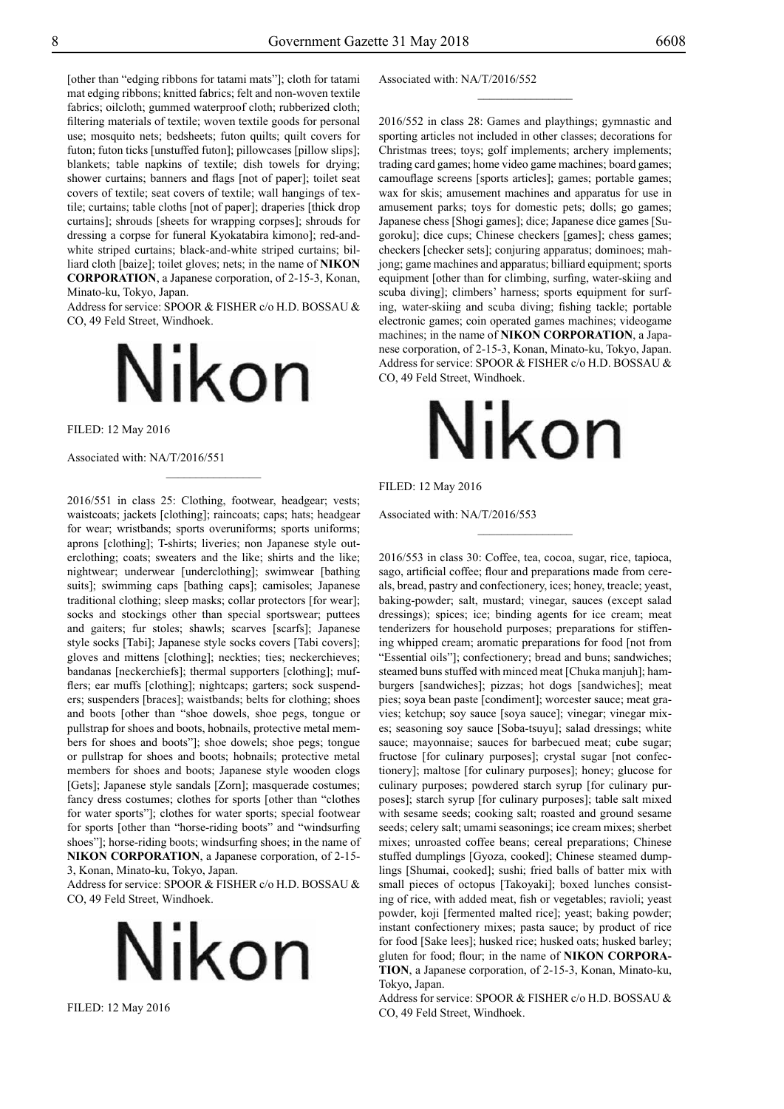[other than "edging ribbons for tatami mats"]; cloth for tatami mat edging ribbons; knitted fabrics; felt and non-woven textile fabrics; oilcloth; gummed waterproof cloth; rubberized cloth; filtering materials of textile; woven textile goods for personal use; mosquito nets; bedsheets; futon quilts; quilt covers for futon; futon ticks [unstuffed futon]; pillowcases [pillow slips]; blankets; table napkins of textile; dish towels for drying; shower curtains; banners and flags [not of paper]; toilet seat covers of textile; seat covers of textile; wall hangings of textile; curtains; table cloths [not of paper]; draperies [thick drop curtains]; shrouds [sheets for wrapping corpses]; shrouds for dressing a corpse for funeral Kyokatabira kimono]; red-andwhite striped curtains; black-and-white striped curtains; billiard cloth [baize]; toilet gloves; nets; in the name of **NIKON CORPORATION**, a Japanese corporation, of 2-15-3, Konan, Minato-ku, Tokyo, Japan.

Address for service: SPOOR & FISHER c/o H.D. BOSSAU & Co, 49 Feld Street, Windhoek.

# Nikon

 $\frac{1}{2}$ 

Filed: 12 May 2016

Associated with: NA/T/2016/551

2016/551 in class 25: Clothing, footwear, headgear; vests; waistcoats; jackets [clothing]; raincoats; caps; hats; headgear for wear; wristbands; sports overuniforms; sports uniforms; aprons [clothing]; T-shirts; liveries; non Japanese style outerclothing; coats; sweaters and the like; shirts and the like; nightwear; underwear [underclothing]; swimwear [bathing suits]; swimming caps [bathing caps]; camisoles; Japanese traditional clothing; sleep masks; collar protectors [for wear]; socks and stockings other than special sportswear; puttees and gaiters; fur stoles; shawls; scarves [scarfs]; Japanese style socks [Tabi]; Japanese style socks covers [Tabi covers]; gloves and mittens [clothing]; neckties; ties; neckerchieves; bandanas [neckerchiefs]; thermal supporters [clothing]; mufflers; ear muffs [clothing]; nightcaps; garters; sock suspenders; suspenders [braces]; waistbands; belts for clothing; shoes and boots [other than "shoe dowels, shoe pegs, tongue or pullstrap for shoes and boots, hobnails, protective metal members for shoes and boots"]; shoe dowels; shoe pegs; tongue or pullstrap for shoes and boots; hobnails; protective metal members for shoes and boots; Japanese style wooden clogs [Gets]; Japanese style sandals [Zorn]; masquerade costumes; fancy dress costumes; clothes for sports [other than "clothes for water sports"]; clothes for water sports; special footwear for sports [other than "horse-riding boots" and "windsurfing shoes"]; horse-riding boots; windsurfing shoes; in the name of **NIKON CORPORATION**, a Japanese corporation, of 2-15- 3, Konan, Minato-ku, Tokyo, Japan.

Address for service: SPOOR & FISHER c/o H.D. BOSSAU & Co, 49 Feld Street, Windhoek.



Filed: 12 May 2016

Associated with: NA/T/2016/552

2016/552 in class 28: Games and playthings; gymnastic and sporting articles not included in other classes; decorations for Christmas trees; toys; golf implements; archery implements; trading card games; home video game machines; board games; camouflage screens [sports articles]; games; portable games; wax for skis; amusement machines and apparatus for use in amusement parks; toys for domestic pets; dolls; go games; Japanese chess [Shogi games]; dice; Japanese dice games [Sugoroku]; dice cups; Chinese checkers [games]; chess games; checkers [checker sets]; conjuring apparatus; dominoes; mahjong; game machines and apparatus; billiard equipment; sports equipment [other than for climbing, surfing, water-skiing and scuba diving]; climbers' harness; sports equipment for surfing, water-skiing and scuba diving; fishing tackle; portable electronic games; coin operated games machines; videogame machines; in the name of **NIKON CORPORATION**, a Japanese corporation, of 2-15-3, Konan, Minato-ku, Tokyo, Japan. Address for service: SPOOR & FISHER c/o H.D. BOSSAU & Co, 49 Feld Street, Windhoek.

 $\frac{1}{2}$ 



 $\overline{\phantom{a}}$  , where  $\overline{\phantom{a}}$ 

Filed: 12 May 2016

Associated with: NA/T/2016/553

2016/553 in class 30: Coffee, tea, cocoa, sugar, rice, tapioca, sago, artificial coffee; flour and preparations made from cereals, bread, pastry and confectionery, ices; honey, treacle; yeast, baking-powder; salt, mustard; vinegar, sauces (except salad dressings); spices; ice; binding agents for ice cream; meat tenderizers for household purposes; preparations for stiffening whipped cream; aromatic preparations for food [not from "Essential oils"]; confectionery; bread and buns; sandwiches; steamed buns stuffed with minced meat [Chuka manjuh]; hamburgers [sandwiches]; pizzas; hot dogs [sandwiches]; meat pies; soya bean paste [condiment]; worcester sauce; meat gravies; ketchup; soy sauce [soya sauce]; vinegar; vinegar mixes; seasoning soy sauce [Soba-tsuyu]; salad dressings; white sauce; mayonnaise; sauces for barbecued meat; cube sugar; fructose [for culinary purposes]; crystal sugar [not confectionery]; maltose [for culinary purposes]; honey; glucose for culinary purposes; powdered starch syrup [for culinary purposes]; starch syrup [for culinary purposes]; table salt mixed with sesame seeds; cooking salt; roasted and ground sesame seeds; celery salt; umami seasonings; ice cream mixes; sherbet mixes; unroasted coffee beans; cereal preparations; Chinese stuffed dumplings [Gyoza, cooked]; Chinese steamed dumplings [Shumai, cooked]; sushi; fried balls of batter mix with small pieces of octopus [Takoyaki]; boxed lunches consisting of rice, with added meat, fish or vegetables; ravioli; yeast powder, koji [fermented malted rice]; yeast; baking powder; instant confectionery mixes; pasta sauce; by product of rice for food [Sake lees]; husked rice; husked oats; husked barley; gluten for food; flour; in the name of **NIKON CORPORA-TION**, a Japanese corporation, of 2-15-3, Konan, Minato-ku, Tokyo, Japan.

Address for service: SPOOR & FISHER c/o H.D. BOSSAU & Co, 49 Feld Street, Windhoek.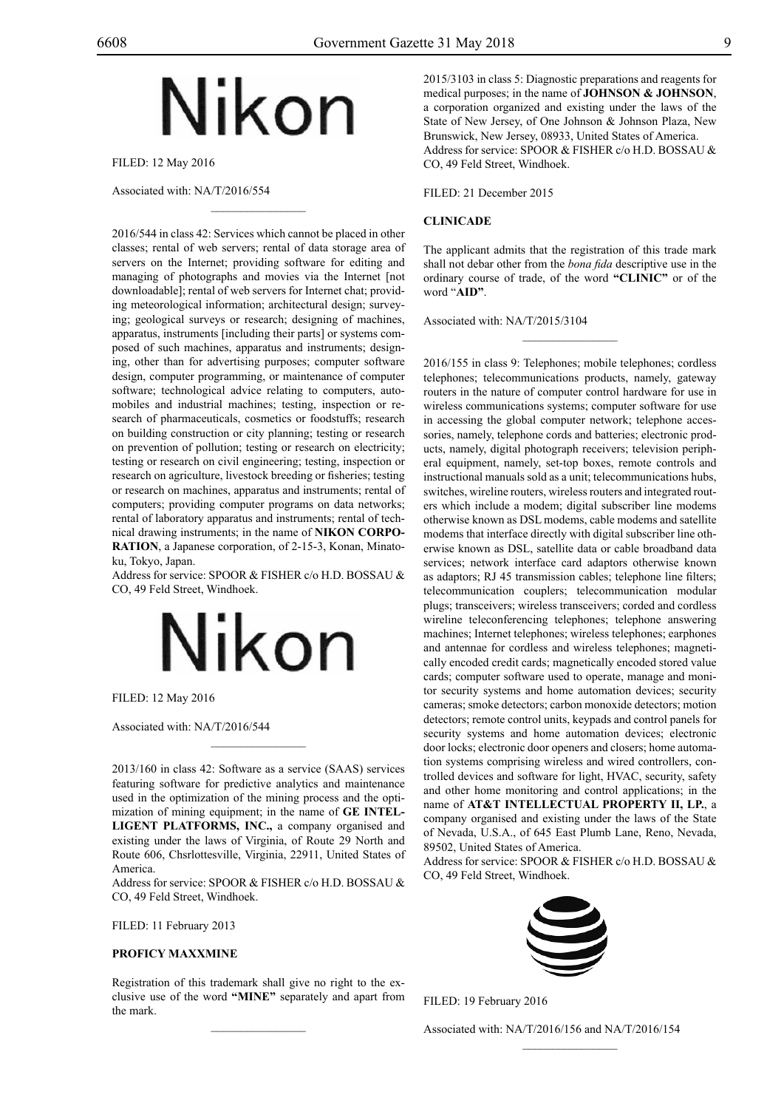## Nikon

 $\mathcal{L}=\mathcal{L}^{\mathcal{L}}$ 

Filed: 12 May 2016

Associated with: NA/T/2016/554

2016/544 in class 42: Services which cannot be placed in other classes; rental of web servers; rental of data storage area of servers on the Internet; providing software for editing and managing of photographs and movies via the Internet [not downloadable]; rental of web servers for Internet chat; providing meteorological information; architectural design; surveying; geological surveys or research; designing of machines, apparatus, instruments [including their parts] or systems composed of such machines, apparatus and instruments; designing, other than for advertising purposes; computer software design, computer programming, or maintenance of computer software; technological advice relating to computers, automobiles and industrial machines; testing, inspection or research of pharmaceuticals, cosmetics or foodstuffs; research on building construction or city planning; testing or research on prevention of pollution; testing or research on electricity; testing or research on civil engineering; testing, inspection or research on agriculture, livestock breeding or fisheries; testing or research on machines, apparatus and instruments; rental of computers; providing computer programs on data networks; rental of laboratory apparatus and instruments; rental of technical drawing instruments; in the name of **NIKON CORPO-RATION**, a Japanese corporation, of 2-15-3, Konan, Minatoku, Tokyo, Japan.

Address for service: SPOOR & FISHER c/o H.D. BOSSAU & Co, 49 Feld Street, Windhoek.



Filed: 12 May 2016

Associated with: NA/T/2016/544

2013/160 in class 42: Software as a service (SAAS) services featuring software for predictive analytics and maintenance used in the optimization of the mining process and the optimization of mining equipment; in the name of **GE INTEL-LIGENT PLATFORMS, INC.,** a company organised and existing under the laws of Virginia, of Route 29 North and Route 606, Chsrlottesville, Virginia, 22911, United States of America.

 $\overline{\phantom{a}}$  , where  $\overline{\phantom{a}}$ 

Address for service: SPOOR & FISHER c/o H.D. BOSSAU & Co, 49 Feld Street, Windhoek.

FILED: 11 February 2013

#### **PROFICY MAXXMINE**

Registration of this trademark shall give no right to the exclusive use of the word **"MINE"** separately and apart from the mark.

 $\mathcal{L}=\mathcal{L}^{\mathcal{L}}$ 

2015/3103 in class 5: Diagnostic preparations and reagents for medical purposes; in the name of **JOHNSON & JOHNSON**, a corporation organized and existing under the laws of the State of New Jersey, of One Johnson & Johnson Plaza, New Brunswick, New Jersey, 08933, United States of America. Address for service: SPOOR & FISHER c/o H.D. BOSSAU & Co, 49 Feld Street, Windhoek.

FILED: 21 December 2015

#### **CLINICADE**

The applicant admits that the registration of this trade mark shall not debar other from the *bona fida* descriptive use in the ordinary course of trade, of the word **"CLINIC"** or of the word "**AID"**.

 $\frac{1}{2}$ 

Associated with: NA/T/2015/3104

2016/155 in class 9: Telephones; mobile telephones; cordless telephones; telecommunications products, namely, gateway routers in the nature of computer control hardware for use in wireless communications systems; computer software for use in accessing the global computer network; telephone accessories, namely, telephone cords and batteries; electronic products, namely, digital photograph receivers; television peripheral equipment, namely, set-top boxes, remote controls and instructional manuals sold as a unit; telecommunications hubs, switches, wireline routers, wireless routers and integrated routers which include a modem; digital subscriber line modems otherwise known as DSL modems, cable modems and satellite modems that interface directly with digital subscriber line otherwise known as DSL, satellite data or cable broadband data services; network interface card adaptors otherwise known as adaptors; RJ 45 transmission cables; telephone line filters; telecommunication couplers; telecommunication modular plugs; transceivers; wireless transceivers; corded and cordless wireline teleconferencing telephones; telephone answering machines; Internet telephones; wireless telephones; earphones and antennae for cordless and wireless telephones; magnetically encoded credit cards; magnetically encoded stored value cards; computer software used to operate, manage and monitor security systems and home automation devices; security cameras; smoke detectors; carbon monoxide detectors; motion detectors; remote control units, keypads and control panels for security systems and home automation devices; electronic door locks; electronic door openers and closers; home automation systems comprising wireless and wired controllers, controlled devices and software for light, HVAC, security, safety and other home monitoring and control applications; in the name of **AT&T INTELLECTUAL PROPERTY II, LP.**, a company organised and existing under the laws of the State of Nevada, U.S.A., of 645 East Plumb Lane, Reno, Nevada, 89502, United States of America.

Address for service: SPOOR & FISHER c/o H.D. BOSSAU & Co, 49 Feld Street, Windhoek.



Filed: 19 February 2016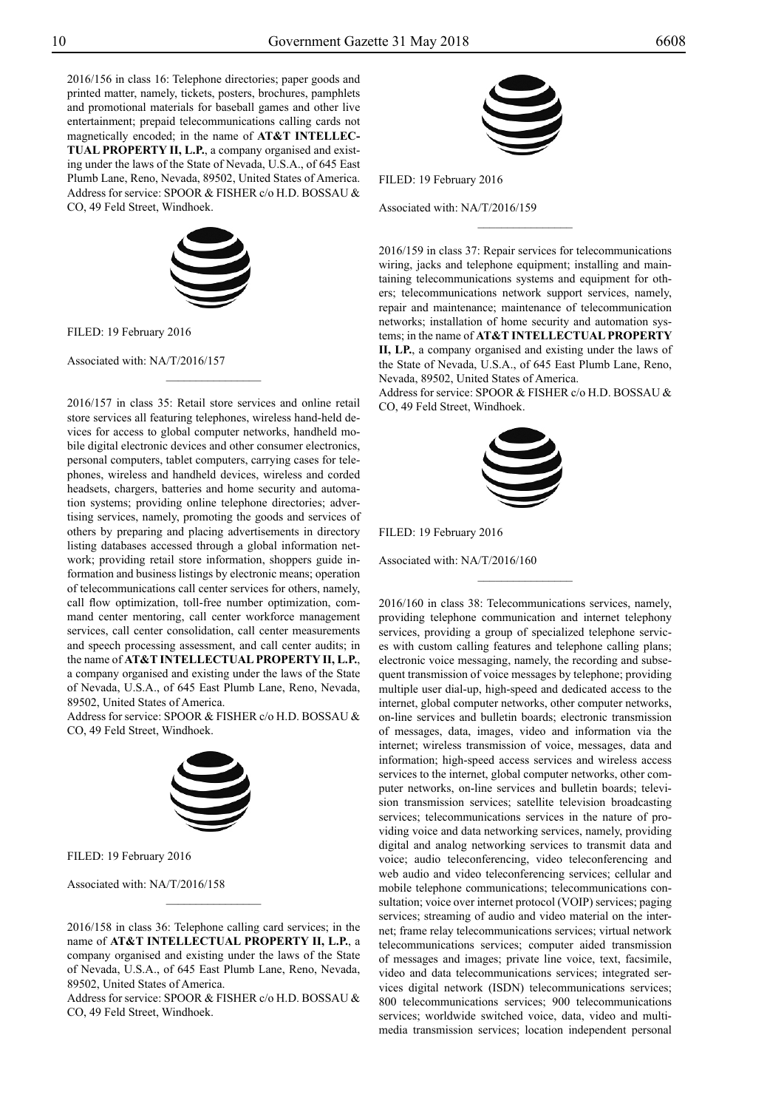2016/156 in class 16: Telephone directories; paper goods and printed matter, namely, tickets, posters, brochures, pamphlets and promotional materials for baseball games and other live entertainment; prepaid telecommunications calling cards not magnetically encoded; in the name of **AT&T INTELLEC-TUAL PROPERTY II, L.P.**, a company organised and existing under the laws of the State of Nevada, U.S.A., of 645 East Plumb Lane, Reno, Nevada, 89502, United States of America. Address for service: SPOOR & FISHER c/o H.D. BOSSAU & Co, 49 Feld Street, Windhoek.



 $\overline{\phantom{a}}$  , where  $\overline{\phantom{a}}$ 

FILED: 19 February 2016

Associated with: NA/T/2016/157

2016/157 in class 35: Retail store services and online retail store services all featuring telephones, wireless hand-held devices for access to global computer networks, handheld mobile digital electronic devices and other consumer electronics, personal computers, tablet computers, carrying cases for telephones, wireless and handheld devices, wireless and corded headsets, chargers, batteries and home security and automation systems; providing online telephone directories; advertising services, namely, promoting the goods and services of others by preparing and placing advertisements in directory listing databases accessed through a global information network; providing retail store information, shoppers guide information and business listings by electronic means; operation of telecommunications call center services for others, namely, call flow optimization, toll-free number optimization, command center mentoring, call center workforce management services, call center consolidation, call center measurements and speech processing assessment, and call center audits; in the name of **AT&T INTELLECTUAL PROPERTY II, L.P.**, a company organised and existing under the laws of the State of Nevada, U.S.A., of 645 East Plumb Lane, Reno, Nevada, 89502, United States of America.

Address for service: SPOOR & FISHER c/o H.D. BOSSAU & Co, 49 Feld Street, Windhoek.



FILED: 19 February 2016

Associated with: NA/T/2016/158

2016/158 in class 36: Telephone calling card services; in the name of **AT&T INTELLECTUAL PROPERTY II, L.P.**, a company organised and existing under the laws of the State of Nevada, U.S.A., of 645 East Plumb Lane, Reno, Nevada, 89502, United States of America.

 $\frac{1}{2}$ 

Address for service: SPOOR & FISHER c/o H.D. BOSSAU & Co, 49 Feld Street, Windhoek.



FILED: 19 February 2016

Associated with: NA/T/2016/159

2016/159 in class 37: Repair services for telecommunications wiring, jacks and telephone equipment; installing and maintaining telecommunications systems and equipment for others; telecommunications network support services, namely, repair and maintenance; maintenance of telecommunication networks; installation of home security and automation systems; in the name of **AT&T INTELLECTUAL PROPERTY II, LP.**, a company organised and existing under the laws of the State of Nevada, U.S.A., of 645 East Plumb Lane, Reno, Nevada, 89502, United States of America.

 $\frac{1}{2}$ 

Address for service: SPOOR & FISHER c/o H.D. BOSSAU & Co, 49 Feld Street, Windhoek.



 $\frac{1}{2}$ 

Filed: 19 February 2016

Associated with: NA/T/2016/160

2016/160 in class 38: Telecommunications services, namely, providing telephone communication and internet telephony services, providing a group of specialized telephone services with custom calling features and telephone calling plans; electronic voice messaging, namely, the recording and subsequent transmission of voice messages by telephone; providing multiple user dial-up, high-speed and dedicated access to the internet, global computer networks, other computer networks, on-line services and bulletin boards; electronic transmission of messages, data, images, video and information via the internet; wireless transmission of voice, messages, data and information; high-speed access services and wireless access services to the internet, global computer networks, other computer networks, on-line services and bulletin boards; television transmission services; satellite television broadcasting services; telecommunications services in the nature of providing voice and data networking services, namely, providing digital and analog networking services to transmit data and voice; audio teleconferencing, video teleconferencing and web audio and video teleconferencing services; cellular and mobile telephone communications; telecommunications consultation; voice over internet protocol (VOIP) services; paging services; streaming of audio and video material on the internet; frame relay telecommunications services; virtual network telecommunications services; computer aided transmission of messages and images; private line voice, text, facsimile, video and data telecommunications services; integrated services digital network (ISDN) telecommunications services; 800 telecommunications services; 900 telecommunications services; worldwide switched voice, data, video and multimedia transmission services; location independent personal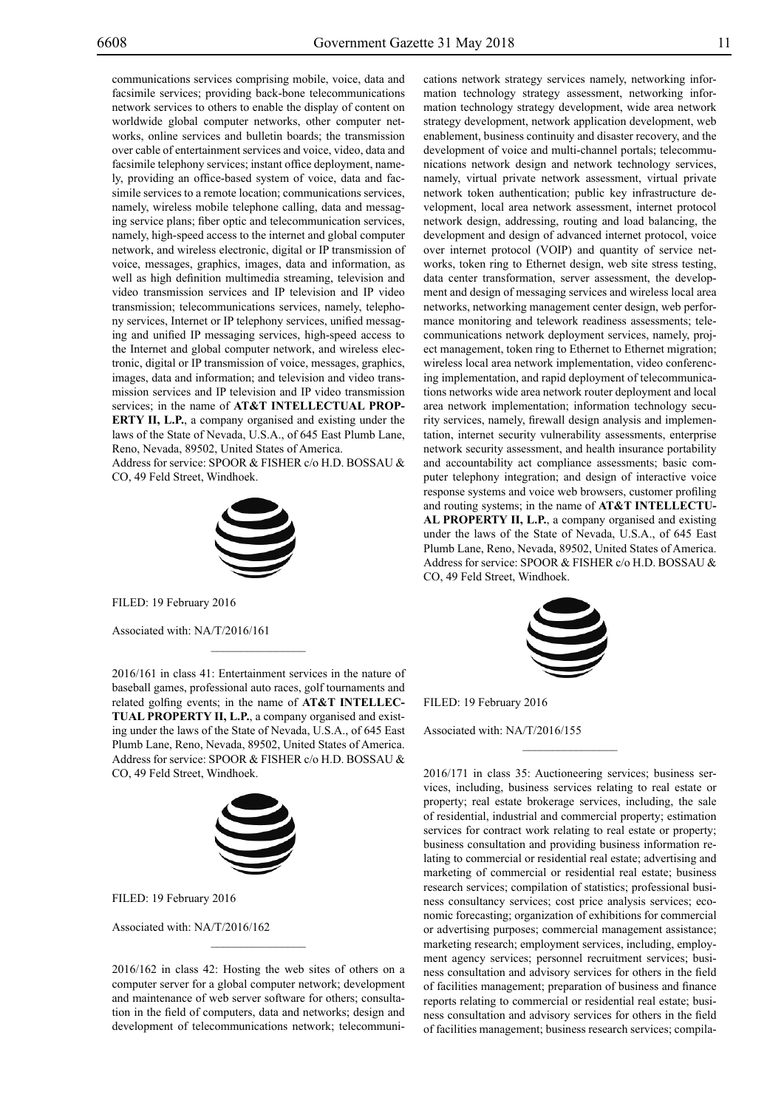communications services comprising mobile, voice, data and facsimile services; providing back-bone telecommunications network services to others to enable the display of content on worldwide global computer networks, other computer networks, online services and bulletin boards; the transmission over cable of entertainment services and voice, video, data and facsimile telephony services; instant office deployment, namely, providing an office-based system of voice, data and facsimile services to a remote location; communications services, namely, wireless mobile telephone calling, data and messaging service plans; fiber optic and telecommunication services, namely, high-speed access to the internet and global computer network, and wireless electronic, digital or IP transmission of voice, messages, graphics, images, data and information, as well as high definition multimedia streaming, television and video transmission services and IP television and IP video transmission; telecommunications services, namely, telephony services, Internet or IP telephony services, unified messaging and unified IP messaging services, high-speed access to the Internet and global computer network, and wireless electronic, digital or IP transmission of voice, messages, graphics, images, data and information; and television and video transmission services and IP television and IP video transmission services; in the name of **AT&T INTELLECTUAL PROP-ERTY II, L.P.**, a company organised and existing under the laws of the State of Nevada, U.S.A., of 645 East Plumb Lane, Reno, Nevada, 89502, United States of America. Address for service: SPOOR & FISHER c/o H.D. BOSSAU & Co, 49 Feld Street, Windhoek.



FILED: 19 February 2016

Associated with: NA/T/2016/161

2016/161 in class 41: Entertainment services in the nature of baseball games, professional auto races, golf tournaments and related golfing events; in the name of **AT&T INTELLEC-TUAL PROPERTY II, L.P.**, a company organised and existing under the laws of the State of Nevada, U.S.A., of 645 East Plumb Lane, Reno, Nevada, 89502, United States of America. Address for service: SPOOR & FISHER c/o H.D. BOSSAU & Co, 49 Feld Street, Windhoek.

 $\mathcal{L}=\mathcal{L}^{\mathcal{L}}$ 



FILED: 19 February 2016

Associated with: NA/T/2016/162

2016/162 in class 42: Hosting the web sites of others on a computer server for a global computer network; development and maintenance of web server software for others; consultation in the field of computers, data and networks; design and development of telecommunications network; telecommuni-

 $\mathcal{L}=\mathcal{L}^{\mathcal{L}}$ 

cations network strategy services namely, networking information technology strategy assessment, networking information technology strategy development, wide area network strategy development, network application development, web enablement, business continuity and disaster recovery, and the development of voice and multi-channel portals; telecommunications network design and network technology services, namely, virtual private network assessment, virtual private network token authentication; public key infrastructure development, local area network assessment, internet protocol network design, addressing, routing and load balancing, the development and design of advanced internet protocol, voice over internet protocol (VOIP) and quantity of service networks, token ring to Ethernet design, web site stress testing, data center transformation, server assessment, the development and design of messaging services and wireless local area networks, networking management center design, web performance monitoring and telework readiness assessments; telecommunications network deployment services, namely, project management, token ring to Ethernet to Ethernet migration; wireless local area network implementation, video conferencing implementation, and rapid deployment of telecommunications networks wide area network router deployment and local area network implementation; information technology security services, namely, firewall design analysis and implementation, internet security vulnerability assessments, enterprise network security assessment, and health insurance portability and accountability act compliance assessments; basic computer telephony integration; and design of interactive voice response systems and voice web browsers, customer profiling and routing systems; in the name of **AT&T INTELLECTU-AL PROPERTY II, L.P.**, a company organised and existing under the laws of the State of Nevada, U.S.A., of 645 East Plumb Lane, Reno, Nevada, 89502, United States of America. Address for service: SPOOR & FISHER c/o H.D. BOSSAU & Co, 49 Feld Street, Windhoek.



 $\frac{1}{2}$ 

FILED: 19 February 2016

Associated with: NA/T/2016/155

2016/171 in class 35: Auctioneering services; business services, including, business services relating to real estate or property; real estate brokerage services, including, the sale of residential, industrial and commercial property; estimation services for contract work relating to real estate or property; business consultation and providing business information relating to commercial or residential real estate; advertising and marketing of commercial or residential real estate; business research services; compilation of statistics; professional business consultancy services; cost price analysis services; economic forecasting; organization of exhibitions for commercial or advertising purposes; commercial management assistance; marketing research; employment services, including, employment agency services; personnel recruitment services; business consultation and advisory services for others in the field of facilities management; preparation of business and finance reports relating to commercial or residential real estate; business consultation and advisory services for others in the field of facilities management; business research services; compila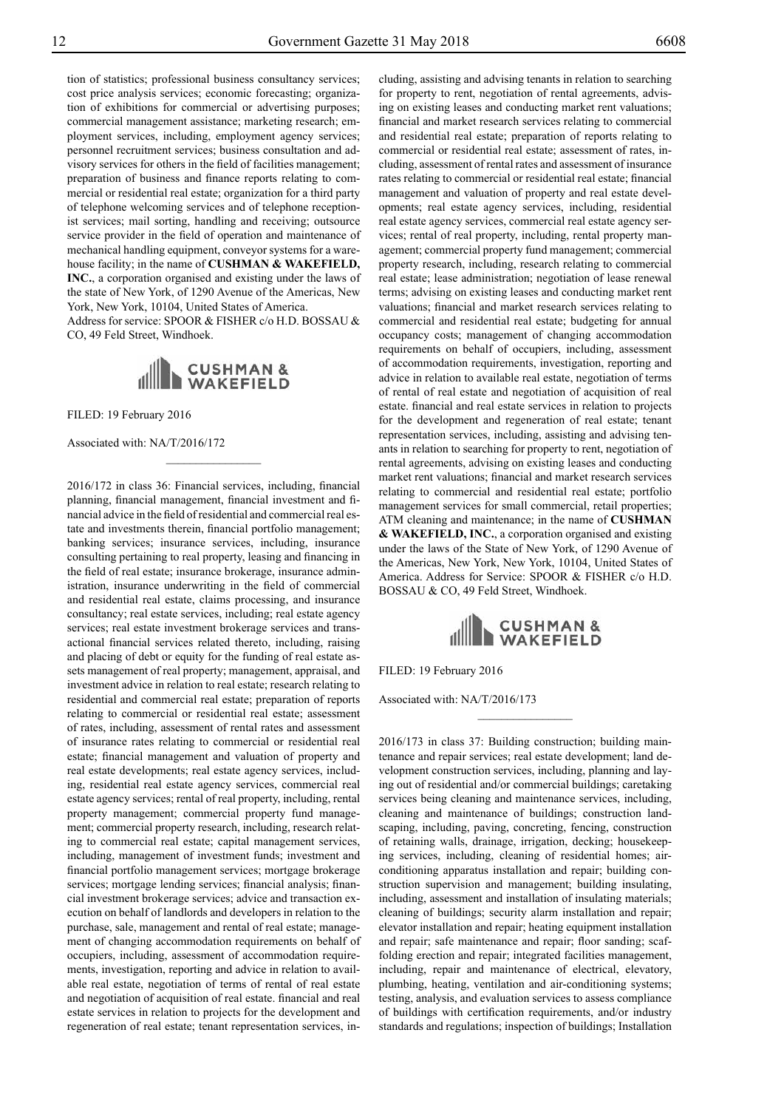tion of statistics; professional business consultancy services; cost price analysis services; economic forecasting; organization of exhibitions for commercial or advertising purposes; commercial management assistance; marketing research; employment services, including, employment agency services; personnel recruitment services; business consultation and advisory services for others in the field of facilities management; preparation of business and finance reports relating to commercial or residential real estate; organization for a third party of telephone welcoming services and of telephone receptionist services; mail sorting, handling and receiving; outsource service provider in the field of operation and maintenance of mechanical handling equipment, conveyor systems for a warehouse facility; in the name of **CUSHMAN & WAKEFIELD, INC.**, a corporation organised and existing under the laws of the state of New York, of 1290 Avenue of the Americas, New York, New York, 10104, United States of America.

Address for service: SPOOR & FISHER c/o H.D. BOSSAU & Co, 49 Feld Street, Windhoek.



 $\overline{\phantom{a}}$  , where  $\overline{\phantom{a}}$ 

Filed: 19 February 2016

Associated with: NA/T/2016/172

2016/172 in class 36: Financial services, including, financial planning, financial management, financial investment and financial advice in the field of residential and commercial real estate and investments therein, financial portfolio management; banking services; insurance services, including, insurance consulting pertaining to real property, leasing and financing in the field of real estate; insurance brokerage, insurance administration, insurance underwriting in the field of commercial and residential real estate, claims processing, and insurance consultancy; real estate services, including; real estate agency services; real estate investment brokerage services and transactional financial services related thereto, including, raising and placing of debt or equity for the funding of real estate assets management of real property; management, appraisal, and investment advice in relation to real estate; research relating to residential and commercial real estate; preparation of reports relating to commercial or residential real estate; assessment of rates, including, assessment of rental rates and assessment of insurance rates relating to commercial or residential real estate; financial management and valuation of property and real estate developments; real estate agency services, including, residential real estate agency services, commercial real estate agency services; rental of real property, including, rental property management; commercial property fund management; commercial property research, including, research relating to commercial real estate; capital management services, including, management of investment funds; investment and financial portfolio management services; mortgage brokerage services; mortgage lending services; financial analysis; financial investment brokerage services; advice and transaction execution on behalf of landlords and developers in relation to the purchase, sale, management and rental of real estate; management of changing accommodation requirements on behalf of occupiers, including, assessment of accommodation requirements, investigation, reporting and advice in relation to available real estate, negotiation of terms of rental of real estate and negotiation of acquisition of real estate. financial and real estate services in relation to projects for the development and regeneration of real estate; tenant representation services, in-

cluding, assisting and advising tenants in relation to searching for property to rent, negotiation of rental agreements, advising on existing leases and conducting market rent valuations; financial and market research services relating to commercial and residential real estate; preparation of reports relating to commercial or residential real estate; assessment of rates, including, assessment of rental rates and assessment of insurance rates relating to commercial or residential real estate; financial management and valuation of property and real estate developments; real estate agency services, including, residential real estate agency services, commercial real estate agency services; rental of real property, including, rental property management; commercial property fund management; commercial property research, including, research relating to commercial real estate; lease administration; negotiation of lease renewal terms; advising on existing leases and conducting market rent valuations; financial and market research services relating to commercial and residential real estate; budgeting for annual occupancy costs; management of changing accommodation requirements on behalf of occupiers, including, assessment of accommodation requirements, investigation, reporting and advice in relation to available real estate, negotiation of terms of rental of real estate and negotiation of acquisition of real estate. financial and real estate services in relation to projects for the development and regeneration of real estate; tenant representation services, including, assisting and advising tenants in relation to searching for property to rent, negotiation of rental agreements, advising on existing leases and conducting market rent valuations; financial and market research services relating to commercial and residential real estate; portfolio management services for small commercial, retail properties; ATM cleaning and maintenance; in the name of **CUSHMAN & WAKEFIELD, INC.**, a corporation organised and existing under the laws of the State of New York, of 1290 Avenue of the Americas, New York, New York, 10104, United States of America. Address for Service: SPOOR & FISHER c/o H.D. BOSSAU & CO, 49 Feld Street, Windhoek.



FILED: 19 February 2016

Associated with: NA/T/2016/173

2016/173 in class 37: Building construction; building maintenance and repair services; real estate development; land development construction services, including, planning and laying out of residential and/or commercial buildings; caretaking services being cleaning and maintenance services, including, cleaning and maintenance of buildings; construction landscaping, including, paving, concreting, fencing, construction of retaining walls, drainage, irrigation, decking; housekeeping services, including, cleaning of residential homes; airconditioning apparatus installation and repair; building construction supervision and management; building insulating, including, assessment and installation of insulating materials; cleaning of buildings; security alarm installation and repair; elevator installation and repair; heating equipment installation and repair; safe maintenance and repair; floor sanding; scaffolding erection and repair; integrated facilities management, including, repair and maintenance of electrical, elevatory, plumbing, heating, ventilation and air-conditioning systems; testing, analysis, and evaluation services to assess compliance of buildings with certification requirements, and/or industry standards and regulations; inspection of buildings; Installation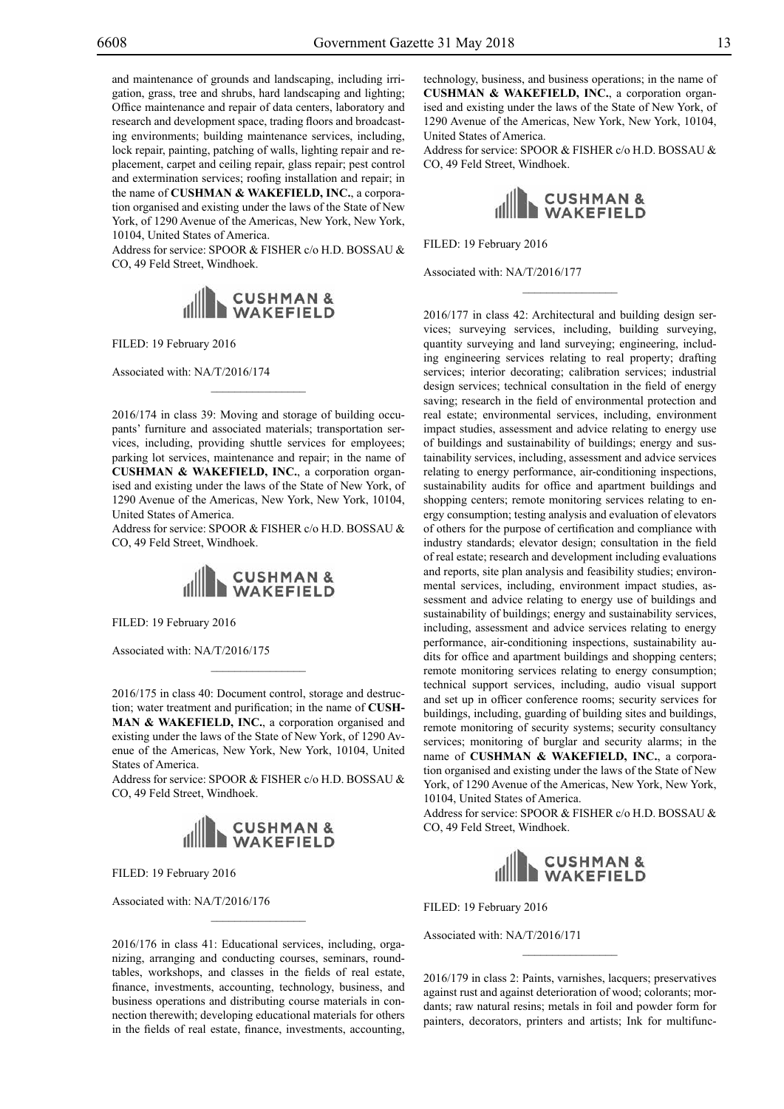and maintenance of grounds and landscaping, including irrigation, grass, tree and shrubs, hard landscaping and lighting; Office maintenance and repair of data centers, laboratory and research and development space, trading floors and broadcasting environments; building maintenance services, including, lock repair, painting, patching of walls, lighting repair and replacement, carpet and ceiling repair, glass repair; pest control and extermination services; roofing installation and repair; in the name of **CUSHMAN & WAKEFIELD, INC.**, a corporation organised and existing under the laws of the State of New York, of 1290 Avenue of the Americas, New York, New York, 10104, United States of America.

Address for service: SPOOR & FISHER c/o H.D. BOSSAU & Co, 49 Feld Street, Windhoek.



FILED: 19 February 2016

Associated with: NA/T/2016/174

2016/174 in class 39: Moving and storage of building occupants' furniture and associated materials; transportation services, including, providing shuttle services for employees; parking lot services, maintenance and repair; in the name of **CUSHMAN & WAKEFIELD, INC.**, a corporation organised and existing under the laws of the State of New York, of 1290 Avenue of the Americas, New York, New York, 10104, United States of America.

 $\overline{\phantom{a}}$  , where  $\overline{\phantom{a}}$ 

Address for service: SPOOR & FISHER c/o H.D. BOSSAU & Co, 49 Feld Street, Windhoek.



FILED: 19 February 2016

Associated with: NA/T/2016/175

2016/175 in class 40: Document control, storage and destruction; water treatment and purification; in the name of **CUSH-MAN & WAKEFIELD, INC.**, a corporation organised and existing under the laws of the State of New York, of 1290 Avenue of the Americas, New York, New York, 10104, United States of America.

Address for service: SPOOR & FISHER c/o H.D. BOSSAU & Co, 49 Feld Street, Windhoek.



FILED: 19 February 2016

Associated with: NA/T/2016/176

2016/176 in class 41: Educational services, including, organizing, arranging and conducting courses, seminars, roundtables, workshops, and classes in the fields of real estate, finance, investments, accounting, technology, business, and business operations and distributing course materials in connection therewith; developing educational materials for others in the fields of real estate, finance, investments, accounting,

 $\mathcal{L}=\mathcal{L}^{\mathcal{L}}$ 

technology, business, and business operations; in the name of **CUSHMAN & WAKEFIELD, INC.**, a corporation organised and existing under the laws of the State of New York, of 1290 Avenue of the Americas, New York, New York, 10104, United States of America.

Address for service: SPOOR & FISHER c/o H.D. BOSSAU & CO, 49 Feld Street, Windhoek.



 $\frac{1}{2}$ 

FILED: 19 February 2016

Associated with: NA/T/2016/177

2016/177 in class 42: Architectural and building design services; surveying services, including, building surveying, quantity surveying and land surveying; engineering, including engineering services relating to real property; drafting services; interior decorating; calibration services; industrial design services; technical consultation in the field of energy saving; research in the field of environmental protection and real estate; environmental services, including, environment impact studies, assessment and advice relating to energy use of buildings and sustainability of buildings; energy and sustainability services, including, assessment and advice services relating to energy performance, air-conditioning inspections, sustainability audits for office and apartment buildings and shopping centers; remote monitoring services relating to energy consumption; testing analysis and evaluation of elevators of others for the purpose of certification and compliance with industry standards; elevator design; consultation in the field of real estate; research and development including evaluations and reports, site plan analysis and feasibility studies; environmental services, including, environment impact studies, assessment and advice relating to energy use of buildings and sustainability of buildings; energy and sustainability services, including, assessment and advice services relating to energy performance, air-conditioning inspections, sustainability audits for office and apartment buildings and shopping centers; remote monitoring services relating to energy consumption; technical support services, including, audio visual support and set up in officer conference rooms; security services for buildings, including, guarding of building sites and buildings, remote monitoring of security systems; security consultancy services; monitoring of burglar and security alarms; in the name of **CUSHMAN & WAKEFIELD, INC.**, a corporation organised and existing under the laws of the State of New York, of 1290 Avenue of the Americas, New York, New York, 10104, United States of America.

Address for service: SPOOR & FISHER c/o H.D. BOSSAU & Co, 49 Feld Street, Windhoek.



FILED: 19 February 2016

Associated with: NA/T/2016/171

2016/179 in class 2: Paints, varnishes, lacquers; preservatives against rust and against deterioration of wood; colorants; mordants; raw natural resins; metals in foil and powder form for painters, decorators, printers and artists; Ink for multifunc-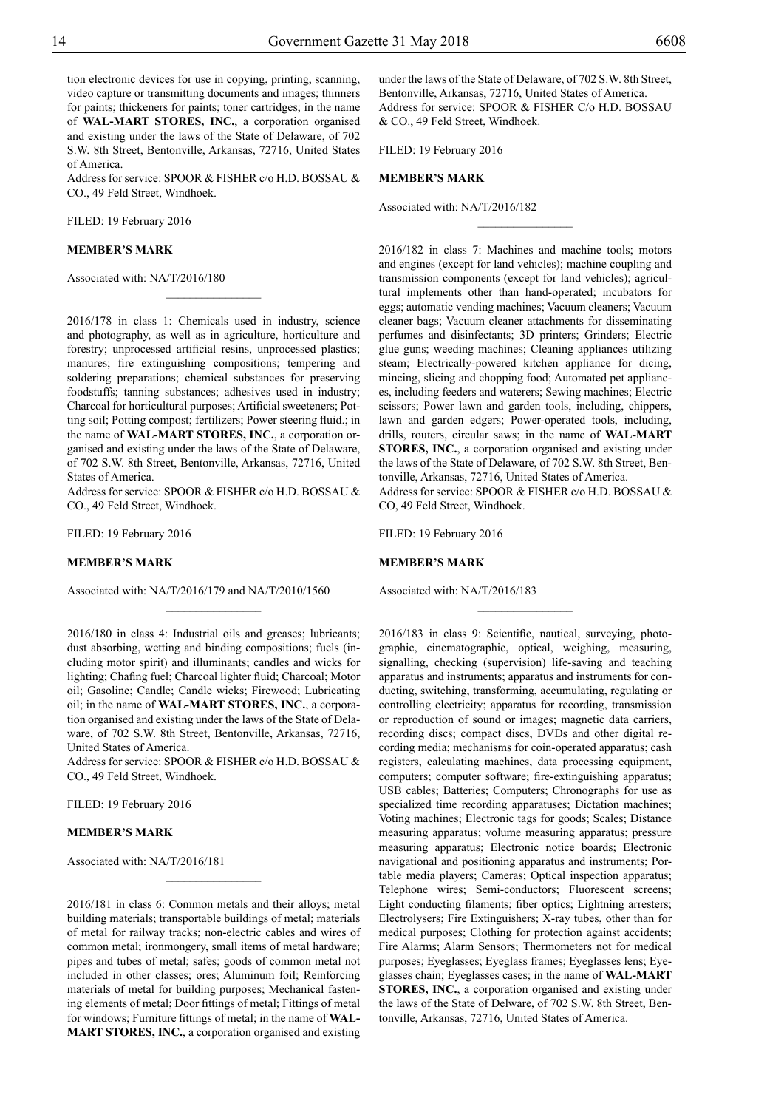tion electronic devices for use in copying, printing, scanning, video capture or transmitting documents and images; thinners for paints; thickeners for paints; toner cartridges; in the name of **WAL-MART STORES, INC.**, a corporation organised and existing under the laws of the State of Delaware, of 702 S.W. 8th Street, Bentonville, Arkansas, 72716, United States of America.

Address for service: SPOOR & FISHER c/o H.D. BOSSAU & Co., 49 Feld Street, Windhoek.

Filed: 19 February 2016

#### **MEMBER'S MARK**

Associated with: NA/T/2016/180

2016/178 in class 1: Chemicals used in industry, science and photography, as well as in agriculture, horticulture and forestry; unprocessed artificial resins, unprocessed plastics; manures; fire extinguishing compositions; tempering and soldering preparations; chemical substances for preserving foodstuffs; tanning substances; adhesives used in industry; Charcoal for horticultural purposes; Artificial sweeteners; Potting soil; Potting compost; fertilizers; Power steering fluid.; in the name of **WAL-MART STORES, INC.**, a corporation organised and existing under the laws of the State of Delaware, of 702 S.W. 8th Street, Bentonville, Arkansas, 72716, United States of America.

 $\frac{1}{2}$ 

Address for service: SPOOR & FISHER c/o H.D. BOSSAU & Co., 49 Feld Street, Windhoek.

FILED: 19 February 2016

#### **MEMBER'S MARK**

Associated with: NA/T/2016/179 and NA/T/2010/1560

 $\frac{1}{2}$ 

2016/180 in class 4: Industrial oils and greases; lubricants; dust absorbing, wetting and binding compositions; fuels (including motor spirit) and illuminants; candles and wicks for lighting; Chafing fuel; Charcoal lighter fluid; Charcoal; Motor oil; Gasoline; Candle; Candle wicks; Firewood; Lubricating oil; in the name of **WAL-MART STORES, INC.**, a corporation organised and existing under the laws of the State of Delaware, of 702 S.W. 8th Street, Bentonville, Arkansas, 72716, United States of America.

Address for service: SPOOR & FISHER c/o H.D. BOSSAU & Co., 49 Feld Street, Windhoek.

FILED: 19 February 2016

#### **MEMBER'S MARK**

Associated with: NA/T/2016/181

2016/181 in class 6: Common metals and their alloys; metal building materials; transportable buildings of metal; materials of metal for railway tracks; non-electric cables and wires of common metal; ironmongery, small items of metal hardware; pipes and tubes of metal; safes; goods of common metal not included in other classes; ores; Aluminum foil; Reinforcing materials of metal for building purposes; Mechanical fastening elements of metal; Door fittings of metal; Fittings of metal for windows; Furniture fittings of metal; in the name of **WAL-MART STORES, INC.**, a corporation organised and existing

 $\overline{\phantom{a}}$  , where  $\overline{\phantom{a}}$ 

under the laws of the State of Delaware, of 702 S.W. 8th Street, Bentonville, Arkansas, 72716, United States of America. Address for service: SPOOR & FISHER C/o H.D. BOSSAU & Co., 49 Feld Street, Windhoek.

 $\frac{1}{2}$ 

FILED: 19 February 2016

#### **MEMBER'S MARK**

Associated with: NA/T/2016/182

2016/182 in class 7: Machines and machine tools; motors and engines (except for land vehicles); machine coupling and transmission components (except for land vehicles); agricultural implements other than hand-operated; incubators for eggs; automatic vending machines; Vacuum cleaners; Vacuum cleaner bags; Vacuum cleaner attachments for disseminating perfumes and disinfectants; 3D printers; Grinders; Electric glue guns; weeding machines; Cleaning appliances utilizing steam; Electrically-powered kitchen appliance for dicing, mincing, slicing and chopping food; Automated pet appliances, including feeders and waterers; Sewing machines; Electric scissors; Power lawn and garden tools, including, chippers, lawn and garden edgers; Power-operated tools, including, drills, routers, circular saws; in the name of **WAL-MART STORES, INC.**, a corporation organised and existing under the laws of the State of Delaware, of 702 S.W. 8th Street, Bentonville, Arkansas, 72716, United States of America.

Address for service: SPOOR & FISHER c/o H.D. BOSSAU & Co, 49 Feld Street, Windhoek.

 $\frac{1}{2}$ 

FILED: 19 February 2016

#### **MEMBER'S MARK**

Associated with: NA/T/2016/183

2016/183 in class 9: Scientific, nautical, surveying, photographic, cinematographic, optical, weighing, measuring, signalling, checking (supervision) life-saving and teaching apparatus and instruments; apparatus and instruments for conducting, switching, transforming, accumulating, regulating or controlling electricity; apparatus for recording, transmission or reproduction of sound or images; magnetic data carriers, recording discs; compact discs, DVDs and other digital recording media; mechanisms for coin-operated apparatus; cash registers, calculating machines, data processing equipment, computers; computer software; fire-extinguishing apparatus; USB cables; Batteries; Computers; Chronographs for use as specialized time recording apparatuses; Dictation machines; Voting machines; Electronic tags for goods; Scales; Distance measuring apparatus; volume measuring apparatus; pressure measuring apparatus; Electronic notice boards; Electronic navigational and positioning apparatus and instruments; Portable media players; Cameras; Optical inspection apparatus; Telephone wires; Semi-conductors; Fluorescent screens; Light conducting filaments; fiber optics; Lightning arresters; Electrolysers; Fire Extinguishers; X-ray tubes, other than for medical purposes; Clothing for protection against accidents; Fire Alarms; Alarm Sensors; Thermometers not for medical purposes; Eyeglasses; Eyeglass frames; Eyeglasses lens; Eyeglasses chain; Eyeglasses cases; in the name of **WAL-MART STORES, INC.**, a corporation organised and existing under the laws of the State of Delware, of 702 S.W. 8th Street, Bentonville, Arkansas, 72716, United States of America.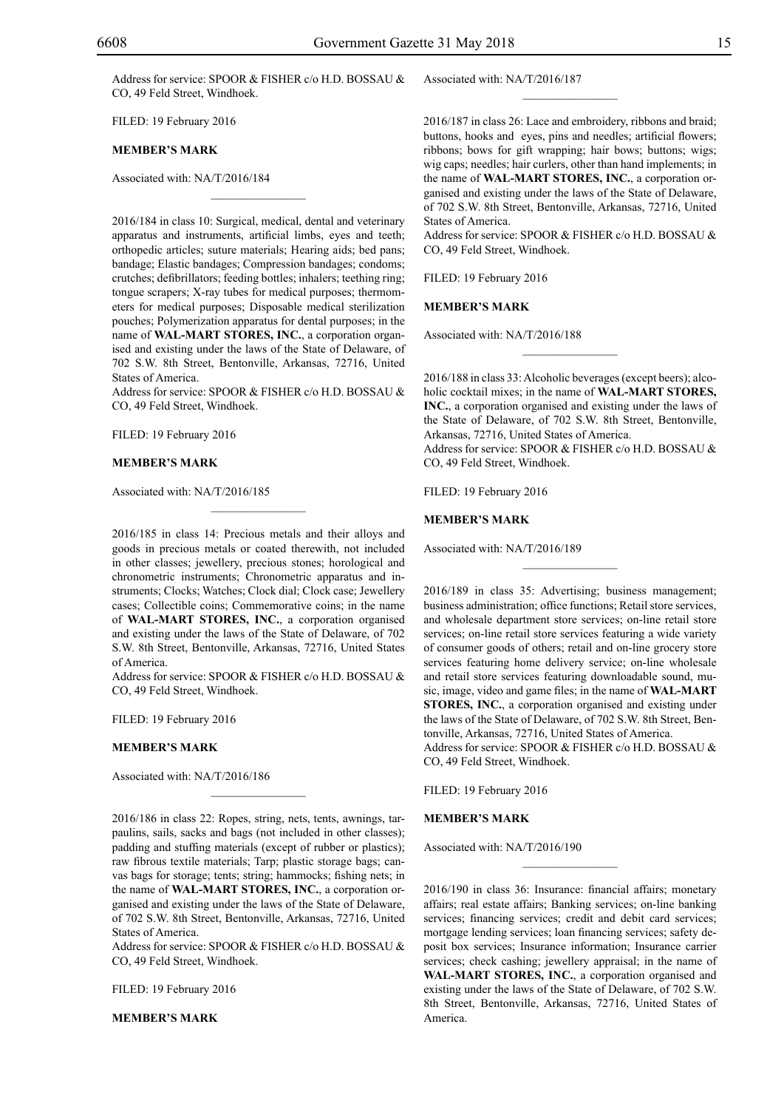Address for service: SPOOR & FISHER c/o H.D. BOSSAU & CO, 49 Feld Street, Windhoek.

Filed: 19 February 2016

#### **MEMBER'S MARK**

Associated with: NA/T/2016/184

2016/184 in class 10: Surgical, medical, dental and veterinary apparatus and instruments, artificial limbs, eyes and teeth; orthopedic articles; suture materials; Hearing aids; bed pans; bandage; Elastic bandages; Compression bandages; condoms; crutches; defibrillators; feeding bottles; inhalers; teething ring; tongue scrapers; X-ray tubes for medical purposes; thermometers for medical purposes; Disposable medical sterilization pouches; Polymerization apparatus for dental purposes; in the name of **WAL-MART STORES, INC.**, a corporation organised and existing under the laws of the State of Delaware, of 702 S.W. 8th Street, Bentonville, Arkansas, 72716, United States of America.

 $\overline{\phantom{a}}$  , where  $\overline{\phantom{a}}$ 

Address for service: SPOOR & FISHER c/o H.D. BOSSAU & Co, 49 Feld Street, Windhoek.

FILED: 19 February 2016

#### **MEMBER'S MARK**

Associated with: NA/T/2016/185

2016/185 in class 14: Precious metals and their alloys and goods in precious metals or coated therewith, not included in other classes; jewellery, precious stones; horological and chronometric instruments; Chronometric apparatus and instruments; Clocks; Watches; Clock dial; Clock case; Jewellery cases; Collectible coins; Commemorative coins; in the name of **WAL-MART STORES, INC.**, a corporation organised and existing under the laws of the State of Delaware, of 702 S.W. 8th Street, Bentonville, Arkansas, 72716, United States of America.

 $\overline{\phantom{a}}$  , where  $\overline{\phantom{a}}$ 

Address for service: SPOOR & FISHER c/o H.D. BOSSAU & Co, 49 Feld Street, Windhoek.

FILED: 19 February 2016

#### **MEMBER'S MARK**

Associated with: NA/T/2016/186

2016/186 in class 22: Ropes, string, nets, tents, awnings, tarpaulins, sails, sacks and bags (not included in other classes); padding and stuffing materials (except of rubber or plastics); raw fibrous textile materials; Tarp; plastic storage bags; canvas bags for storage; tents; string; hammocks; fishing nets; in the name of **WAL-MART STORES, INC.**, a corporation organised and existing under the laws of the State of Delaware, of 702 S.W. 8th Street, Bentonville, Arkansas, 72716, United States of America.

 $\mathcal{L}=\mathcal{L}^{\text{max}}$ 

Address for service: SPOOR & FISHER c/o H.D. BOSSAU & CO, 49 Feld Street, Windhoek.

FILED: 19 February 2016

**MEMBER'S MARK**

Associated with: NA/T/2016/187

2016/187 in class 26: Lace and embroidery, ribbons and braid; buttons, hooks and eyes, pins and needles; artificial flowers; ribbons; bows for gift wrapping; hair bows; buttons; wigs; wig caps; needles; hair curlers, other than hand implements; in the name of **WAL-MART STORES, INC.**, a corporation organised and existing under the laws of the State of Delaware, of 702 S.W. 8th Street, Bentonville, Arkansas, 72716, United States of America.

 $\frac{1}{2}$ 

Address for service: SPOOR & FISHER c/o H.D. BOSSAU & Co, 49 Feld Street, Windhoek.

FILED: 19 February 2016

#### **MEMBER'S MARK**

Associated with: NA/T/2016/188

2016/188 in class 33: Alcoholic beverages (except beers); alcoholic cocktail mixes; in the name of **WAL-MART STORES, INC.**, a corporation organised and existing under the laws of the State of Delaware, of 702 S.W. 8th Street, Bentonville, Arkansas, 72716, United States of America. Address for service: SPOOR & FISHER c/o H.D. BOSSAU & Co, 49 Feld Street, Windhoek.

 $\overline{\phantom{a}}$  , we can also the set of  $\overline{\phantom{a}}$ 

FILED: 19 February 2016

#### **MEMBER'S MARK**

Associated with: NA/T/2016/189

2016/189 in class 35: Advertising; business management; business administration; office functions; Retail store services, and wholesale department store services; on-line retail store services; on-line retail store services featuring a wide variety of consumer goods of others; retail and on-line grocery store services featuring home delivery service; on-line wholesale and retail store services featuring downloadable sound, music, image, video and game files; in the name of **WAL-MART STORES, INC.**, a corporation organised and existing under the laws of the State of Delaware, of 702 S.W. 8th Street, Bentonville, Arkansas, 72716, United States of America. Address for service: SPOOR & FISHER c/o H.D. BOSSAU & Co, 49 Feld Street, Windhoek.

 $\frac{1}{2}$ 

FILED: 19 February 2016

#### **MEMBER'S MARK**

Associated with: NA/T/2016/190

2016/190 in class 36: Insurance: financial affairs; monetary affairs; real estate affairs; Banking services; on-line banking services; financing services; credit and debit card services; mortgage lending services; loan financing services; safety deposit box services; Insurance information; Insurance carrier services; check cashing; jewellery appraisal; in the name of **WAL-MART STORES, INC.**, a corporation organised and existing under the laws of the State of Delaware, of 702 S.W. 8th Street, Bentonville, Arkansas, 72716, United States of America.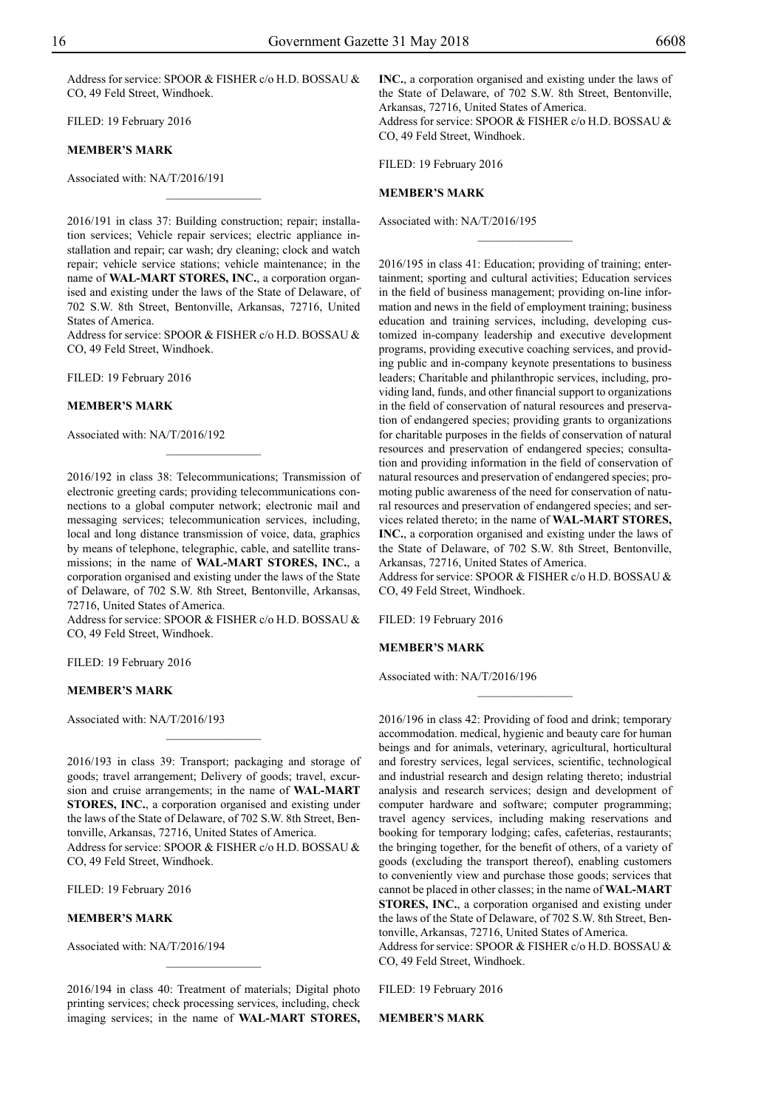Address for service: SPOOR & FISHER c/o H.D. BOSSAU & CO, 49 Feld Street, Windhoek.

FILED: 19 February 2016

#### **MEMBER'S MARK**

Associated with: NA/T/2016/191

2016/191 in class 37: Building construction; repair; installation services; Vehicle repair services; electric appliance installation and repair; car wash; dry cleaning; clock and watch repair; vehicle service stations; vehicle maintenance; in the name of **WAL-MART STORES, INC.**, a corporation organised and existing under the laws of the State of Delaware, of 702 S.W. 8th Street, Bentonville, Arkansas, 72716, United States of America.

 $\overline{\phantom{a}}$  , where  $\overline{\phantom{a}}$ 

Address for service: SPOOR & FISHER c/o H.D. BOSSAU & Co, 49 Feld Street, Windhoek.

FILED: 19 February 2016

#### **MEMBER'S MARK**

Associated with: NA/T/2016/192

2016/192 in class 38: Telecommunications; Transmission of electronic greeting cards; providing telecommunications connections to a global computer network; electronic mail and messaging services; telecommunication services, including, local and long distance transmission of voice, data, graphics by means of telephone, telegraphic, cable, and satellite transmissions; in the name of **WAL-MART STORES, INC.**, a corporation organised and existing under the laws of the State of Delaware, of 702 S.W. 8th Street, Bentonville, Arkansas, 72716, United States of America.

Address for service: SPOOR & FISHER c/o H.D. BOSSAU & Co, 49 Feld Street, Windhoek.

FILED: 19 February 2016

#### **MEMBER'S MARK**

Associated with: NA/T/2016/193

2016/193 in class 39: Transport; packaging and storage of goods; travel arrangement; Delivery of goods; travel, excursion and cruise arrangements; in the name of **WAL-MART STORES, INC.**, a corporation organised and existing under the laws of the State of Delaware, of 702 S.W. 8th Street, Bentonville, Arkansas, 72716, United States of America. Address for service: SPOOR & FISHER c/o H.D. BOSSAU & Co, 49 Feld Street, Windhoek.

FILED: 19 February 2016

#### **MEMBER'S MARK**

Associated with: NA/T/2016/194

2016/194 in class 40: Treatment of materials; Digital photo printing services; check processing services, including, check imaging services; in the name of **WAL-MART STORES,** 

 $\frac{1}{2}$ 

**INC.**, a corporation organised and existing under the laws of the State of Delaware, of 702 S.W. 8th Street, Bentonville, Arkansas, 72716, United States of America. Address for service: SPOOR & FISHER c/o H.D. BOSSAU & Co, 49 Feld Street, Windhoek.

 $\frac{1}{2}$ 

FILED: 19 February 2016

#### **MEMBER'S MARK**

Associated with: NA/T/2016/195

2016/195 in class 41: Education; providing of training; entertainment; sporting and cultural activities; Education services in the field of business management; providing on-line information and news in the field of employment training; business education and training services, including, developing customized in-company leadership and executive development programs, providing executive coaching services, and providing public and in-company keynote presentations to business leaders; Charitable and philanthropic services, including, providing land, funds, and other financial support to organizations in the field of conservation of natural resources and preservation of endangered species; providing grants to organizations for charitable purposes in the fields of conservation of natural resources and preservation of endangered species; consultation and providing information in the field of conservation of natural resources and preservation of endangered species; promoting public awareness of the need for conservation of natural resources and preservation of endangered species; and services related thereto; in the name of **WAL-MART STORES, INC.**, a corporation organised and existing under the laws of the State of Delaware, of 702 S.W. 8th Street, Bentonville, Arkansas, 72716, United States of America.

Address for service: SPOOR & FISHER c/o H.D. BOSSAU & Co, 49 Feld Street, Windhoek.

 $\frac{1}{2}$ 

FILED: 19 February 2016

#### **MEMBER'S MARK**

Associated with: NA/T/2016/196

2016/196 in class 42: Providing of food and drink; temporary accommodation. medical, hygienic and beauty care for human beings and for animals, veterinary, agricultural, horticultural and forestry services, legal services, scientific, technological and industrial research and design relating thereto; industrial analysis and research services; design and development of computer hardware and software; computer programming; travel agency services, including making reservations and booking for temporary lodging; cafes, cafeterias, restaurants; the bringing together, for the benefit of others, of a variety of goods (excluding the transport thereof), enabling customers to conveniently view and purchase those goods; services that cannot be placed in other classes; in the name of **WAL-MART STORES, INC.**, a corporation organised and existing under the laws of the State of Delaware, of 702 S.W. 8th Street, Bentonville, Arkansas, 72716, United States of America.

Address for service: SPOOR & FISHER c/o H.D. BOSSAU & CO, 49 Feld Street, Windhoek.

Filed: 19 February 2016

**MEMBER'S MARK**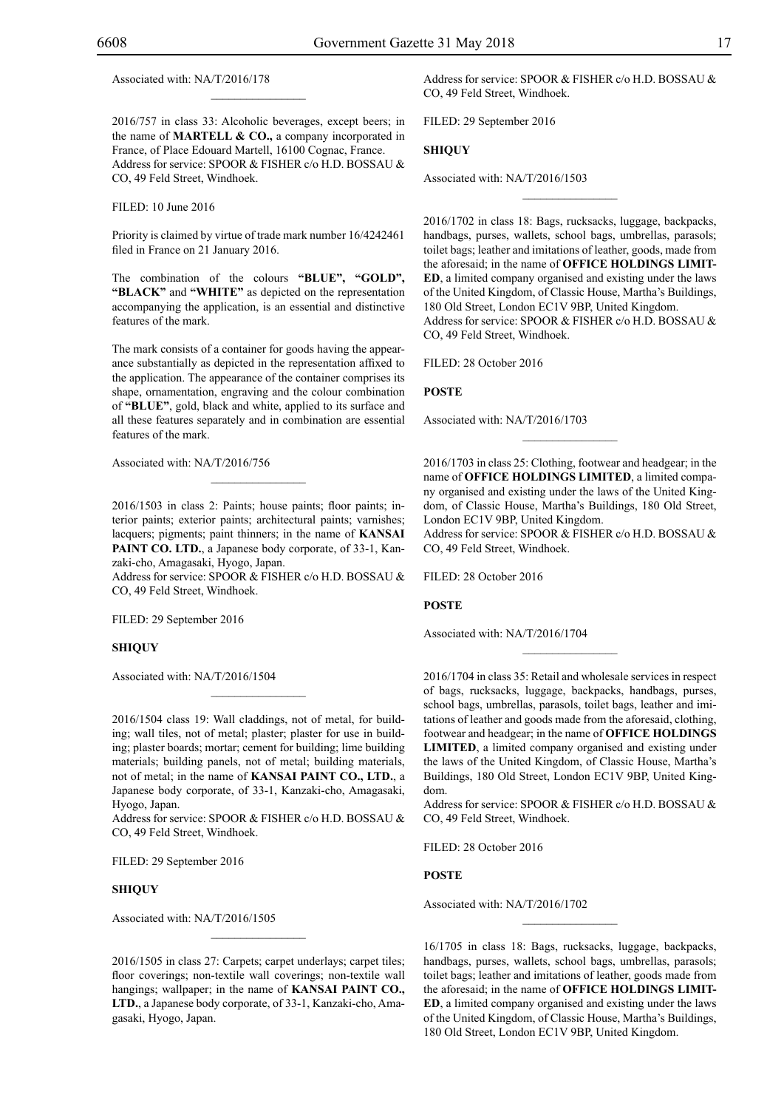Associated with: NA/T/2016/178

2016/757 in class 33: Alcoholic beverages, except beers; in the name of **MARTELL & CO.,** a company incorporated in France, of Place Edouard Martell, 16100 Cognac, France. Address for service: SPOOR & FISHER c/o H.D. BOSSAU & Co, 49 Feld Street, Windhoek.

 $\mathcal{L}=\mathcal{L}^{\text{max}}$ 

Filed: 10 June 2016

Priority is claimed by virtue of trade mark number 16/4242461 filed in France on 21 January 2016.

The combination of the colours "BLUE", "GOLD", **"BLACK"** and **"WHITE"** as depicted on the representation accompanying the application, is an essential and distinctive features of the mark.

The mark consists of a container for goods having the appearance substantially as depicted in the representation affixed to the application. The appearance of the container comprises its shape, ornamentation, engraving and the colour combination of **"Blue"**, gold, black and white, applied to its surface and all these features separately and in combination are essential features of the mark.

Associated with: NA/T/2016/756

2016/1503 in class 2: Paints; house paints; floor paints; interior paints; exterior paints; architectural paints; varnishes; lacquers; pigments; paint thinners; in the name of **KANSAI PAINT CO. LTD.**, a Japanese body corporate, of 33-1, Kanzaki-cho, Amagasaki, Hyogo, Japan.

 $\mathcal{L}=\mathcal{L}^{\text{max}}$ 

Address for service: SPOOR & FISHER c/o H.D. BOSSAU & Co, 49 Feld Street, Windhoek.

FILED: 29 September 2016

#### **SHIQUY**

Associated with: NA/T/2016/1504

2016/1504 class 19: Wall claddings, not of metal, for building; wall tiles, not of metal; plaster; plaster for use in building; plaster boards; mortar; cement for building; lime building materials; building panels, not of metal; building materials, not of metal; in the name of **KANSAI PAINT CO., LTD.**, a Japanese body corporate, of 33-1, Kanzaki-cho, Amagasaki, Hyogo, Japan.

 $\mathcal{L}=\mathcal{L}^{\text{max}}$ 

Address for service: SPOOR & FISHER c/o H.D. BOSSAU & CO, 49 Feld Street, Windhoek.

FILED: 29 September 2016

#### **SHIQUY**

Associated with: NA/T/2016/1505

2016/1505 in class 27: Carpets; carpet underlays; carpet tiles; floor coverings; non-textile wall coverings; non-textile wall hangings; wallpaper; in the name of **KANSAI PAINT CO., LTD.**, a Japanese body corporate, of 33-1, Kanzaki-cho, Amagasaki, Hyogo, Japan.

 $\mathcal{L}=\mathcal{L}^{\text{max}}$ 

Address for service: SPOOR & FISHER c/o H.D. BOSSAU & Co, 49 Feld Street, Windhoek.

Filed: 29 September 2016

#### **SHIQUY**

Associated with: NA/T/2016/1503

2016/1702 in class 18: Bags, rucksacks, luggage, backpacks, handbags, purses, wallets, school bags, umbrellas, parasols; toilet bags; leather and imitations of leather, goods, made from the aforesaid; in the name of **OFFICE HOLDINGS LIMIT-ED**, a limited company organised and existing under the laws of the United Kingdom, of Classic House, Martha's Buildings, 180 Old Street, London EC1V 9BP, United Kingdom. Address for service: SPOOR & FISHER c/o H.D. BOSSAU & Co, 49 Feld Street, Windhoek.

 $\overline{\phantom{a}}$  , we can also the set of  $\overline{\phantom{a}}$ 

Filed: 28 October 2016

#### **POSTE**

Associated with: NA/T/2016/1703

2016/1703 in class 25: Clothing, footwear and headgear; in the name of **OFFICE HOLDINGS LIMITED**, a limited company organised and existing under the laws of the United Kingdom, of Classic House, Martha's Buildings, 180 Old Street, London EC1V 9BP, United Kingdom.

 $\frac{1}{2}$ 

Address for service: SPOOR & FISHER c/o H.D. BOSSAU & Co, 49 Feld Street, Windhoek.

FILED: 28 October 2016

#### **POSTE**

Associated with: NA/T/2016/1704

2016/1704 in class 35: Retail and wholesale services in respect of bags, rucksacks, luggage, backpacks, handbags, purses, school bags, umbrellas, parasols, toilet bags, leather and imitations of leather and goods made from the aforesaid, clothing, footwear and headgear; in the name of **OFFICE HOLDINGS LIMITED**, a limited company organised and existing under the laws of the United Kingdom, of Classic House, Martha's Buildings, 180 Old Street, London EC1V 9BP, United Kingdom.

 $\overline{\phantom{a}}$  , we can also the set of  $\overline{\phantom{a}}$ 

Address for service: SPOOR & FISHER c/o H.D. BOSSAU & Co, 49 Feld Street, Windhoek.

Filed: 28 October 2016

#### **POSTE**

Associated with: NA/T/2016/1702

16/1705 in class 18: Bags, rucksacks, luggage, backpacks, handbags, purses, wallets, school bags, umbrellas, parasols; toilet bags; leather and imitations of leather, goods made from the aforesaid; in the name of **OFFICE HOLDINGS LIMIT-ED**, a limited company organised and existing under the laws of the United Kingdom, of Classic House, Martha's Buildings, 180 Old Street, London EC1V 9BP, United Kingdom.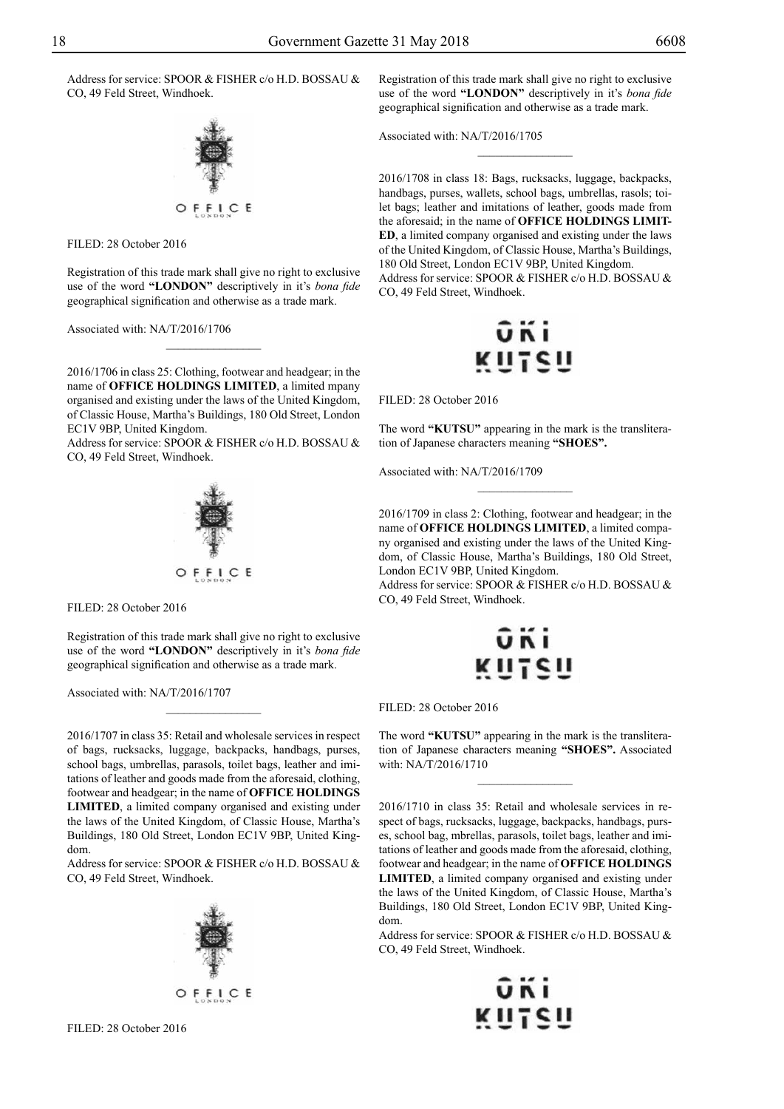Address for service: SPOOR & FISHER c/o H.D. BOSSAU & Co, 49 Feld Street, Windhoek.



FILED: 28 October 2016

Registration of this trade mark shall give no right to exclusive use of the word **"LONDON"** descriptively in it's *bona fide* geographical signification and otherwise as a trade mark.

 $\overline{\phantom{a}}$  , where  $\overline{\phantom{a}}$ 

Associated with: NA/T/2016/1706

2016/1706 in class 25: Clothing, footwear and headgear; in the name of **OFFICE HOLDINGS LIMITED**, a limited mpany organised and existing under the laws of the United Kingdom, of Classic House, Martha's Buildings, 180 Old Street, London EC1V 9BP, United Kingdom.

Address for service: SPOOR & FISHER c/o H.D. BOSSAU & Co, 49 Feld Street, Windhoek.



FILED: 28 October 2016

Registration of this trade mark shall give no right to exclusive use of the word **"LONDON"** descriptively in it's *bona fide* geographical signification and otherwise as a trade mark.

 $\frac{1}{2}$ 

Associated with: NA/T/2016/1707

2016/1707 in class 35: Retail and wholesale services in respect of bags, rucksacks, luggage, backpacks, handbags, purses, school bags, umbrellas, parasols, toilet bags, leather and imitations of leather and goods made from the aforesaid, clothing, footwear and headgear; in the name of **OFFICE HOLDINGS LIMITED**, a limited company organised and existing under the laws of the United Kingdom, of Classic House, Martha's Buildings, 180 Old Street, London EC1V 9BP, United Kingdom.

Address for service: SPOOR & FISHER c/o H.D. BOSSAU & Co, 49 Feld Street, Windhoek.



Registration of this trade mark shall give no right to exclusive use of the word **"LONDON"** descriptively in it's *bona fide* geographical signification and otherwise as a trade mark.

 $\frac{1}{2}$ 

Associated with: NA/T/2016/1705

2016/1708 in class 18: Bags, rucksacks, luggage, backpacks, handbags, purses, wallets, school bags, umbrellas, rasols; toilet bags; leather and imitations of leather, goods made from the aforesaid; in the name of **OFFICE HOLDINGS LIMIT-ED**, a limited company organised and existing under the laws of the United Kingdom, of Classic House, Martha's Buildings, 180 Old Street, London EC1V 9BP, United Kingdom. Address for service: SPOOR & FISHER c/o H.D. BOSSAU & Co, 49 Feld Street, Windhoek.



Filed: 28 October 2016

The word **"KUTSU"** appearing in the mark is the transliteration of Japanese characters meaning **"SHOES".**

 $\frac{1}{2}$ 

Associated with: NA/T/2016/1709

2016/1709 in class 2: Clothing, footwear and headgear; in the name of **OFFICE HOLDINGS LIMITED**, a limited company organised and existing under the laws of the United Kingdom, of Classic House, Martha's Buildings, 180 Old Street, London EC1V 9BP, United Kingdom.

Address for service: SPOOR & FISHER c/o H.D. BOSSAU & CO, 49 Feld Street, Windhoek.



FILED: 28 October 2016

The word **"KUTSU"** appearing in the mark is the transliteration of Japanese characters meaning **"SHOES".** Associated with: NA/T/2016/1710

 $\frac{1}{2}$ 

2016/1710 in class 35: Retail and wholesale services in respect of bags, rucksacks, luggage, backpacks, handbags, purses, school bag, mbrellas, parasols, toilet bags, leather and imitations of leather and goods made from the aforesaid, clothing, footwear and headgear; in the name of **OFFICE HOLDINGS LIMITED**, a limited company organised and existing under the laws of the United Kingdom, of Classic House, Martha's Buildings, 180 Old Street, London EC1V 9BP, United Kingdom.

Address for service: SPOOR & FISHER c/o H.D. BOSSAU & Co, 49 Feld Street, Windhoek.

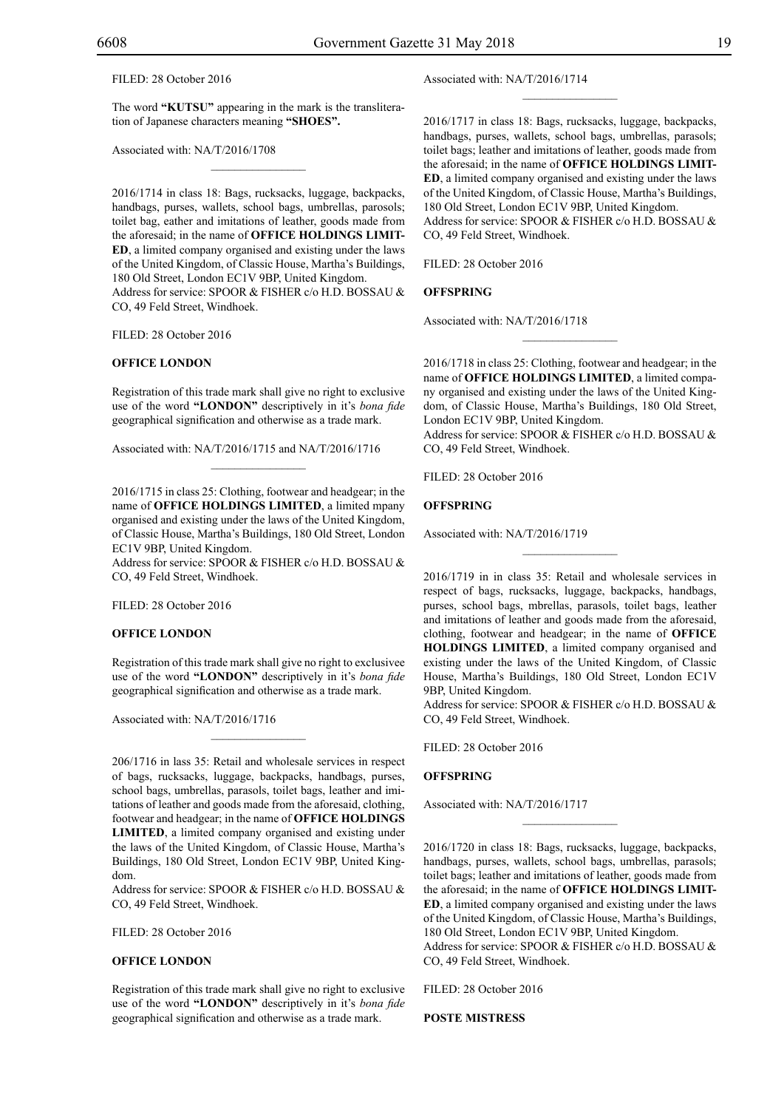FILED: 28 October 2016

The word **"KUTSU"** appearing in the mark is the transliteration of Japanese characters meaning **"SHOES".**

 $\mathcal{L}=\mathcal{L}^{\mathcal{L}}$ 

Associated with: NA/T/2016/1708

2016/1714 in class 18: Bags, rucksacks, luggage, backpacks, handbags, purses, wallets, school bags, umbrellas, parosols; toilet bag, eather and imitations of leather, goods made from the aforesaid; in the name of **OFFICE HOLDINGS LIMIT-ED**, a limited company organised and existing under the laws of the United Kingdom, of Classic House, Martha's Buildings, 180 Old Street, London EC1V 9BP, United Kingdom. Address for service: SPOOR & FISHER c/o H.D. BOSSAU & Co, 49 Feld Street, Windhoek.

FILED: 28 October 2016

#### **OFFICE LONDON**

Registration of this trade mark shall give no right to exclusive use of the word **"LONDON"** descriptively in it's *bona fide* geographical signification and otherwise as a trade mark.

 $\mathcal{L}=\mathcal{L}^{\mathcal{L}}$ 

Associated with: NA/T/2016/1715 and NA/T/2016/1716

2016/1715 in class 25: Clothing, footwear and headgear; in the name of **OFFICE HOLDINGS LIMITED**, a limited mpany organised and existing under the laws of the United Kingdom, of Classic House, Martha's Buildings, 180 Old Street, London EC1V 9BP, United Kingdom.

Address for service: SPOOR & FISHER c/o H.D. BOSSAU & CO, 49 Feld Street, Windhoek.

FILED: 28 October 2016

#### **OFFICE LONDON**

Registration of this trade mark shall give no right to exclusivee use of the word **"LONDON"** descriptively in it's *bona fide* geographical signification and otherwise as a trade mark.

Associated with: NA/T/2016/1716

206/1716 in lass 35: Retail and wholesale services in respect of bags, rucksacks, luggage, backpacks, handbags, purses, school bags, umbrellas, parasols, toilet bags, leather and imitations of leather and goods made from the aforesaid, clothing, footwear and headgear; in the name of **OFFICE HOLDINGS LIMITED**, a limited company organised and existing under the laws of the United Kingdom, of Classic House, Martha's Buildings, 180 Old Street, London EC1V 9BP, United Kingdom.

Address for service: SPOOR & FISHER c/o H.D. BOSSAU & Co, 49 Feld Street, Windhoek.

Filed: 28 October 2016

#### **OFFICE LONDON**

Registration of this trade mark shall give no right to exclusive use of the word **"LONDON"** descriptively in it's *bona fide* geographical signification and otherwise as a trade mark.

Associated with: NA/T/2016/1714

2016/1717 in class 18: Bags, rucksacks, luggage, backpacks, handbags, purses, wallets, school bags, umbrellas, parasols; toilet bags; leather and imitations of leather, goods made from the aforesaid; in the name of **OFFICE HOLDINGS LIMIT-ED**, a limited company organised and existing under the laws of the United Kingdom, of Classic House, Martha's Buildings, 180 Old Street, London EC1V 9BP, United Kingdom. Address for service: SPOOR & FISHER c/o H.D. BOSSAU & Co, 49 Feld Street, Windhoek.

 $\frac{1}{2}$ 

FILED: 28 October 2016

#### **OFFSPRING**

Associated with: NA/T/2016/1718

2016/1718 in class 25: Clothing, footwear and headgear; in the name of **OFFICE HOLDINGS LIMITED**, a limited company organised and existing under the laws of the United Kingdom, of Classic House, Martha's Buildings, 180 Old Street, London EC1V 9BP, United Kingdom. Address for service: SPOOR & FISHER c/o H.D. BOSSAU &

 $\frac{1}{2}$ 

Co, 49 Feld Street, Windhoek.

Filed: 28 October 2016

#### **OFFSPRING**

Associated with: NA/T/2016/1719

2016/1719 in in class 35: Retail and wholesale services in respect of bags, rucksacks, luggage, backpacks, handbags, purses, school bags, mbrellas, parasols, toilet bags, leather and imitations of leather and goods made from the aforesaid, clothing, footwear and headgear; in the name of **OFFICE HOLDINGS LIMITED**, a limited company organised and existing under the laws of the United Kingdom, of Classic House, Martha's Buildings, 180 Old Street, London EC1V 9BP, United Kingdom.

 $\frac{1}{2}$ 

Address for service: SPOOR & FISHER c/o H.D. BOSSAU & Co, 49 Feld Street, Windhoek.

Filed: 28 October 2016

#### **OFFSPRING**

Associated with: NA/T/2016/1717

2016/1720 in class 18: Bags, rucksacks, luggage, backpacks, handbags, purses, wallets, school bags, umbrellas, parasols; toilet bags; leather and imitations of leather, goods made from the aforesaid; in the name of **OFFICE HOLDINGS LIMIT-ED**, a limited company organised and existing under the laws of the United Kingdom, of Classic House, Martha's Buildings, 180 Old Street, London EC1V 9BP, United Kingdom. Address for service: SPOOR & FISHER c/o H.D. BOSSAU & CO, 49 Feld Street, Windhoek.

 $\frac{1}{2}$ 

FILED: 28 October 2016

**POSTE MISTRESS**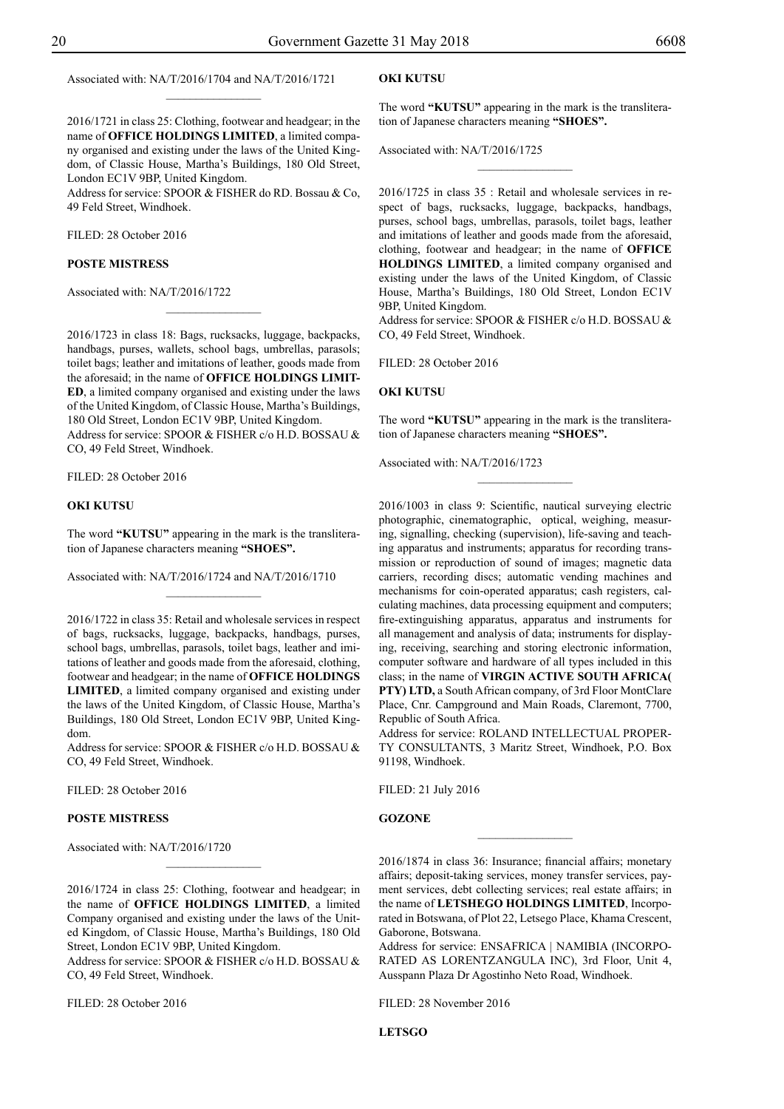Associated with: NA/T/2016/1704 and NA/T/2016/1721

2016/1721 in class 25: Clothing, footwear and headgear; in the name of **OFFICE HOLDINGS LIMITED**, a limited company organised and existing under the laws of the United Kingdom, of Classic House, Martha's Buildings, 180 Old Street, London EC1V 9BP, United Kingdom.

 $\frac{1}{2}$ 

Address for service: SPOOR & FISHER do RD. Bossau & Co, 49 Feld Street, Windhoek.

Filed: 28 October 2016

#### **POSTE MISTRESS**

Associated with: NA/T/2016/1722

2016/1723 in class 18: Bags, rucksacks, luggage, backpacks, handbags, purses, wallets, school bags, umbrellas, parasols; toilet bags; leather and imitations of leather, goods made from the aforesaid; in the name of **OFFICE HOLDINGS LIMIT-ED**, a limited company organised and existing under the laws of the United Kingdom, of Classic House, Martha's Buildings, 180 Old Street, London EC1V 9BP, United Kingdom. Address for service: SPOOR & FISHER c/o H.D. BOSSAU & Co, 49 Feld Street, Windhoek.

 $\frac{1}{2}$ 

FILED: 28 October 2016

#### **OKI KUTSU**

The word **"KUTSU"** appearing in the mark is the transliteration of Japanese characters meaning **"SHOES".**

Associated with: NA/T/2016/1724 and NA/T/2016/1710

2016/1722 in class 35: Retail and wholesale services in respect of bags, rucksacks, luggage, backpacks, handbags, purses, school bags, umbrellas, parasols, toilet bags, leather and imitations of leather and goods made from the aforesaid, clothing, footwear and headgear; in the name of **OFFICE HOLDINGS LIMITED**, a limited company organised and existing under the laws of the United Kingdom, of Classic House, Martha's Buildings, 180 Old Street, London EC1V 9BP, United Kingdom.

Address for service: SPOOR & FISHER c/o H.D. BOSSAU & Co, 49 Feld Street, Windhoek.

FILED: 28 October 2016

#### **POSTE MISTRESS**

Associated with: NA/T/2016/1720

2016/1724 in class 25: Clothing, footwear and headgear; in the name of **OFFICE HOLDINGS LIMITED**, a limited Company organised and existing under the laws of the United Kingdom, of Classic House, Martha's Buildings, 180 Old Street, London EC1V 9BP, United Kingdom.

 $\frac{1}{2}$ 

Address for service: SPOOR & FISHER c/o H.D. BOSSAU & Co, 49 Feld Street, Windhoek.

Filed: 28 October 2016

#### **OKI KUTSU**

The word **"KUTSU"** appearing in the mark is the transliteration of Japanese characters meaning **"SHOES".**

 $\overline{\phantom{a}}$  , where  $\overline{\phantom{a}}$ 

Associated with: NA/T/2016/1725

2016/1725 in class 35 : Retail and wholesale services in respect of bags, rucksacks, luggage, backpacks, handbags, purses, school bags, umbrellas, parasols, toilet bags, leather and imitations of leather and goods made from the aforesaid, clothing, footwear and headgear; in the name of **OFFICE HOLDINGS LIMITED**, a limited company organised and existing under the laws of the United Kingdom, of Classic House, Martha's Buildings, 180 Old Street, London EC1V 9BP, United Kingdom.

Address for service: SPOOR & FISHER c/o H.D. BOSSAU & Co, 49 Feld Street, Windhoek.

FILED: 28 October 2016

#### **OKI KUTSU**

The word **"KUTSU"** appearing in the mark is the transliteration of Japanese characters meaning **"SHOES".**

 $\overline{\phantom{a}}$  , where  $\overline{\phantom{a}}$ 

Associated with: NA/T/2016/1723

2016/1003 in class 9: Scientific, nautical surveying electric photographic, cinematographic, optical, weighing, measuring, signalling, checking (supervision), life-saving and teaching apparatus and instruments; apparatus for recording transmission or reproduction of sound of images; magnetic data carriers, recording discs; automatic vending machines and mechanisms for coin-operated apparatus; cash registers, calculating machines, data processing equipment and computers; fire-extinguishing apparatus, apparatus and instruments for all management and analysis of data; instruments for displaying, receiving, searching and storing electronic information, computer software and hardware of all types included in this class; in the name of **VIRGIN ACTIVE SOUTH AFRICA( PTY) LTD,** a South African company, of 3rd Floor MontClare Place, Cnr. Campground and Main Roads, Claremont, 7700, Republic of South Africa.

Address for service: ROLAND INTELLECTUAL PROPERty Consultants, 3 Maritz Street, Windhoek, P.O. Box 91198, Windhoek.

Filed: 21 July 2016

#### **GOZONE**

2016/1874 in class 36: Insurance; financial affairs; monetary affairs; deposit-taking services, money transfer services, payment services, debt collecting services; real estate affairs; in the name of **LETSHEGO HOLDINGS LIMITED**, Incorporated in Botswana, of Plot 22, Letsego Place, Khama Crescent, Gaborone, Botswana.

 $\frac{1}{2}$ 

Address for service: ENSafrica | Namibia (incorporated as LorentzAngula Inc), 3rd Floor, Unit 4, Ausspann Plaza Dr Agostinho Neto Road, Windhoek.

Filed: 28 November 2016

**LETSGO**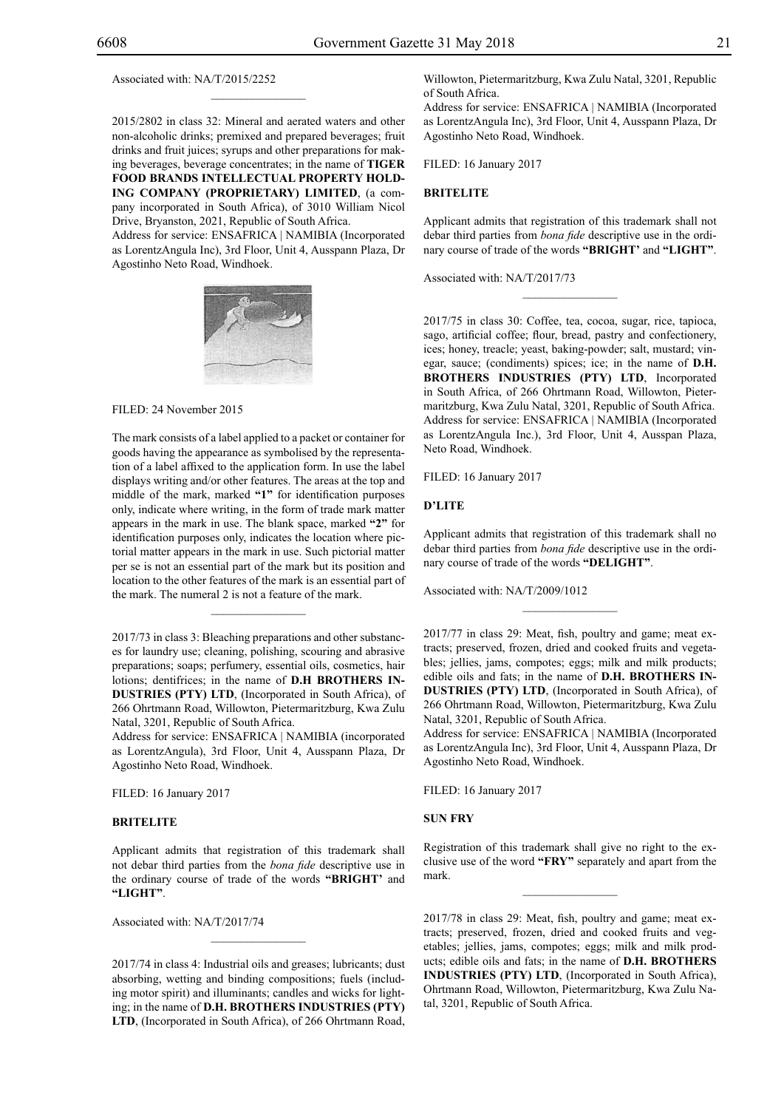Associated with: NA/T/2015/2252

2015/2802 in class 32: Mineral and aerated waters and other non-alcoholic drinks; premixed and prepared beverages; fruit drinks and fruit juices; syrups and other preparations for making beverages, beverage concentrates; in the name of **TIGER FOOD BRANDS INTELLECTUAL PROPERTY HOLD-ING COMPANY (PROPRIETARY) LIMITED**, (a company incorporated in South Africa), of 3010 William Nicol Drive, Bryanston, 2021, Republic of South Africa. Address for service: ENSAFRICA | NAMIBIA (Incorporated as LorentzAngula Inc), 3rd Floor, Unit 4, Ausspann Plaza, Dr Agostinho Neto Road, Windhoek.

 $\mathcal{L}=\mathcal{L}^{\mathcal{L}}$ 



Filed: 24 November 2015

The mark consists of a label applied to a packet or container for goods having the appearance as symbolised by the representation of a label affixed to the application form. In use the label displays writing and/or other features. The areas at the top and middle of the mark, marked **"1"** for identification purposes only, indicate where writing, in the form of trade mark matter appears in the mark in use. The blank space, marked **"2"** for identification purposes only, indicates the location where pictorial matter appears in the mark in use. Such pictorial matter per se is not an essential part of the mark but its position and location to the other features of the mark is an essential part of the mark. The numeral 2 is not a feature of the mark.

2017/73 in class 3: Bleaching preparations and other substances for laundry use; cleaning, polishing, scouring and abrasive preparations; soaps; perfumery, essential oils, cosmetics, hair lotions; dentifrices; in the name of **D.H BROTHERS IN-DUSTRIES (PTY) LTD**, (Incorporated in South Africa), of 266 Ohrtmann Road, Willowton, Pietermaritzburg, Kwa Zulu Natal, 3201, Republic of South Africa.

 $\frac{1}{2}$ 

Address for service: ENSAFRICA | NAMIBIA (incorporated as LorentzAngula), 3rd Floor, Unit 4, Ausspann Plaza, Dr Agostinho Neto Road, Windhoek.

FILED: 16 January 2017

#### **BRITELITE**

Applicant admits that registration of this trademark shall not debar third parties from the *bona fide* descriptive use in the ordinary course of trade of the words **"BRIGHT'** and **"LIGHT"**.

Associated with: NA/T/2017/74

2017/74 in class 4: Industrial oils and greases; lubricants; dust absorbing, wetting and binding compositions; fuels (including motor spirit) and illuminants; candles and wicks for lighting; in the name of **D.H. BROTHERS INDUSTRIES (PTY) LTD**, (Incorporated in South Africa), of 266 Ohrtmann Road,

 $\frac{1}{2}$ 

Willowton, Pietermaritzburg, Kwa Zulu Natal, 3201, Republic of South Africa.

Address for service: ENSAFRICA | NAMIBIA (Incorporated as LorentzAngula Inc), 3rd Floor, Unit 4, Ausspann Plaza, Dr Agostinho Neto Road, Windhoek.

Filed: 16 January 2017

#### **BRITELITE**

Applicant admits that registration of this trademark shall not debar third parties from *bona fide* descriptive use in the ordinary course of trade of the words **"BRIGHT'** and **"LIGHT"**.

 $\frac{1}{2}$ 

Associated with: NA/T/2017/73

2017/75 in class 30: Coffee, tea, cocoa, sugar, rice, tapioca, sago, artificial coffee; flour, bread, pastry and confectionery, ices; honey, treacle; yeast, baking-powder; salt, mustard; vinegar, sauce; (condiments) spices; ice; in the name of **D.H. BROTHERS INDUSTRIES (PTY) LTD**, Incorporated in South Africa, of 266 Ohrtmann Road, Willowton, Pietermaritzburg, Kwa Zulu Natal, 3201, Republic of South Africa. Address for service: ENSAFRICA | NAMIBIA (Incorporated as LorentzAngula Inc.), 3rd Floor, Unit 4, Ausspan Plaza, Neto Road, Windhoek.

Filed: 16 January 2017

#### **D'LITE**

Applicant admits that registration of this trademark shall no debar third parties from *bona fide* descriptive use in the ordinary course of trade of the words **"DELIGHT"**.

 $\frac{1}{2}$ 

Associated with: NA/T/2009/1012

2017/77 in class 29: Meat, fish, poultry and game; meat extracts; preserved, frozen, dried and cooked fruits and vegetables; jellies, jams, compotes; eggs; milk and milk products; edible oils and fats; in the name of **D.H. BROTHERS IN-DUSTRIES (PTY) LTD**, (Incorporated in South Africa), of 266 Ohrtmann Road, Willowton, Pietermaritzburg, Kwa Zulu Natal, 3201, Republic of South Africa.

Address for service: ENSAFRICA | NAMIBIA (Incorporated as LorentzAngula Inc), 3rd Floor, Unit 4, Ausspann Plaza, Dr Agostinho Neto Road, Windhoek.

Filed: 16 January 2017

#### **SUN FRY**

Registration of this trademark shall give no right to the exclusive use of the word **"FRY"** separately and apart from the mark.

 $\frac{1}{2}$ 

2017/78 in class 29: Meat, fish, poultry and game; meat extracts; preserved, frozen, dried and cooked fruits and vegetables; jellies, jams, compotes; eggs; milk and milk products; edible oils and fats; in the name of **D.H. BROTHERS INDUSTRIES (PTY) LTD**, (Incorporated in South Africa), Ohrtmann Road, Willowton, Pietermaritzburg, Kwa Zulu Natal, 3201, Republic of South Africa.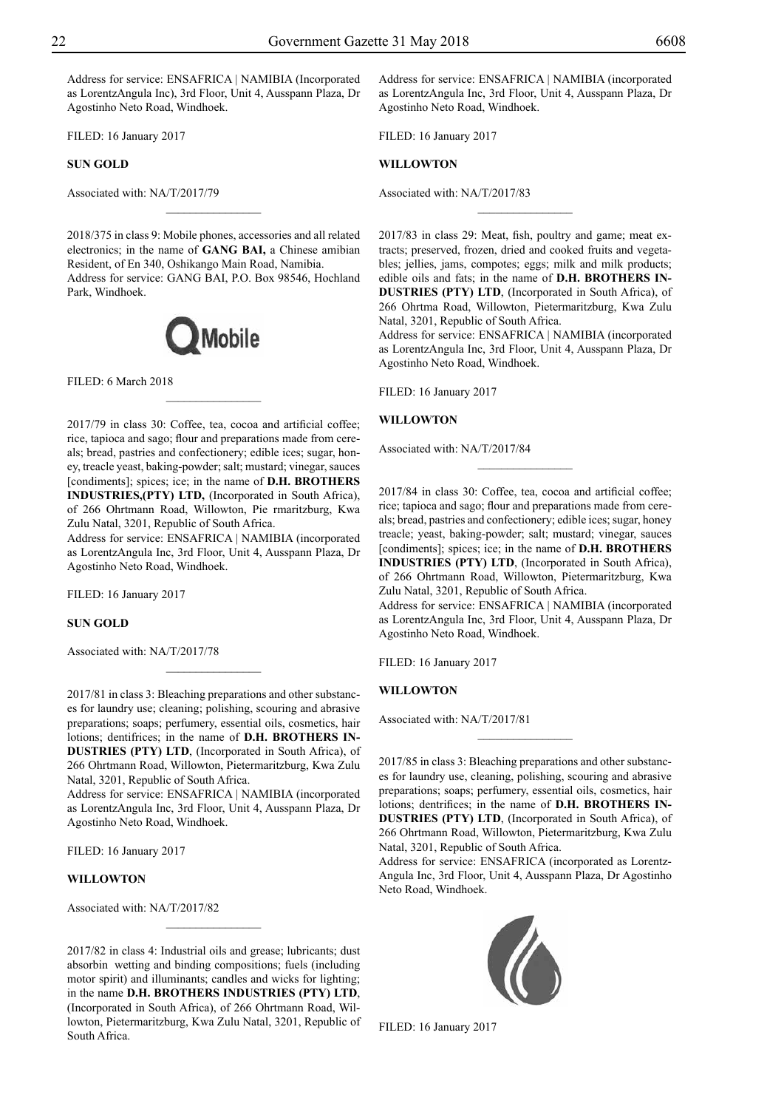Address for service: ENSAFRICA | NAMIBIA (Incorporated as LorentzAngula Inc), 3rd Floor, Unit 4, Ausspann Plaza, Dr Agostinho Neto Road, Windhoek.

FILED: 16 January 2017

**SUN GOLD**

Associated with: NA/T/2017/79

2018/375 in class 9: Mobile phones, accessories and all related electronics; in the name of **GANG BAI,** a Chinese amibian Resident, of En 340, Oshikango Main Road, Namibia. Address for service: GANG BAI, P.O. Box 98546, Hochland Park, Windhoek.

 $\overline{\phantom{a}}$  , where  $\overline{\phantom{a}}$ 



 $\overline{\phantom{a}}$  , where  $\overline{\phantom{a}}$ 

FILED: 6 March 2018

2017/79 in class 30: Coffee, tea, cocoa and artificial coffee; rice, tapioca and sago; flour and preparations made from cereals; bread, pastries and confectionery; edible ices; sugar, honey, treacle yeast, baking-powder; salt; mustard; vinegar, sauces [condiments]; spices; ice; in the name of **D.H. BROTHERS INDUSTRIES,(PTY) LTD,** (Incorporated in South Africa), of 266 Ohrtmann Road, Willowton, Pie rmaritzburg, Kwa Zulu Natal, 3201, Republic of South Africa.

Address for service: ENSAFRICA | NAMIBIA (incorporated as LorentzAngula Inc, 3rd Floor, Unit 4, Ausspann Plaza, Dr Agostinho Neto Road, Windhoek.

FILED: 16 January 2017

#### **SUN GOLD**

Associated with: NA/T/2017/78

2017/81 in class 3: Bleaching preparations and other substances for laundry use; cleaning; polishing, scouring and abrasive preparations; soaps; perfumery, essential oils, cosmetics, hair lotions; dentifrices; in the name of **D.H. BROTHERS IN-DUSTRIES (PTY) LTD**, (Incorporated in South Africa), of 266 Ohrtmann Road, Willowton, Pietermaritzburg, Kwa Zulu Natal, 3201, Republic of South Africa.

 $\frac{1}{2}$ 

Address for service: ENSAFRICA | NAMIBIA (incorporated as LorentzAngula Inc, 3rd Floor, Unit 4, Ausspann Plaza, Dr Agostinho Neto Road, Windhoek.

FILED: 16 January 2017

#### **WILLOWTON**

Associated with: NA/T/2017/82

2017/82 in class 4: Industrial oils and grease; lubricants; dust absorbin wetting and binding compositions; fuels (including motor spirit) and illuminants; candles and wicks for lighting; in the name **D.H. BROTHERS INDUSTRIES (PTY) LTD**, (Incorporated in South Africa), of 266 Ohrtmann Road, Willowton, Pietermaritzburg, Kwa Zulu Natal, 3201, Republic of South Africa.

 $\frac{1}{2}$ 

Address for service: ENSAFRICA | NAMIBIA (incorporated as LorentzAngula Inc, 3rd Floor, Unit 4, Ausspann Plaza, Dr Agostinho Neto Road, Windhoek.

FILED: 16 January 2017

#### **WILLOWTON**

Associated with: NA/T/2017/83

2017/83 in class 29: Meat, fish, poultry and game; meat extracts; preserved, frozen, dried and cooked fruits and vegetables; jellies, jams, compotes; eggs; milk and milk products; edible oils and fats; in the name of **D.H. BROTHERS IN-DUSTRIES (PTY) LTD**, (Incorporated in South Africa), of 266 Ohrtma Road, Willowton, Pietermaritzburg, Kwa Zulu Natal, 3201, Republic of South Africa.

 $\overline{\phantom{a}}$  , where  $\overline{\phantom{a}}$ 

Address for service: ENSAFRICA | NAMIBIA (incorporated as LorentzAngula Inc, 3rd Floor, Unit 4, Ausspann Plaza, Dr Agostinho Neto Road, Windhoek.

FILED: 16 January 2017

#### **WILLOWTON**

Associated with: NA/T/2017/84

2017/84 in class 30: Coffee, tea, cocoa and artificial coffee; rice; tapioca and sago; flour and preparations made from cereals; bread, pastries and confectionery; edible ices; sugar, honey treacle; yeast, baking-powder; salt; mustard; vinegar, sauces [condiments]; spices; ice; in the name of **D.H. BROTHERS INDUSTRIES (PTY) LTD**, (Incorporated in South Africa), of 266 Ohrtmann Road, Willowton, Pietermaritzburg, Kwa Zulu Natal, 3201, Republic of South Africa.

 $\frac{1}{2}$ 

Address for service: ENSAFRICA | NAMIBIA (incorporated as LorentzAngula Inc, 3rd Floor, Unit 4, Ausspann Plaza, Dr Agostinho Neto Road, Windhoek.

FILED: 16 January 2017

#### **WILLOWTON**

Associated with: NA/T/2017/81

2017/85 in class 3: Bleaching preparations and other substances for laundry use, cleaning, polishing, scouring and abrasive preparations; soaps; perfumery, essential oils, cosmetics, hair lotions; dentrifices; in the name of **D.H. BROTHERS IN-DUSTRIES (PTY) LTD**, (Incorporated in South Africa), of 266 Ohrtmann Road, Willowton, Pietermaritzburg, Kwa Zulu Natal, 3201, Republic of South Africa.

Address for service: ENSAFRICA (incorporated as Lorentz-Angula Inc, 3rd Floor, Unit 4, Ausspann Plaza, Dr Agostinho Neto Road, Windhoek.

Filed: 16 January 2017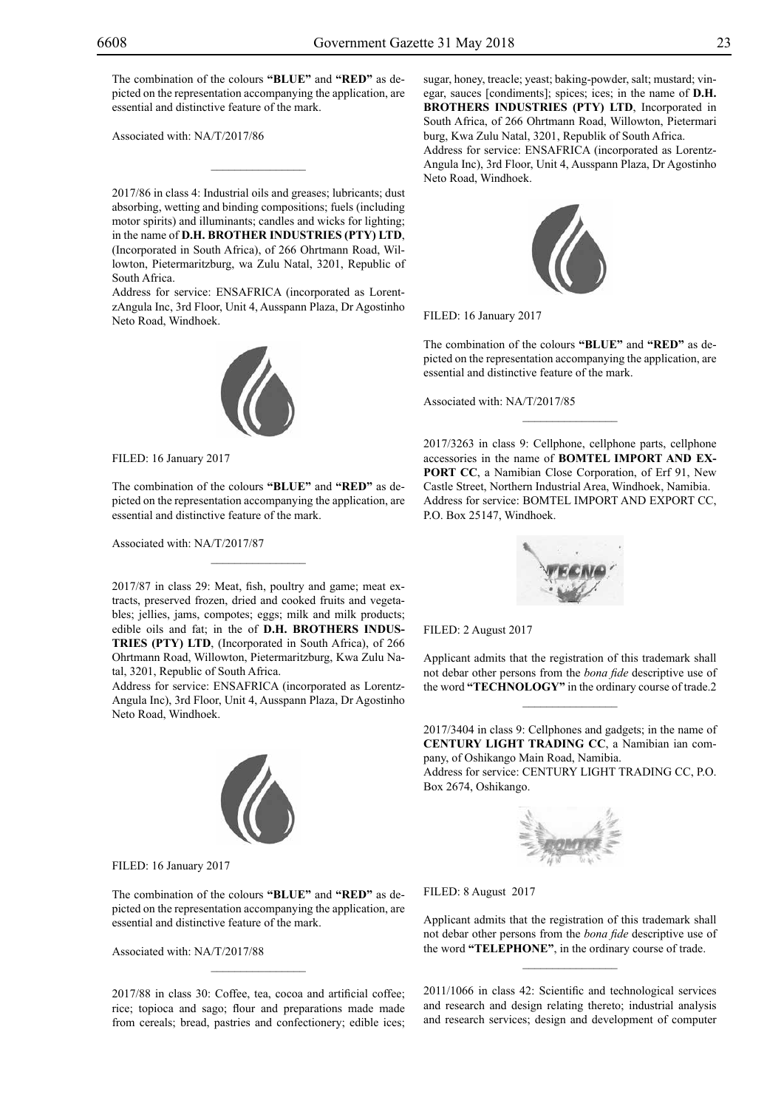The combination of the colours "BLUE" and "RED" as depicted on the representation accompanying the application, are essential and distinctive feature of the mark.

Associated with: NA/T/2017/86

2017/86 in class 4: Industrial oils and greases; lubricants; dust absorbing, wetting and binding compositions; fuels (including motor spirits) and illuminants; candles and wicks for lighting; in the name of **D.H. BROTHER INDUSTRIES (PTY) LTD**, (Incorporated in South Africa), of 266 Ohrtmann Road, Willowton, Pietermaritzburg, wa Zulu Natal, 3201, Republic of South Africa.

 $\mathcal{L}=\mathcal{L}^{\mathcal{L}}$ 

Address for service: ENSAFRICA (incorporated as LorentzAngula Inc, 3rd Floor, Unit 4, Ausspann Plaza, Dr Agostinho Neto Road, Windhoek.



Filed: 16 January 2017

The combination of the colours "BLUE" and "RED" as depicted on the representation accompanying the application, are essential and distinctive feature of the mark.

 $\mathcal{L}=\mathcal{L}^{\mathcal{L}}$ 

Associated with: NA/T/2017/87

2017/87 in class 29: Meat, fish, poultry and game; meat extracts, preserved frozen, dried and cooked fruits and vegetables; jellies, jams, compotes; eggs; milk and milk products; edible oils and fat; in the of **D.H. BROTHERS INDUS-TRIES (PTY) LTD**, (Incorporated in South Africa), of 266 Ohrtmann Road, Willowton, Pietermaritzburg, Kwa Zulu Natal, 3201, Republic of South Africa.

Address for service: ENSAFRICA (incorporated as Lorentz-Angula Inc), 3rd Floor, Unit 4, Ausspann Plaza, Dr Agostinho Neto Road, Windhoek.



FILED: 16 January 2017

The combination of the colours "BLUE" and "RED" as depicted on the representation accompanying the application, are essential and distinctive feature of the mark.

Associated with: NA/T/2017/88

2017/88 in class 30: Coffee, tea, cocoa and artificial coffee; rice; topioca and sago; flour and preparations made made from cereals; bread, pastries and confectionery; edible ices;

 $\mathcal{L}=\mathcal{L}^{\mathcal{L}}$ 

sugar, honey, treacle; yeast; baking-powder, salt; mustard; vinegar, sauces [condiments]; spices; ices; in the name of **D.H. BROTHERS INDUSTRIES (PTY) LTD**, Incorporated in South Africa, of 266 Ohrtmann Road, Willowton, Pietermari burg, Kwa Zulu Natal, 3201, Republik of South Africa. Address for service: ENSAFRICA (incorporated as Lorentz-Angula Inc), 3rd Floor, Unit 4, Ausspann Plaza, Dr Agostinho Neto Road, Windhoek.



FILED: 16 January 2017

The combination of the colours "BLUE" and "RED" as depicted on the representation accompanying the application, are essential and distinctive feature of the mark.

 $\frac{1}{2}$ 

Associated with: NA/T/2017/85

2017/3263 in class 9: Cellphone, cellphone parts, cellphone accessories in the name of **BOMTEL IMPORT AND EX-PORT CC**, a Namibian Close Corporation, of Erf 91, New Castle Street, Northern Industrial Area, Windhoek, Namibia. Address for service: BOMTEL IMPORT AND EXPORT CC, P.O. Box 25147, Windhoek.



Filed: 2 August 2017

Applicant admits that the registration of this trademark shall not debar other persons from the *bona fide* descriptive use of the word **"TECHNOLOGY"** in the ordinary course of trade.2

 $\frac{1}{2}$ 

2017/3404 in class 9: Cellphones and gadgets; in the name of **CENTURY LIGHT TRADING CC**, a Namibian ian company, of Oshikango Main Road, Namibia.

Address for service: CENTURY LIGHT TRADING CC, P.O. Box 2674, Oshikango.



FILED: 8 August 2017

Applicant admits that the registration of this trademark shall not debar other persons from the *bona fide* descriptive use of the word **"TELEPHONE"**, in the ordinary course of trade.

 $\frac{1}{2}$ 

2011/1066 in class 42: Scientific and technological services and research and design relating thereto; industrial analysis and research services; design and development of computer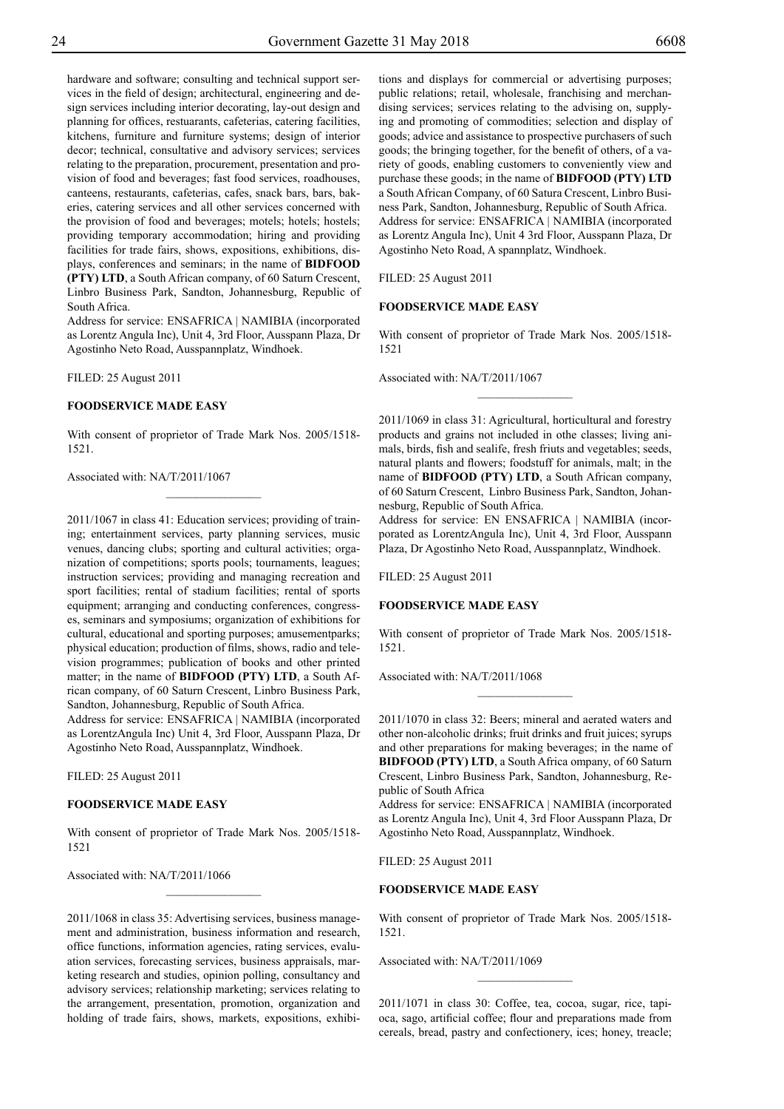hardware and software; consulting and technical support services in the field of design; architectural, engineering and design services including interior decorating, lay-out design and planning for offices, restuarants, cafeterias, catering facilities, kitchens, furniture and furniture systems; design of interior decor; technical, consultative and advisory services; services relating to the preparation, procurement, presentation and provision of food and beverages; fast food services, roadhouses, canteens, restaurants, cafeterias, cafes, snack bars, bars, bakeries, catering services and all other services concerned with the provision of food and beverages; motels; hotels; hostels; providing temporary accommodation; hiring and providing facilities for trade fairs, shows, expositions, exhibitions, displays, conferences and seminars; in the name of **BIDFOOD (PTY) LTD**, a South African company, of 60 Saturn Crescent, Linbro Business Park, Sandton, Johannesburg, Republic of South Africa.

Address for service: ENSAFRICA | NAMIBIA (incorporated as Lorentz Angula Inc), Unit 4, 3rd Floor, Ausspann Plaza, Dr Agostinho Neto Road, Ausspannplatz, Windhoek.

Filed: 25 August 2011

#### **FOODSERVICE MADE EASY**

With consent of proprietor of Trade Mark Nos. 2005/1518- 1521.

 $\overline{\phantom{a}}$  , where  $\overline{\phantom{a}}$ 

Associated with: NA/T/2011/1067

2011/1067 in class 41: Education services; providing of training; entertainment services, party planning services, music venues, dancing clubs; sporting and cultural activities; organization of competitions; sports pools; tournaments, leagues; instruction services; providing and managing recreation and sport facilities; rental of stadium facilities; rental of sports equipment; arranging and conducting conferences, congresses, seminars and symposiums; organization of exhibitions for cultural, educational and sporting purposes; amusementparks; physical education; production of films, shows, radio and television programmes; publication of books and other printed matter; in the name of **BIDFOOD (PTY) LTD**, a South African company, of 60 Saturn Crescent, Linbro Business Park, Sandton, Johannesburg, Republic of South Africa.

Address for service: ENSafrica | Namibia (incorporated as LorentzAngula Inc) Unit 4, 3rd Floor, Ausspann Plaza, Dr Agostinho Neto Road, Ausspannplatz, Windhoek.

Filed: 25 August 2011

#### **FOODSERVICE MADE EASY**

With consent of proprietor of Trade Mark Nos. 2005/1518- 1521

 $\frac{1}{2}$ 

Associated with: NA/T/2011/1066

2011/1068 in class 35: Advertising services, business management and administration, business information and research, office functions, information agencies, rating services, evaluation services, forecasting services, business appraisals, marketing research and studies, opinion polling, consultancy and advisory services; relationship marketing; services relating to the arrangement, presentation, promotion, organization and holding of trade fairs, shows, markets, expositions, exhibi-

tions and displays for commercial or advertising purposes; public relations; retail, wholesale, franchising and merchandising services; services relating to the advising on, supplying and promoting of commodities; selection and display of goods; advice and assistance to prospective purchasers of such goods; the bringing together, for the benefit of others, of a variety of goods, enabling customers to conveniently view and purchase these goods; in the name of **BIDFOOD (PTY) LTD** a South African Company, of 60 Satura Crescent, Linbro Business Park, Sandton, Johannesburg, Republic of South Africa. Address for service: ENSAFRICA | NAMIBIA (incorporated as Lorentz Angula Inc), Unit 4 3rd Floor, Ausspann Plaza, Dr Agostinho Neto Road, A spannplatz, Windhoek.

Filed: 25 August 2011

#### **FOODSERVICE MADE EASY**

With consent of proprietor of Trade Mark Nos. 2005/1518- 1521

 $\frac{1}{2}$ 

Associated with: NA/T/2011/1067

2011/1069 in class 31: Agricultural, horticultural and forestry products and grains not included in othe classes; living animals, birds, fish and sealife, fresh friuts and vegetables; seeds, natural plants and flowers; foodstuff for animals, malt; in the name of **BIDFOOD (PTY) LTD**, a South African company, of 60 Saturn Crescent, Linbro Business Park, Sandton, Johannesburg, Republic of South Africa.

Address for service: EN ENSafrica | Namibia (incorporated as LorentzAngula Inc), Unit 4, 3rd Floor, Ausspann Plaza, Dr Agostinho Neto Road, Ausspannplatz, Windhoek.

Filed: 25 August 2011

#### **FOODSERVICE MADE EASY**

With consent of proprietor of Trade Mark Nos. 2005/1518- 1521.

 $\frac{1}{2}$ 

Associated with: NA/T/2011/1068

2011/1070 in class 32: Beers; mineral and aerated waters and other non-alcoholic drinks; fruit drinks and fruit juices; syrups and other preparations for making beverages; in the name of **BIDFOOD (PTY) LTD**, a South Africa ompany, of 60 Saturn Crescent, Linbro Business Park, Sandton, Johannesburg, Republic of South Africa

Address for service: ENSAFRICA | NAMIBIA (incorporated as Lorentz Angula Inc), Unit 4, 3rd Floor Ausspann Plaza, Dr Agostinho Neto Road, Ausspannplatz, Windhoek.

Filed: 25 August 2011

#### **FOODSERVICE MADE EASY**

With consent of proprietor of Trade Mark Nos. 2005/1518- 1521.

Associated with: NA/T/2011/1069

2011/1071 in class 30: Coffee, tea, cocoa, sugar, rice, tapioca, sago, artificial coffee; flour and preparations made from cereals, bread, pastry and confectionery, ices; honey, treacle;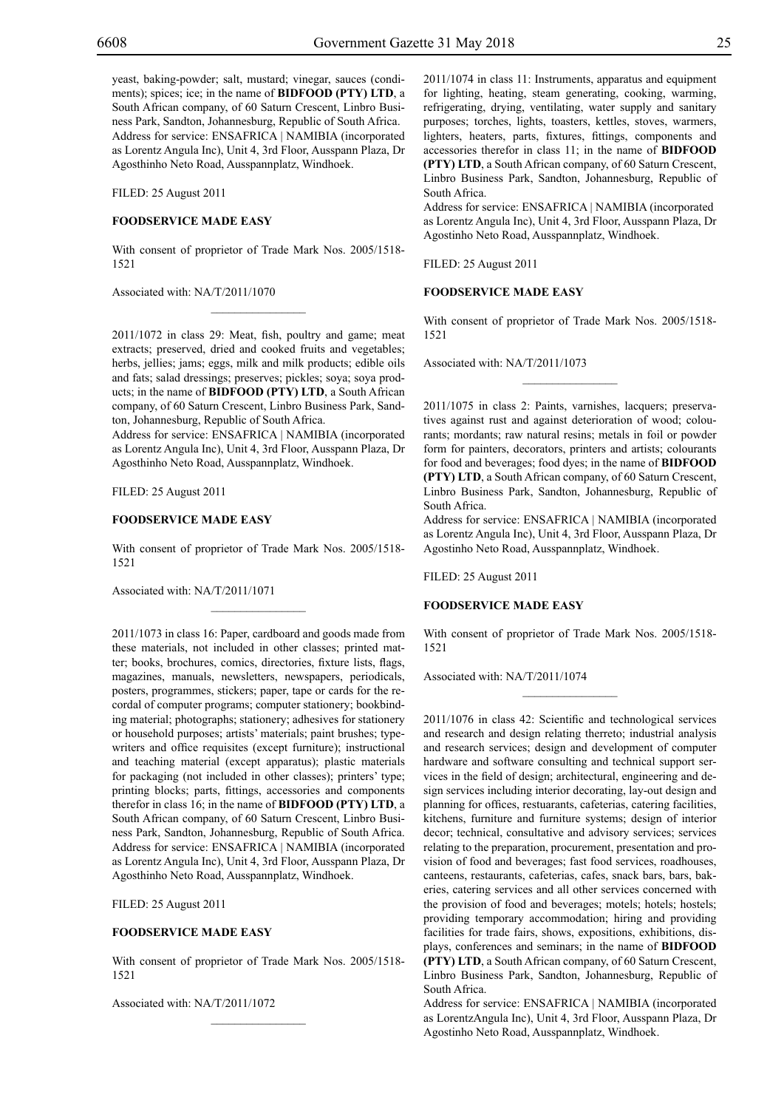yeast, baking-powder; salt, mustard; vinegar, sauces (condiments); spices; ice; in the name of **BIDFOOD (PTY) LTD**, a South African company, of 60 Saturn Crescent, Linbro Business Park, Sandton, Johannesburg, Republic of South Africa. Address for service: ENSAFRICA | NAMIBIA (incorporated as Lorentz Angula Inc), Unit 4, 3rd Floor, Ausspann Plaza, Dr Agosthinho Neto Road, Ausspannplatz, Windhoek.

Filed: 25 August 2011

#### **FOODSERVICE MADE EASY**

With consent of proprietor of Trade Mark Nos. 2005/1518- 1521

 $\mathcal{L}=\mathcal{L}^{\mathcal{L}}$ 

Associated with: NA/T/2011/1070

2011/1072 in class 29: Meat, fish, poultry and game; meat extracts; preserved, dried and cooked fruits and vegetables; herbs, jellies; jams; eggs, milk and milk products; edible oils and fats; salad dressings; preserves; pickles; soya; soya products; in the name of **BIDFOOD (PTY) LTD**, a South African company, of 60 Saturn Crescent, Linbro Business Park, Sandton, Johannesburg, Republic of South Africa.

Address for service: ENSAFRICA | NAMIBIA (incorporated as Lorentz Angula Inc), Unit 4, 3rd Floor, Ausspann Plaza, Dr Agosthinho Neto Road, Ausspannplatz, Windhoek.

Filed: 25 August 2011

#### **FOODSERVICE MADE EASY**

With consent of proprietor of Trade Mark Nos. 2005/1518- 1521

 $\mathcal{L}=\mathcal{L}^{\mathcal{L}}$ 

Associated with: NA/T/2011/1071

2011/1073 in class 16: Paper, cardboard and goods made from these materials, not included in other classes; printed matter; books, brochures, comics, directories, fixture lists, flags, magazines, manuals, newsletters, newspapers, periodicals, posters, programmes, stickers; paper, tape or cards for the recordal of computer programs; computer stationery; bookbinding material; photographs; stationery; adhesives for stationery or household purposes; artists' materials; paint brushes; typewriters and office requisites (except furniture); instructional and teaching material (except apparatus); plastic materials for packaging (not included in other classes); printers' type; printing blocks; parts, fittings, accessories and components therefor in class 16; in the name of **BIDFOOD (PTY) LTD**, a South African company, of 60 Saturn Crescent, Linbro Business Park, Sandton, Johannesburg, Republic of South Africa. Address for service: ENSAFRICA | NAMIBIA (incorporated as Lorentz Angula Inc), Unit 4, 3rd Floor, Ausspann Plaza, Dr Agosthinho Neto Road, Ausspannplatz, Windhoek.

Filed: 25 August 2011

#### **FOODSERVICE MADE EASY**

With consent of proprietor of Trade Mark Nos. 2005/1518- 1521

 $\mathcal{L}=\mathcal{L}^{\mathcal{L}}$ 

Associated with: NA/T/2011/1072

2011/1074 in class 11: Instruments, apparatus and equipment for lighting, heating, steam generating, cooking, warming, refrigerating, drying, ventilating, water supply and sanitary purposes; torches, lights, toasters, kettles, stoves, warmers, lighters, heaters, parts, fixtures, fittings, components and accessories therefor in class 11; in the name of **BIDFOOD (PTY) LTD**, a South African company, of 60 Saturn Crescent, Linbro Business Park, Sandton, Johannesburg, Republic of South Africa.

Address for service: ENSAFRICA | NAMIBIA (incorporated as Lorentz Angula Inc), Unit 4, 3rd Floor, Ausspann Plaza, Dr Agostinho Neto Road, Ausspannplatz, Windhoek.

Filed: 25 August 2011

#### **FOODSERVICE MADE EASY**

With consent of proprietor of Trade Mark Nos. 2005/1518- 1521

 $\frac{1}{2}$ 

Associated with: NA/T/2011/1073

2011/1075 in class 2: Paints, varnishes, lacquers; preservatives against rust and against deterioration of wood; colourants; mordants; raw natural resins; metals in foil or powder form for painters, decorators, printers and artists; colourants for food and beverages; food dyes; in the name of **BIDFOOD (PTY) LTD**, a South African company, of 60 Saturn Crescent, Linbro Business Park, Sandton, Johannesburg, Republic of South Africa.

Address for service: ENSAFRICA | NAMIBIA (incorporated as Lorentz Angula Inc), Unit 4, 3rd Floor, Ausspann Plaza, Dr Agostinho Neto Road, Ausspannplatz, Windhoek.

Filed: 25 August 2011

#### **FOODSERVICE MADE EASY**

With consent of proprietor of Trade Mark Nos. 2005/1518- 1521

 $\frac{1}{2}$ 

Associated with: NA/T/2011/1074

2011/1076 in class 42: Scientific and technological services and research and design relating therreto; industrial analysis and research services; design and development of computer hardware and software consulting and technical support services in the field of design; architectural, engineering and design services including interior decorating, lay-out design and planning for offices, restuarants, cafeterias, catering facilities, kitchens, furniture and furniture systems; design of interior decor; technical, consultative and advisory services; services relating to the preparation, procurement, presentation and provision of food and beverages; fast food services, roadhouses, canteens, restaurants, cafeterias, cafes, snack bars, bars, bakeries, catering services and all other services concerned with the provision of food and beverages; motels; hotels; hostels; providing temporary accommodation; hiring and providing facilities for trade fairs, shows, expositions, exhibitions, displays, conferences and seminars; in the name of **BIDFOOD (PTY) LTD**, a South African company, of 60 Saturn Crescent, Linbro Business Park, Sandton, Johannesburg, Republic of South Africa.

Address for service: ENSAFRICA | NAMIBIA (incorporated as LorentzAngula Inc), Unit 4, 3rd Floor, Ausspann Plaza, Dr Agostinho Neto Road, Ausspannplatz, Windhoek.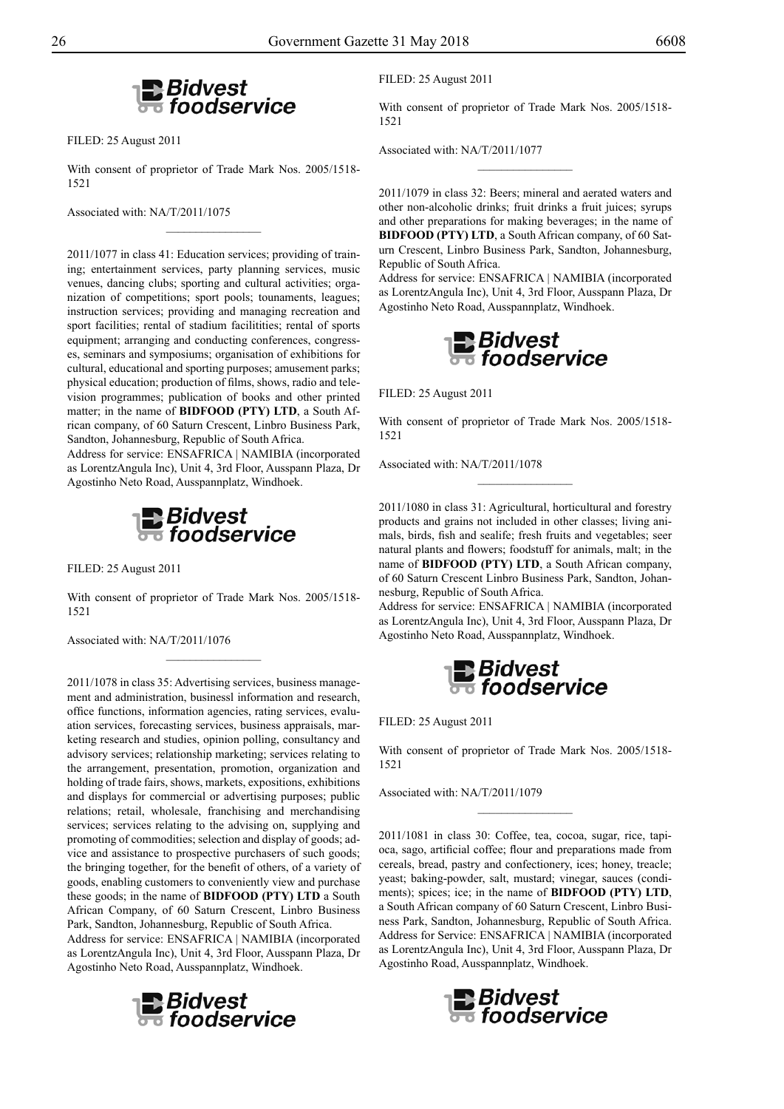

Filed: 25 August 2011

With consent of proprietor of Trade Mark Nos. 2005/1518- 1521

 $\frac{1}{2}$ 

Associated with: NA/T/2011/1075

2011/1077 in class 41: Education services; providing of training; entertainment services, party planning services, music venues, dancing clubs; sporting and cultural activities; organization of competitions; sport pools; tounaments, leagues; instruction services; providing and managing recreation and sport facilities; rental of stadium facilitities; rental of sports equipment; arranging and conducting conferences, congresses, seminars and symposiums; organisation of exhibitions for cultural, educational and sporting purposes; amusement parks; physical education; production of films, shows, radio and television programmes; publication of books and other printed matter; in the name of **BIDFOOD (PTY) LTD**, a South African company, of 60 Saturn Crescent, Linbro Business Park, Sandton, Johannesburg, Republic of South Africa.

Address for service: ENSAFRICA | NAMIBIA (incorporated as LorentzAngula Inc), Unit 4, 3rd Floor, Ausspann Plaza, Dr Agostinho Neto Road, Ausspannplatz, Windhoek.



Filed: 25 August 2011

With consent of proprietor of Trade Mark Nos. 2005/1518- 1521

Associated with: NA/T/2011/1076

2011/1078 in class 35: Advertising services, business management and administration, businessl information and research, office functions, information agencies, rating services, evaluation services, forecasting services, business appraisals, marketing research and studies, opinion polling, consultancy and advisory services; relationship marketing; services relating to the arrangement, presentation, promotion, organization and holding of trade fairs, shows, markets, expositions, exhibitions and displays for commercial or advertising purposes; public relations; retail, wholesale, franchising and merchandising services; services relating to the advising on, supplying and promoting of commodities; selection and display of goods; advice and assistance to prospective purchasers of such goods; the bringing together, for the benefit of others, of a variety of goods, enabling customers to conveniently view and purchase these goods; in the name of **BIDFOOD (PTY) LTD** a South African Company, of 60 Saturn Crescent, Linbro Business Park, Sandton, Johannesburg, Republic of South Africa.

Address for service: ENSAFRICA | NAMIBIA (incorporated as LorentzAngula Inc), Unit 4, 3rd Floor, Ausspann Plaza, Dr Agostinho Neto Road, Ausspannplatz, Windhoek.



FILED: 25 August 2011

With consent of proprietor of Trade Mark Nos. 2005/1518- 1521

 $\frac{1}{2}$ 

Associated with: NA/T/2011/1077

2011/1079 in class 32: Beers; mineral and aerated waters and other non-alcoholic drinks; fruit drinks a fruit juices; syrups and other preparations for making beverages; in the name of **BIDFOOD (PTY) LTD**, a South African company, of 60 Saturn Crescent, Linbro Business Park, Sandton, Johannesburg, Republic of South Africa.

Address for service: ENSAFRICA | NAMIBIA (incorporated as LorentzAngula Inc), Unit 4, 3rd Floor, Ausspann Plaza, Dr Agostinho Neto Road, Ausspannplatz, Windhoek.



Filed: 25 August 2011

With consent of proprietor of Trade Mark Nos. 2005/1518- 1521

 $\overline{\phantom{a}}$  , where  $\overline{\phantom{a}}$ 

Associated with: NA/T/2011/1078

2011/1080 in class 31: Agricultural, horticultural and forestry products and grains not included in other classes; living animals, birds, fish and sealife; fresh fruits and vegetables; seer natural plants and flowers; foodstuff for animals, malt; in the name of **BIDFOOD (PTY) LTD**, a South African company, of 60 Saturn Crescent Linbro Business Park, Sandton, Johannesburg, Republic of South Africa.

Address for service: ENSAFRICA | NAMIBIA (incorporated as LorentzAngula Inc), Unit 4, 3rd Floor, Ausspann Plaza, Dr Agostinho Neto Road, Ausspannplatz, Windhoek.



Filed: 25 August 2011

With consent of proprietor of Trade Mark Nos. 2005/1518- 1521

 $\frac{1}{2}$ 

Associated with: NA/T/2011/1079

2011/1081 in class 30: Coffee, tea, cocoa, sugar, rice, tapioca, sago, artificial coffee; flour and preparations made from cereals, bread, pastry and confectionery, ices; honey, treacle; yeast; baking-powder, salt, mustard; vinegar, sauces (condiments); spices; ice; in the name of **BIDFOOD (PTY) LTD**, a South African company of 60 Saturn Crescent, Linbro Business Park, Sandton, Johannesburg, Republic of South Africa. Address for Service: ENSAFRICA | NAMIBIA (incorporated as LorentzAngula Inc), Unit 4, 3rd Floor, Ausspann Plaza, Dr Agostinho Road, Ausspannplatz, Windhoek.

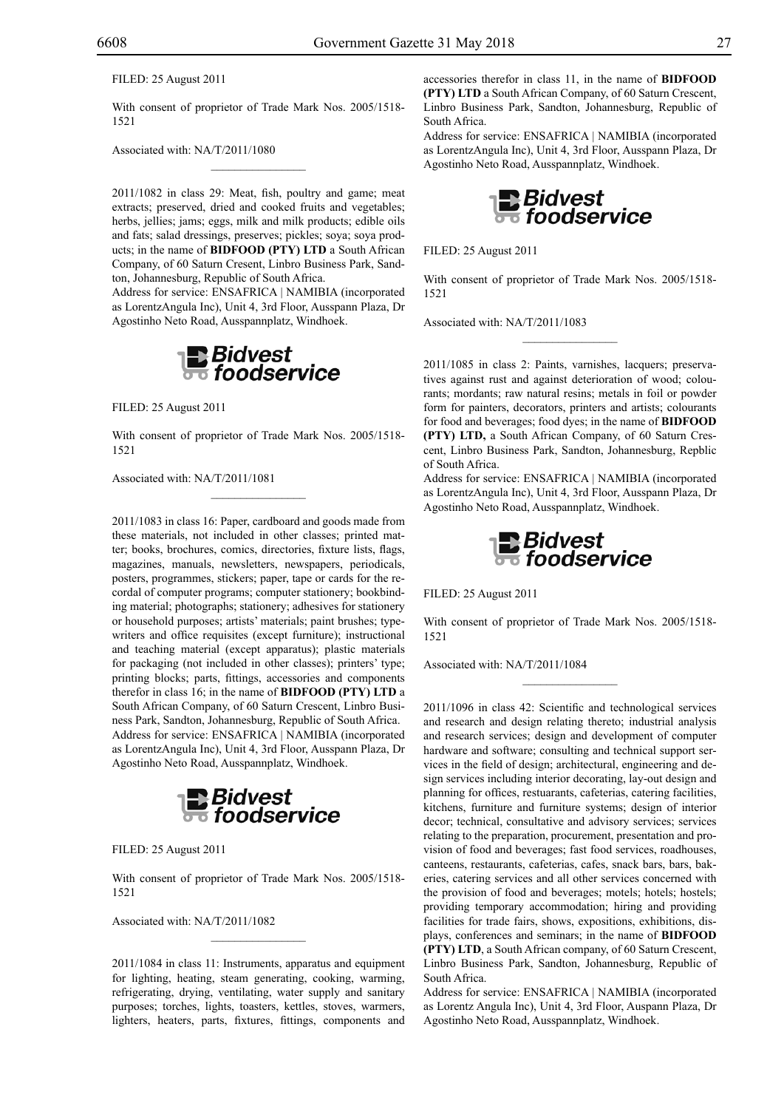Filed: 25 August 2011

With consent of proprietor of Trade Mark Nos. 2005/1518- 1521

 $\mathcal{L}=\mathcal{L}^{\text{max}}$ 

Associated with: NA/T/2011/1080

2011/1082 in class 29: Meat, fish, poultry and game; meat extracts; preserved, dried and cooked fruits and vegetables; herbs, jellies; jams; eggs, milk and milk products; edible oils and fats; salad dressings, preserves; pickles; soya; soya products; in the name of **BIDFOOD (PTY) LTD** a South African Company, of 60 Saturn Cresent, Linbro Business Park, Sandton, Johannesburg, Republic of South Africa.

Address for service: ENSAFRICA | NAMIBIA (incorporated as LorentzAngula Inc), Unit 4, 3rd Floor, Ausspann Plaza, Dr Agostinho Neto Road, Ausspannplatz, Windhoek.



Filed: 25 August 2011

With consent of proprietor of Trade Mark Nos. 2005/1518- 1521

 $\mathcal{L}=\mathcal{L}^{\text{max}}$ 

Associated with: NA/T/2011/1081

2011/1083 in class 16: Paper, cardboard and goods made from these materials, not included in other classes; printed matter; books, brochures, comics, directories, fixture lists, flags, magazines, manuals, newsletters, newspapers, periodicals, posters, programmes, stickers; paper, tape or cards for the recordal of computer programs; computer stationery; bookbinding material; photographs; stationery; adhesives for stationery or household purposes; artists' materials; paint brushes; typewriters and office requisites (except furniture); instructional and teaching material (except apparatus); plastic materials for packaging (not included in other classes); printers' type; printing blocks; parts, fittings, accessories and components therefor in class 16; in the name of **BIDFOOD (PTY) LTD** a South African Company, of 60 Saturn Crescent, Linbro Business Park, Sandton, Johannesburg, Republic of South Africa. Address for service: ENSAFRICA | NAMIBIA (incorporated as LorentzAngula Inc), Unit 4, 3rd Floor, Ausspann Plaza, Dr Agostinho Neto Road, Ausspannplatz, Windhoek.



Filed: 25 August 2011

With consent of proprietor of Trade Mark Nos. 2005/1518- 1521

 $\mathcal{L}=\mathcal{L}^{\text{max}}$ 

Associated with: NA/T/2011/1082

2011/1084 in class 11: Instruments, apparatus and equipment for lighting, heating, steam generating, cooking, warming, refrigerating, drying, ventilating, water supply and sanitary purposes; torches, lights, toasters, kettles, stoves, warmers, lighters, heaters, parts, fixtures, fittings, components and

accessories therefor in class 11, in the name of **BIDFOOD (PTY) LTD** a South African Company, of 60 Saturn Crescent, Linbro Business Park, Sandton, Johannesburg, Republic of South Africa.

Address for service: ENSAFRICA | NAMIBIA (incorporated as LorentzAngula Inc), Unit 4, 3rd Floor, Ausspann Plaza, Dr Agostinho Neto Road, Ausspannplatz, Windhoek.



Filed: 25 August 2011

With consent of proprietor of Trade Mark Nos. 2005/1518- 1521

 $\overline{\phantom{a}}$  , we can also the set of  $\overline{\phantom{a}}$ 

Associated with: NA/T/2011/1083

2011/1085 in class 2: Paints, varnishes, lacquers; preservatives against rust and against deterioration of wood; colourants; mordants; raw natural resins; metals in foil or powder form for painters, decorators, printers and artists; colourants for food and beverages; food dyes; in the name of **BIDFOOD (PTY) LTD,** a South African Company, of 60 Saturn Crescent, Linbro Business Park, Sandton, Johannesburg, Repblic of South Africa.

Address for service: ENSAFRICA | NAMIBIA (incorporated as LorentzAngula Inc), Unit 4, 3rd Floor, Ausspann Plaza, Dr Agostinho Neto Road, Ausspannplatz, Windhoek.



Filed: 25 August 2011

With consent of proprietor of Trade Mark Nos. 2005/1518- 1521

 $\overline{\phantom{a}}$  , we can also the set of  $\overline{\phantom{a}}$ 

Associated with: NA/T/2011/1084

2011/1096 in class 42: Scientific and technological services and research and design relating thereto; industrial analysis and research services; design and development of computer hardware and software; consulting and technical support services in the field of design; architectural, engineering and design services including interior decorating, lay-out design and planning for offices, restuarants, cafeterias, catering facilities, kitchens, furniture and furniture systems; design of interior decor; technical, consultative and advisory services; services relating to the preparation, procurement, presentation and provision of food and beverages; fast food services, roadhouses, canteens, restaurants, cafeterias, cafes, snack bars, bars, bakeries, catering services and all other services concerned with the provision of food and beverages; motels; hotels; hostels; providing temporary accommodation; hiring and providing facilities for trade fairs, shows, expositions, exhibitions, displays, conferences and seminars; in the name of **BIDFOOD (PTY) LTD**, a South African company, of 60 Saturn Crescent, Linbro Business Park, Sandton, Johannesburg, Republic of South Africa.

Address for service: ENSAFRICA | NAMIBIA (incorporated as Lorentz Angula Inc), Unit 4, 3rd Floor, Auspann Plaza, Dr Agostinho Neto Road, Ausspannplatz, Windhoek.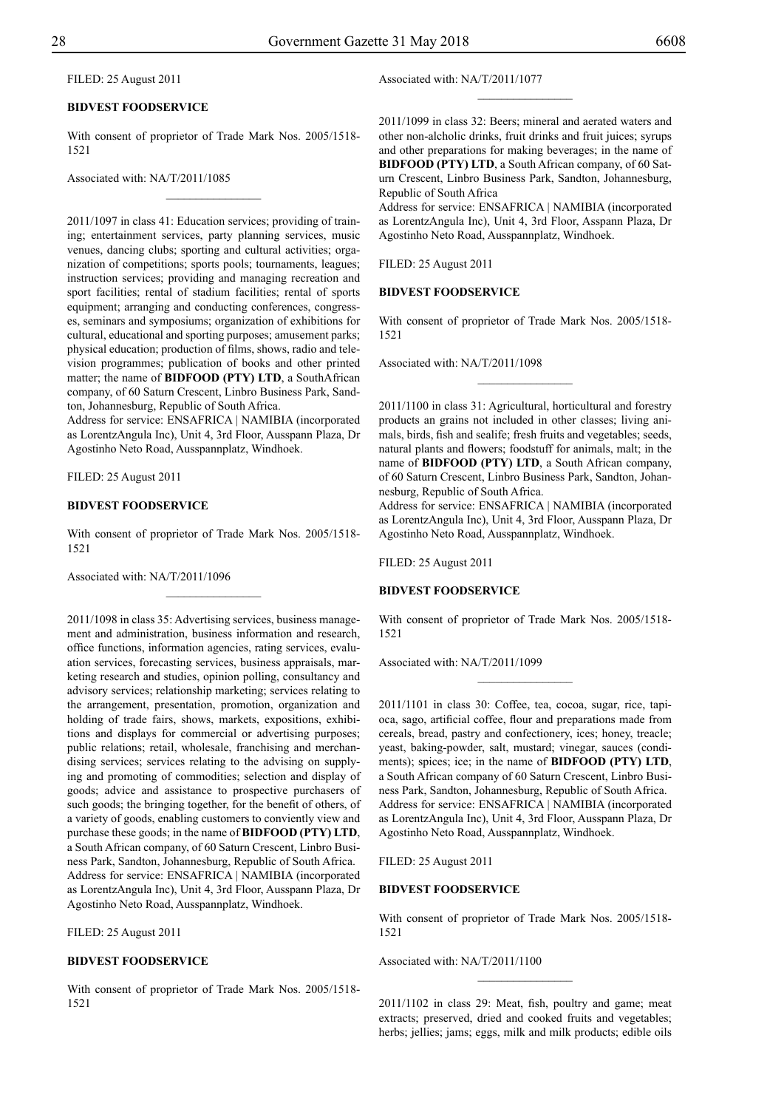#### FILED: 25 August 2011

#### **BIDVEST FOODSERVICE**

With consent of proprietor of Trade Mark Nos. 2005/1518- 1521

 $\overline{\phantom{a}}$  , where  $\overline{\phantom{a}}$ 

Associated with: NA/T/2011/1085

2011/1097 in class 41: Education services; providing of training; entertainment services, party planning services, music venues, dancing clubs; sporting and cultural activities; organization of competitions; sports pools; tournaments, leagues; instruction services; providing and managing recreation and sport facilities; rental of stadium facilities; rental of sports equipment; arranging and conducting conferences, congresses, seminars and symposiums; organization of exhibitions for cultural, educational and sporting purposes; amusement parks; physical education; production of films, shows, radio and television programmes; publication of books and other printed matter; the name of **BIDFOOD (PTY) LTD**, a SouthAfrican company, of 60 Saturn Crescent, Linbro Business Park, Sandton, Johannesburg, Republic of South Africa.

Address for service: ENSAFRICA | NAMIBIA (incorporated as LorentzAngula Inc), Unit 4, 3rd Floor, Ausspann Plaza, Dr Agostinho Neto Road, Ausspannplatz, Windhoek.

Filed: 25 August 2011

#### **BIDVEST FOODSERVICE**

With consent of proprietor of Trade Mark Nos. 2005/1518- 1521

Associated with: NA/T/2011/1096

2011/1098 in class 35: Advertising services, business management and administration, business information and research, office functions, information agencies, rating services, evaluation services, forecasting services, business appraisals, marketing research and studies, opinion polling, consultancy and advisory services; relationship marketing; services relating to the arrangement, presentation, promotion, organization and holding of trade fairs, shows, markets, expositions, exhibitions and displays for commercial or advertising purposes; public relations; retail, wholesale, franchising and merchandising services; services relating to the advising on supplying and promoting of commodities; selection and display of goods; advice and assistance to prospective purchasers of such goods; the bringing together, for the benefit of others, of a variety of goods, enabling customers to conviently view and purchase these goods; in the name of **BIDFOOD (PTY) LTD**, a South African company, of 60 Saturn Crescent, Linbro Business Park, Sandton, Johannesburg, Republic of South Africa. Address for service: ENSAFRICA | NAMIBIA (incorporated as LorentzAngula Inc), Unit 4, 3rd Floor, Ausspann Plaza, Dr Agostinho Neto Road, Ausspannplatz, Windhoek.

FILED: 25 August 2011

#### **BIDVEST FOODSERVICE**

With consent of proprietor of Trade Mark Nos. 2005/1518- 1521

#### Associated with: NA/T/2011/1077

2011/1099 in class 32: Beers; mineral and aerated waters and other non-alcholic drinks, fruit drinks and fruit juices; syrups and other preparations for making beverages; in the name of **BIDFOOD (PTY) LTD**, a South African company, of 60 Saturn Crescent, Linbro Business Park, Sandton, Johannesburg, Republic of South Africa

 $\frac{1}{2}$ 

Address for service: ENSAFRICA | NAMIBIA (incorporated as LorentzAngula Inc), Unit 4, 3rd Floor, Asspann Plaza, Dr Agostinho Neto Road, Ausspannplatz, Windhoek.

Filed: 25 August 2011

#### **BIDVEST FOODSERVICE**

With consent of proprietor of Trade Mark Nos. 2005/1518- 1521

 $\frac{1}{2}$ 

Associated with: NA/T/2011/1098

2011/1100 in class 31: Agricultural, horticultural and forestry products an grains not included in other classes; living animals, birds, fish and sealife; fresh fruits and vegetables; seeds, natural plants and flowers; foodstuff for animals, malt; in the name of **BIDFOOD (PTY) LTD**, a South African company, of 60 Saturn Crescent, Linbro Business Park, Sandton, Johannesburg, Republic of South Africa.

Address for service: ENSAFRICA | NAMIBIA (incorporated as LorentzAngula Inc), Unit 4, 3rd Floor, Ausspann Plaza, Dr Agostinho Neto Road, Ausspannplatz, Windhoek.

Filed: 25 August 2011

#### **BIDVEST FOODSERVICE**

With consent of proprietor of Trade Mark Nos. 2005/1518- 1521

 $\frac{1}{2}$ 

Associated with: NA/T/2011/1099

2011/1101 in class 30: Coffee, tea, cocoa, sugar, rice, tapioca, sago, artificial coffee, flour and preparations made from cereals, bread, pastry and confectionery, ices; honey, treacle; yeast, baking-powder, salt, mustard; vinegar, sauces (condiments); spices; ice; in the name of **BIDFOOD (PTY) LTD**, a South African company of 60 Saturn Crescent, Linbro Business Park, Sandton, Johannesburg, Republic of South Africa. Address for service: ENSAFRICA | NAMIBIA (incorporated as LorentzAngula Inc), Unit 4, 3rd Floor, Ausspann Plaza, Dr Agostinho Neto Road, Ausspannplatz, Windhoek.

Filed: 25 August 2011

#### **BIDVEST FOODSERVICE**

With consent of proprietor of Trade Mark Nos. 2005/1518- 1521

Associated with: NA/T/2011/1100

2011/1102 in class 29: Meat, fish, poultry and game; meat extracts; preserved, dried and cooked fruits and vegetables; herbs; jellies; jams; eggs, milk and milk products; edible oils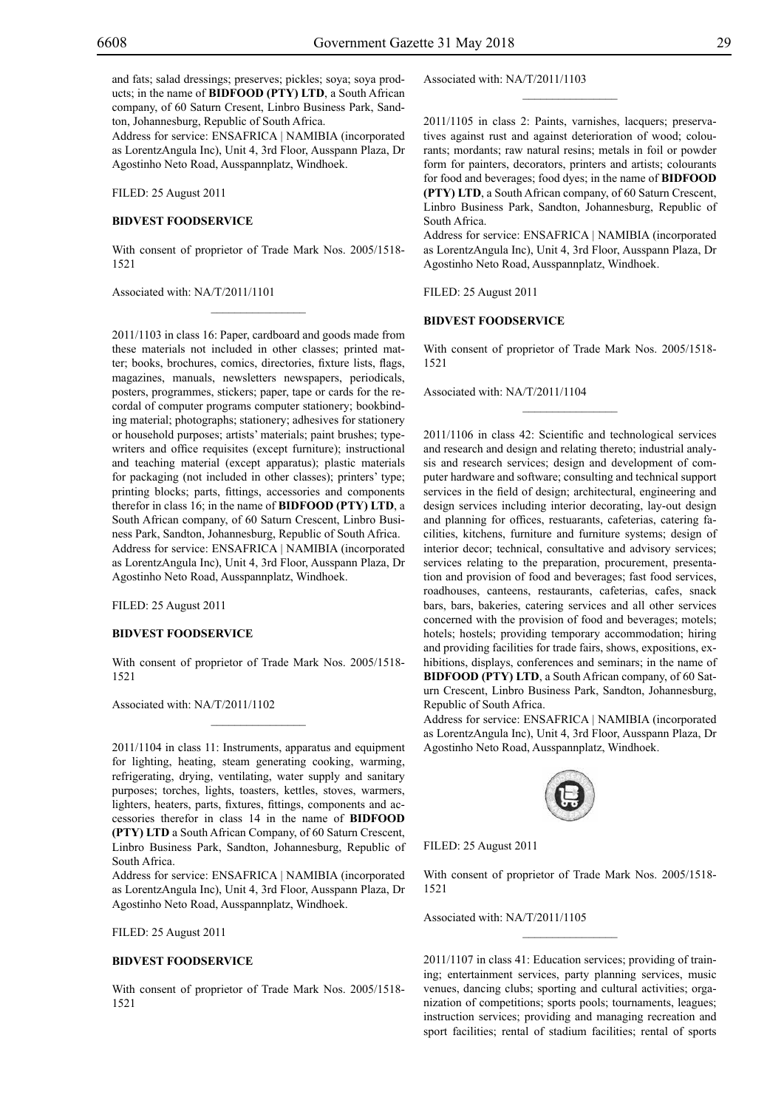and fats; salad dressings; preserves; pickles; soya; soya products; in the name of **BIDFOOD (PTY) LTD**, a South African company, of 60 Saturn Cresent, Linbro Business Park, Sandton, Johannesburg, Republic of South Africa.

Address for service: ENSAFRICA | NAMIBIA (incorporated as LorentzAngula Inc), Unit 4, 3rd Floor, Ausspann Plaza, Dr Agostinho Neto Road, Ausspannplatz, Windhoek.

Filed: 25 August 2011

#### **BIDVEST FOODSERVICE**

With consent of proprietor of Trade Mark Nos. 2005/1518- 1521

 $\mathcal{L}=\mathcal{L}^{\text{max}}$ 

Associated with: NA/T/2011/1101

2011/1103 in class 16: Paper, cardboard and goods made from these materials not included in other classes; printed matter; books, brochures, comics, directories, fixture lists, flags, magazines, manuals, newsletters newspapers, periodicals, posters, programmes, stickers; paper, tape or cards for the recordal of computer programs computer stationery; bookbinding material; photographs; stationery; adhesives for stationery or household purposes; artists' materials; paint brushes; typewriters and office requisites (except furniture); instructional and teaching material (except apparatus); plastic materials for packaging (not included in other classes); printers' type; printing blocks; parts, fittings, accessories and components therefor in class 16; in the name of **BIDFOOD (PTY) LTD**, a South African company, of 60 Saturn Crescent, Linbro Business Park, Sandton, Johannesburg, Republic of South Africa. Address for service: ENSAFRICA | NAMIBIA (incorporated as LorentzAngula Inc), Unit 4, 3rd Floor, Ausspann Plaza, Dr Agostinho Neto Road, Ausspannplatz, Windhoek.

Filed: 25 August 2011

#### **BIDVEST FOODSERVICE**

With consent of proprietor of Trade Mark Nos. 2005/1518- 1521

 $\overline{\phantom{a}}$  , where  $\overline{\phantom{a}}$ 

Associated with: NA/T/2011/1102

2011/1104 in class 11: Instruments, apparatus and equipment for lighting, heating, steam generating cooking, warming, refrigerating, drying, ventilating, water supply and sanitary purposes; torches, lights, toasters, kettles, stoves, warmers, lighters, heaters, parts, fixtures, fittings, components and accessories therefor in class 14 in the name of **BIDFOOD (PTY) LTD** a South African Company, of 60 Saturn Crescent, Linbro Business Park, Sandton, Johannesburg, Republic of South Africa.

Address for service: ENSAFRICA | NAMIBIA (incorporated as LorentzAngula Inc), Unit 4, 3rd Floor, Ausspann Plaza, Dr Agostinho Neto Road, Ausspannplatz, Windhoek.

Filed: 25 August 2011

#### **BIDVEST FOODSERVICE**

With consent of proprietor of Trade Mark Nos. 2005/1518- 1521

Associated with: NA/T/2011/1103

2011/1105 in class 2: Paints, varnishes, lacquers; preservatives against rust and against deterioration of wood; colourants; mordants; raw natural resins; metals in foil or powder form for painters, decorators, printers and artists; colourants for food and beverages; food dyes; in the name of **BIDFOOD (PTY) LTD**, a South African company, of 60 Saturn Crescent, Linbro Business Park, Sandton, Johannesburg, Republic of South Africa.

 $\frac{1}{2}$ 

Address for service: ENSAFRICA | NAMIBIA (incorporated as LorentzAngula Inc), Unit 4, 3rd Floor, Ausspann Plaza, Dr Agostinho Neto Road, Ausspannplatz, Windhoek.

Filed: 25 August 2011

#### **BIDVEST FOODSERVICE**

With consent of proprietor of Trade Mark Nos. 2005/1518- 1521

 $\frac{1}{2}$ 

Associated with: NA/T/2011/1104

2011/1106 in class 42: Scientific and technological services and research and design and relating thereto; industrial analysis and research services; design and development of computer hardware and software; consulting and technical support services in the field of design; architectural, engineering and design services including interior decorating, lay-out design and planning for offices, restuarants, cafeterias, catering facilities, kitchens, furniture and furniture systems; design of interior decor; technical, consultative and advisory services; services relating to the preparation, procurement, presentation and provision of food and beverages; fast food services, roadhouses, canteens, restaurants, cafeterias, cafes, snack bars, bars, bakeries, catering services and all other services concerned with the provision of food and beverages; motels; hotels; hostels; providing temporary accommodation; hiring and providing facilities for trade fairs, shows, expositions, exhibitions, displays, conferences and seminars; in the name of **BIDFOOD (PTY) LTD**, a South African company, of 60 Saturn Crescent, Linbro Business Park, Sandton, Johannesburg, Republic of South Africa.

Address for service: ENSAFRICA | NAMIBIA (incorporated as LorentzAngula Inc), Unit 4, 3rd Floor, Ausspann Plaza, Dr Agostinho Neto Road, Ausspannplatz, Windhoek.



Filed: 25 August 2011

With consent of proprietor of Trade Mark Nos. 2005/1518- 1521

 $\frac{1}{2}$ 

Associated with: NA/T/2011/1105

2011/1107 in class 41: Education services; providing of training; entertainment services, party planning services, music venues, dancing clubs; sporting and cultural activities; organization of competitions; sports pools; tournaments, leagues; instruction services; providing and managing recreation and sport facilities; rental of stadium facilities; rental of sports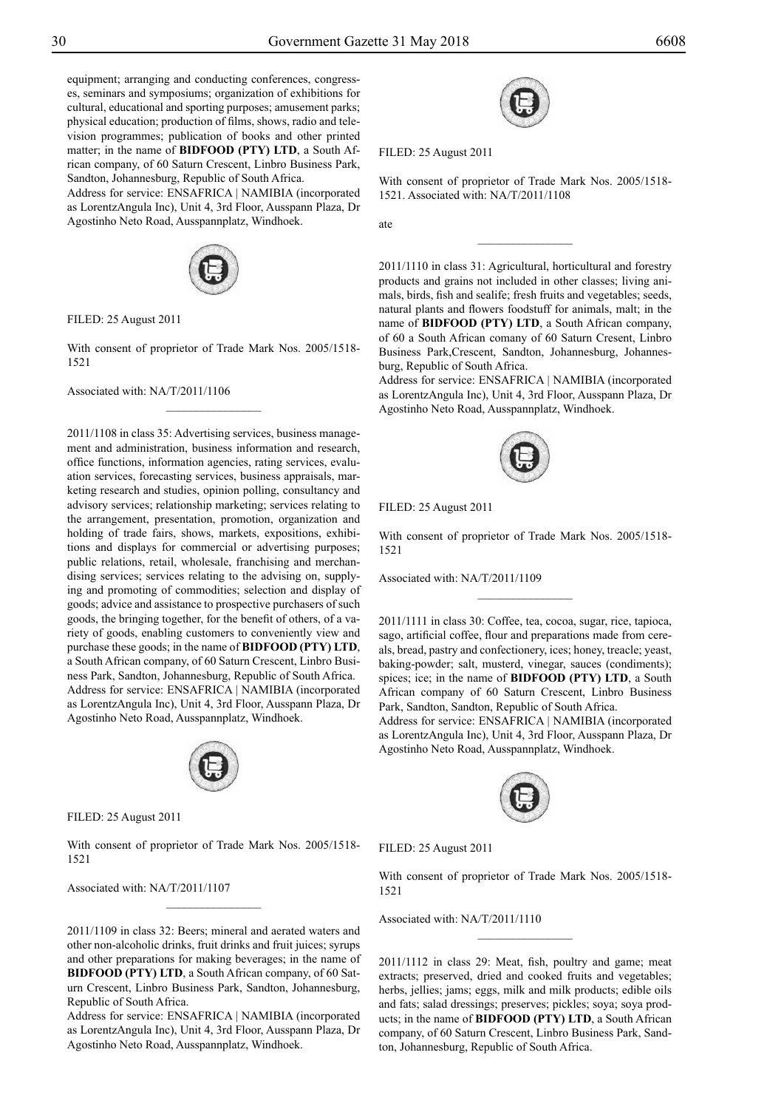ate

equipment; arranging and conducting conferences, congresses, seminars and symposiums; organization of exhibitions for cultural, educational and sporting purposes; amusement parks; physical education; production of films, shows, radio and television programmes; publication of books and other printed matter; in the name of **BIDFOOD (PTY) LTD**, a South African company, of 60 Saturn Crescent, Linbro Business Park, Sandton, Johannesburg, Republic of South Africa.

Address for service: ENSAFRICA | NAMIBIA (incorporated as LorentzAngula Inc), Unit 4, 3rd Floor, Ausspann Plaza, Dr Agostinho Neto Road, Ausspannplatz, Windhoek.



Filed: 25 August 2011

With consent of proprietor of Trade Mark Nos. 2005/1518- 1521

 $\frac{1}{2}$ 

Associated with: NA/T/2011/1106

2011/1108 in class 35: Advertising services, business management and administration, business information and research, office functions, information agencies, rating services, evaluation services, forecasting services, business appraisals, marketing research and studies, opinion polling, consultancy and advisory services; relationship marketing; services relating to the arrangement, presentation, promotion, organization and holding of trade fairs, shows, markets, expositions, exhibitions and displays for commercial or advertising purposes; public relations, retail, wholesale, franchising and merchandising services; services relating to the advising on, supplying and promoting of commodities; selection and display of goods; advice and assistance to prospective purchasers of such goods, the bringing together, for the benefit of others, of a variety of goods, enabling customers to conveniently view and purchase these goods; in the name of **BIDFOOD (PTY) LTD**, a South African company, of 60 Saturn Crescent, Linbro Business Park, Sandton, Johannesburg, Republic of South Africa. Address for service: ENSAFRICA | NAMIBIA (incorporated as LorentzAngula Inc), Unit 4, 3rd Floor, Ausspann Plaza, Dr Agostinho Neto Road, Ausspannplatz, Windhoek.



Filed: 25 August 2011

With consent of proprietor of Trade Mark Nos. 2005/1518- 1521

Associated with: NA/T/2011/1107

2011/1109 in class 32: Beers; mineral and aerated waters and other non-alcoholic drinks, fruit drinks and fruit juices; syrups and other preparations for making beverages; in the name of **BIDFOOD (PTY) LTD**, a South African company, of 60 Saturn Crescent, Linbro Business Park, Sandton, Johannesburg, Republic of South Africa.

Address for service: ENSAFRICA | NAMIBIA (incorporated as LorentzAngula Inc), Unit 4, 3rd Floor, Ausspann Plaza, Dr Agostinho Neto Road, Ausspannplatz, Windhoek.



Filed: 25 August 2011

With consent of proprietor of Trade Mark Nos. 2005/1518- 1521. Associated with: NA/T/2011/1108

 $\overline{\phantom{a}}$  , where  $\overline{\phantom{a}}$ 

2011/1110 in class 31: Agricultural, horticultural and forestry products and grains not included in other classes; living animals, birds, fish and sealife; fresh fruits and vegetables; seeds, natural plants and flowers foodstuff for animals, malt; in the name of **BIDFOOD (PTY) LTD**, a South African company, of 60 a South African comany of 60 Saturn Cresent, Linbro Business Park,Crescent, Sandton, Johannesburg, Johannesburg, Republic of South Africa.

Address for service: ENSAFRICA | NAMIBIA (incorporated as LorentzAngula Inc), Unit 4, 3rd Floor, Ausspann Plaza, Dr Agostinho Neto Road, Ausspannplatz, Windhoek.



Filed: 25 August 2011

With consent of proprietor of Trade Mark Nos. 2005/1518- 1521

 $\frac{1}{2}$ 

Associated with: NA/T/2011/1109

2011/1111 in class 30: Coffee, tea, cocoa, sugar, rice, tapioca, sago, artificial coffee, flour and preparations made from cereals, bread, pastry and confectionery, ices; honey, treacle; yeast, baking-powder; salt, musterd, vinegar, sauces (condiments); spices; ice; in the name of **BIDFOOD (PTY) LTD**, a South African company of 60 Saturn Crescent, Linbro Business Park, Sandton, Sandton, Republic of South Africa.

Address for service: ENSAFRICA | NAMIBIA (incorporated as LorentzAngula Inc), Unit 4, 3rd Floor, Ausspann Plaza, Dr Agostinho Neto Road, Ausspannplatz, Windhoek.



Filed: 25 August 2011

With consent of proprietor of Trade Mark Nos. 2005/1518- 1521

 $\frac{1}{2}$ 

Associated with: NA/T/2011/1110

2011/1112 in class 29: Meat, fish, poultry and game; meat extracts; preserved, dried and cooked fruits and vegetables; herbs, jellies; jams; eggs, milk and milk products; edible oils and fats; salad dressings; preserves; pickles; soya; soya products; in the name of **BIDFOOD (PTY) LTD**, a South African company, of 60 Saturn Crescent, Linbro Business Park, Sandton, Johannesburg, Republic of South Africa.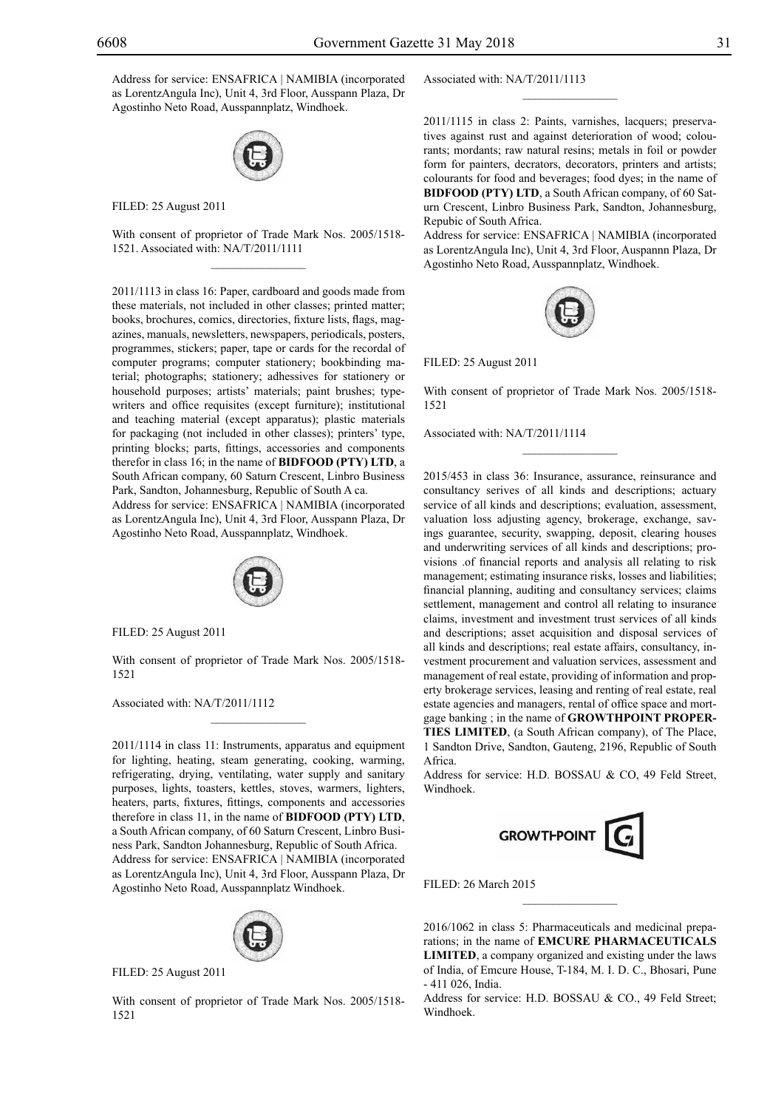Address for service: ENSAFRICA | NAMIBIA (incorporated as LorentzAngula Inc), Unit 4, 3rd Floor, Ausspann Plaza, Dr Agostinho Neto Road, Ausspannplatz, Windhoek.



Filed: 25 August 2011

With consent of proprietor of Trade Mark Nos. 2005/1518- 1521. Associated with: NA/T/2011/1111  $\mathcal{L}=\mathcal{L}^{\mathcal{L}}$ 

2011/1113 in class 16: Paper, cardboard and goods made from these materials, not included in other classes; printed matter; books, brochures, comics, directories, fixture lists, flags, magazines, manuals, newsletters, newspapers, periodicals, posters, programmes, stickers; paper, tape or cards for the recordal of computer programs; computer stationery; bookbinding material; photographs; stationery; adhessives for stationery or household purposes; artists' materials; paint brushes; typewriters and office requisites (except furniture); institutional and teaching material (except apparatus); plastic materials for packaging (not included in other classes); printers' type, printing blocks; parts, fittings, accessories and components therefor in class 16; in the name of **BIDFOOD (PTY) LTD**, a South African company, 60 Saturn Crescent, Linbro Business Park, Sandton, Johannesburg, Republic of South A ca.

Address for service: ENSAFRICA | NAMIBIA (incorporated as LorentzAngula Inc), Unit 4, 3rd Floor, Ausspann Plaza, Dr Agostinho Neto Road, Ausspannplatz, Windhoek.



Filed: 25 August 2011

With consent of proprietor of Trade Mark Nos. 2005/1518- 1521

 $\mathcal{L}=\mathcal{L}^{\mathcal{L}}$ 

Associated with: NA/T/2011/1112

2011/1114 in class 11: Instruments, apparatus and equipment for lighting, heating, steam generating, cooking, warming, refrigerating, drying, ventilating, water supply and sanitary purposes, lights, toasters, kettles, stoves, warmers, lighters, heaters, parts, fixtures, fittings, components and accessories therefore in class 11, in the name of **BIDFOOD (PTY) LTD**, a South African company, of 60 Saturn Crescent, Linbro Business Park, Sandton Johannesburg, Republic of South Africa. Address for service: ENSAFRICA | NAMIBIA (incorporated as LorentzAngula Inc), Unit 4, 3rd Floor, Ausspann Plaza, Dr Agostinho Neto Road, Ausspannplatz Windhoek.



FILED: 25 August 2011

With consent of proprietor of Trade Mark Nos. 2005/1518- 1521

Associated with: NA/T/2011/1113

2011/1115 in class 2: Paints, varnishes, lacquers; preservatives against rust and against deterioration of wood; colourants; mordants; raw natural resins; metals in foil or powder form for painters, decrators, decorators, printers and artists; colourants for food and beverages; food dyes; in the name of **BIDFOOD (PTY) LTD**, a South African company, of 60 Saturn Crescent, Linbro Business Park, Sandton, Johannesburg, Repubic of South Africa.

 $\frac{1}{2}$ 

Address for service: ENSAFRICA | NAMIBIA (incorporated as LorentzAngula Inc), Unit 4, 3rd Floor, Auspannn Plaza, Dr Agostinho Neto Road, Ausspannplatz, Windhoek.



Filed: 25 August 2011

With consent of proprietor of Trade Mark Nos. 2005/1518- 1521

Associated with: NA/T/2011/1114

2015/453 in class 36: Insurance, assurance, reinsurance and consultancy serives of all kinds and descriptions; actuary service of all kinds and descriptions; evaluation, assessment, valuation loss adjusting agency, brokerage, exchange, savings guarantee, security, swapping, deposit, clearing houses and underwriting services of all kinds and descriptions; provisions .of financial reports and analysis all relating to risk management; estimating insurance risks, losses and liabilities; financial planning, auditing and consultancy services; claims settlement, management and control all relating to insurance claims, investment and investment trust services of all kinds and descriptions; asset acquisition and disposal services of all kinds and descriptions; real estate affairs, consultancy, investment procurement and valuation services, assessment and management of real estate, providing of information and property brokerage services, leasing and renting of real estate, real estate agencies and managers, rental of office space and mortgage banking ; in the name of **GROWTHPOINT PROPER-TIES LIMITED**, (a South African company), of The Place, 1 Sandton Drive, Sandton, Gauteng, 2196, Republic of South Africa.

Address for service: H.D. BOSSAU & CO, 49 Feld Street, Windhoek.



Filed: 26 March 2015

2016/1062 in class 5: Pharmaceuticals and medicinal preparations; in the name of **EMCURE PHARMACEUTICALS LIMITED**, a company organized and existing under the laws of India, of Emcure House, T-184, M. I. D. C., Bhosari, Pune - 411 026, India.

 $\frac{1}{2}$ 

Address for service: H.D. BOSSAU & CO., 49 Feld Street; Windhoek.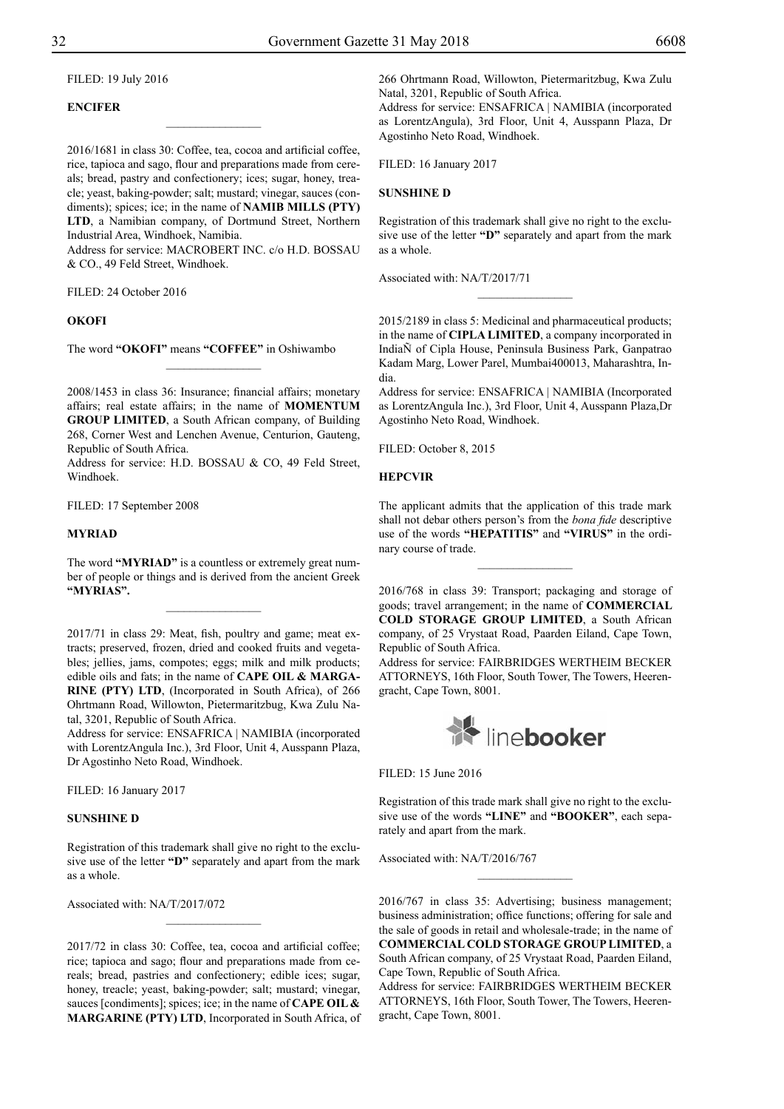#### Filed: 19 July 2016

#### **ENCIFER**

2016/1681 in class 30: Coffee, tea, cocoa and artificial coffee, rice, tapioca and sago, flour and preparations made from cereals; bread, pastry and confectionery; ices; sugar, honey, treacle; yeast, baking-powder; salt; mustard; vinegar, sauces (condiments); spices; ice; in the name of **NAMIB MILLS (PTY) LTD**, a Namibian company, of Dortmund Street, Northern Industrial Area, Windhoek, Namibia.

 $\overline{\phantom{a}}$  , where  $\overline{\phantom{a}}$ 

Address for service: MACROBERT INC. c/o H.D. BOSSAU & Co., 49 Feld Street, Windhoek.

FILED: 24 October 2016

#### **OKOFI**

The word **"OKOFI"** means **"COFFEE"** in Oshiwambo

2008/1453 in class 36: Insurance; financial affairs; monetary affairs; real estate affairs; in the name of **MOMENTUM GROUP LIMITED**, a South African company, of Building 268, Corner West and Lenchen Avenue, Centurion, Gauteng, Republic of South Africa.

 $\frac{1}{2}$ 

Address for service: H.D. BOSSAU & CO, 49 Feld Street, Windhoek.

Filed: 17 September 2008

#### **MYRIAD**

The word "MYRIAD" is a countless or extremely great number of people or things and is derived from the ancient Greek **"myrias".**

 $\frac{1}{2}$ 

2017/71 in class 29: Meat, fish, poultry and game; meat extracts; preserved, frozen, dried and cooked fruits and vegetables; jellies, jams, compotes; eggs; milk and milk products; edible oils and fats; in the name of **CAPE OIL & MARGA-RINE (PTY) LTD**, (Incorporated in South Africa), of 266 Ohrtmann Road, Willowton, Pietermaritzbug, Kwa Zulu Natal, 3201, Republic of South Africa.

Address for service: ENSAFRICA | NAMIBIA (incorporated with LorentzAngula Inc.), 3rd Floor, Unit 4, Ausspann Plaza, Dr Agostinho Neto Road, Windhoek.

FILED: 16 January 2017

#### **SUNSHINE D**

Registration of this trademark shall give no right to the exclusive use of the letter **"D"** separately and apart from the mark as a whole.

 $\frac{1}{2}$ 

Associated with: NA/T/2017/072

2017/72 in class 30: Coffee, tea, cocoa and artificial coffee; rice; tapioca and sago; flour and preparations made from cereals; bread, pastries and confectionery; edible ices; sugar, honey, treacle; yeast, baking-powder; salt; mustard; vinegar, sauces [condiments]; spices; ice; in the name of **CAPE OIL & MARGARINE (PTY) LTD**, Incorporated in South Africa, of 266 Ohrtmann Road, Willowton, Pietermaritzbug, Kwa Zulu Natal, 3201, Republic of South Africa. Address for service: ENSAFRICA | NAMIBIA (incorporated

as LorentzAngula), 3rd Floor, Unit 4, Ausspann Plaza, Dr Agostinho Neto Road, Windhoek.

FILED: 16 January 2017

#### **SUNSHINE D**

Registration of this trademark shall give no right to the exclusive use of the letter **"D"** separately and apart from the mark as a whole.

 $\frac{1}{2}$ 

Associated with: NA/T/2017/71

2015/2189 in class 5: Medicinal and pharmaceutical products; in the name of **CIPLA LIMITED**, a company incorporated in IndiaÑ of Cipla House, Peninsula Business Park, Ganpatrao Kadam Marg, Lower Parel, Mumbai400013, Maharashtra, India.

Address for service: ENSafrica | Namibia (Incorporated as LorentzAngula Inc.), 3rd Floor, Unit 4, Ausspann Plaza,Dr Agostinho Neto Road, Windhoek.

FILED: October 8, 2015

#### **HEPCVIR**

The applicant admits that the application of this trade mark shall not debar others person's from the *bona fide* descriptive use of the words **"HEPATITIS"** and **"VIRUS"** in the ordinary course of trade.

 $\frac{1}{2}$ 

2016/768 in class 39: Transport; packaging and storage of goods; travel arrangement; in the name of **COMMERCIAL COLD STORAGE GROUP LIMITED**, a South African company, of 25 Vrystaat Road, Paarden Eiland, Cape Town, Republic of South Africa.

Address for service: FAIRBRIDGES WERTHEIM BECKER ATTORNEYS, 16th Floor, South Tower, The Towers, Heerengracht, Cape Town, 8001.



Filed: 15 June 2016

Registration of this trade mark shall give no right to the exclusive use of the words **"LINE"** and **"BOOKER"**, each separately and apart from the mark.

 $\frac{1}{2}$ 

Associated with: NA/T/2016/767

2016/767 in class 35: Advertising; business management; business administration; office functions; offering for sale and the sale of goods in retail and wholesale-trade; in the name of **COMMERCIAL COLD STORAGE GROUP LIMITED**, a South African company, of 25 Vrystaat Road, Paarden Eiland, Cape Town, Republic of South Africa.

Address for service: FAIRBRIDGES WERTHEIM BECKER ATTORNEYS, 16th Floor, South Tower, The Towers, Heerengracht, Cape Town, 8001.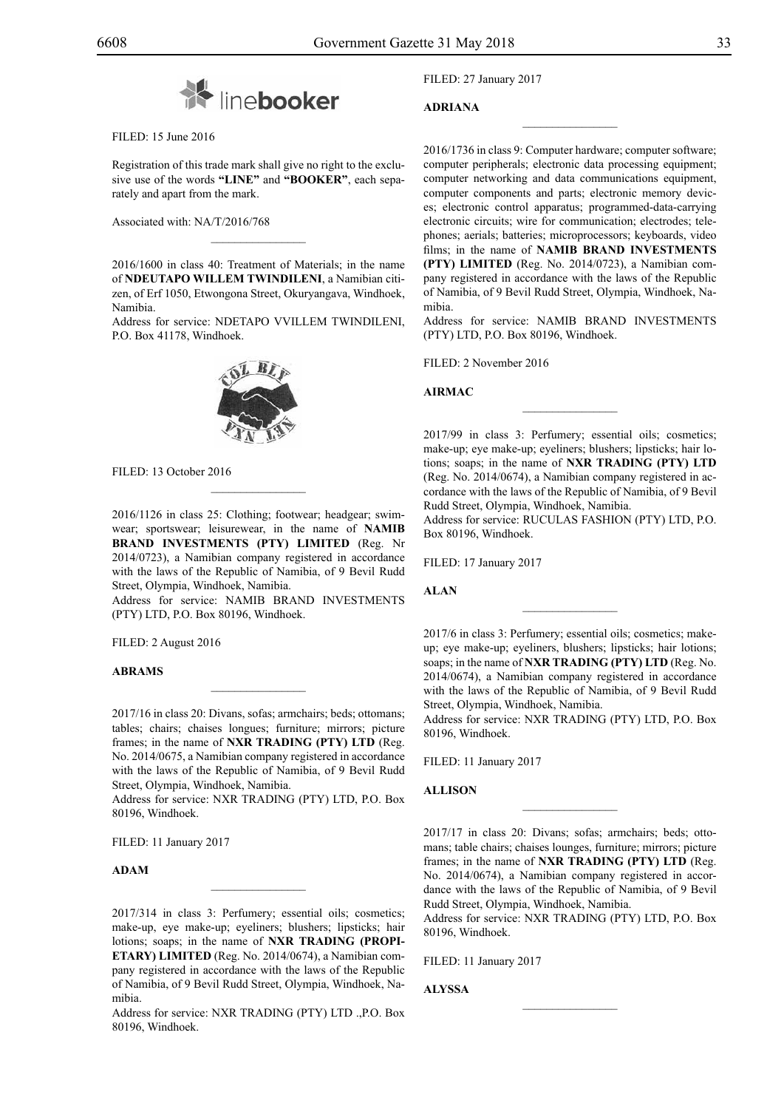

FILED: 15 June 2016

Registration of this trade mark shall give no right to the exclusive use of the words **"LINE"** and **"BOOKER"**, each separately and apart from the mark.

Associated with: NA/T/2016/768

2016/1600 in class 40: Treatment of Materials; in the name of **NDEUTAPO WILLEM TWINDILENI**, a Namibian citizen, of Erf 1050, Etwongona Street, Okuryangava, Windhoek, Namibia.

 $\mathcal{L}=\mathcal{L}^{\mathcal{L}}$ 

Address for service: NDETAPO VVILLEM TWINDILENI, P.O. Box 41178, Windhoek.

FILED: 13 October 2016

2016/1126 in class 25: Clothing; footwear; headgear; swimwear; sportswear; leisurewear, in the name of **NAMIB BRAND INVESTMENTS (PTY) LIMITED** (Reg. Nr 2014/0723), a Namibian company registered in accordance with the laws of the Republic of Namibia, of 9 Bevil Rudd Street, Olympia, Windhoek, Namibia.

 $\mathcal{L}=\mathcal{L}^{\mathcal{L}}$ 

Address for service: NAMIB BRAND INVESTMENTS  $(PTY)$  LTD, P.O. Box 80196, Windhoek.

Filed: 2 August 2016

#### **Abrams**

2017/16 in class 20: Divans, sofas; armchairs; beds; ottomans; tables; chairs; chaises longues; furniture; mirrors; picture frames; in the name of **NXR TRADING (PTY) LTD** (Reg. No. 2014/0675, a Namibian company registered in accordance with the laws of the Republic of Namibia, of 9 Bevil Rudd Street, Olympia, Windhoek, Namibia.

 $\mathcal{L}=\mathcal{L}^{\mathcal{L}}$ 

Address for service: NXR TRADING (PTY) LTD, P.O. Box 80196, Windhoek.

FILED: 11 January 2017

**Adam**

2017/314 in class 3: Perfumery; essential oils; cosmetics; make-up, eye make-up; eyeliners; blushers; lipsticks; hair lotions; soaps; in the name of **NXR TRADING (PROPI-ETARY) LIMITED** (Reg. No. 2014/0674), a Namibian company registered in accordance with the laws of the Republic of Namibia, of 9 Bevil Rudd Street, Olympia, Windhoek, Namibia.

 $\mathcal{L}=\mathcal{L}^{\mathcal{L}}$ 

Address for service: NXR TRADING (PTY) LTD ., P.O. Box 80196, Windhoek.

Filed: 27 January 2017

#### **Adriana**

2016/1736 in class 9: Computer hardware; computer software; computer peripherals; electronic data processing equipment; computer networking and data communications equipment, computer components and parts; electronic memory devices; electronic control apparatus; programmed-data-carrying electronic circuits; wire for communication; electrodes; telephones; aerials; batteries; microprocessors; keyboards, video films; in the name of **NAMIB BRAND INVESTMENTS (PTY) LIMITED** (Reg. No. 2014/0723), a Namibian company registered in accordance with the laws of the Republic of Namibia, of 9 Bevil Rudd Street, Olympia, Windhoek, Namibia.

 $\overline{\phantom{a}}$  , we can also the set of  $\overline{\phantom{a}}$ 

Address for service: NAMIB BRAND INVESTMENTS (PTY) LTD, P.O. Box 80196, Windhoek.

Filed: 2 November 2016

#### **AIRMAC**

2017/99 in class 3: Perfumery; essential oils; cosmetics; make-up; eye make-up; eyeliners; blushers; lipsticks; hair lotions; soaps; in the name of **NXR TRADING (PTY) LTD** (Reg. No. 2014/0674), a Namibian company registered in accordance with the laws of the Republic of Namibia, of 9 Bevil Rudd Street, Olympia, Windhoek, Namibia.

 $\frac{1}{2}$ 

Address for service: RUCULAS FASHION (PTY) LTD, P.O. Box 80196, Windhoek.

Filed: 17 January 2017

#### **Alan**

2017/6 in class 3: Perfumery; essential oils; cosmetics; makeup; eye make-up; eyeliners, blushers; lipsticks; hair lotions; soaps; in the name of **NXR TRADING (PTY) LTD** (Reg. No. 2014/0674), a Namibian company registered in accordance with the laws of the Republic of Namibia, of 9 Bevil Rudd Street, Olympia, Windhoek, Namibia.

 $\frac{1}{2}$ 

Address for service: NXR TRADING (PTY) LTD, P.O. Box 80196, Windhoek.

Filed: 11 January 2017

#### **Allison**

2017/17 in class 20: Divans; sofas; armchairs; beds; ottomans; table chairs; chaises lounges, furniture; mirrors; picture frames; in the name of **NXR TRADING (PTY) LTD** (Reg. No. 2014/0674), a Namibian company registered in accordance with the laws of the Republic of Namibia, of 9 Bevil Rudd Street, Olympia, Windhoek, Namibia.

 $\overline{\phantom{a}}$  , we can also the set of  $\overline{\phantom{a}}$ 

Address for service: NXR TRADING (PTY) LTD, P.O. Box 80196, Windhoek.

 $\frac{1}{2}$ 

Filed: 11 January 2017

**Alyssa**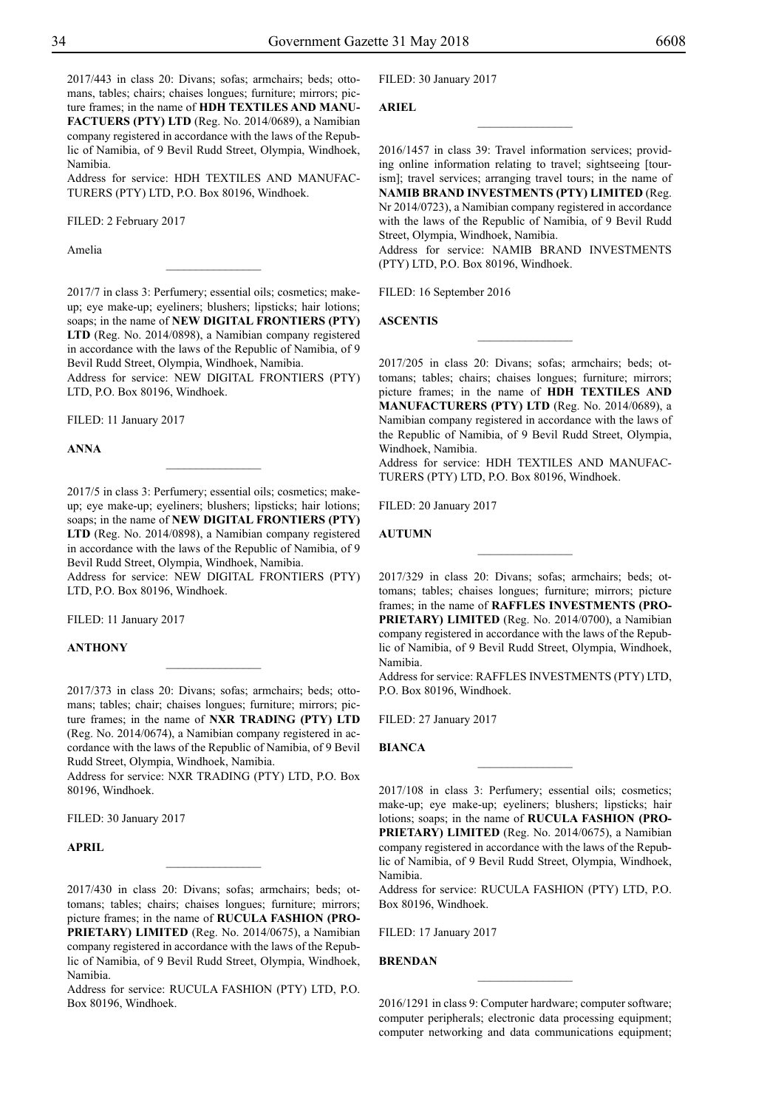2017/443 in class 20: Divans; sofas; armchairs; beds; ottomans, tables; chairs; chaises longues; furniture; mirrors; picture frames; in the name of **HDH TEXTILES AND MANU-FACTUERS (PTY) LTD** (Reg. No. 2014/0689), a Namibian company registered in accordance with the laws of the Republic of Namibia, of 9 Bevil Rudd Street, Olympia, Windhoek, Namibia.

Address for service: HDH TEXTILES AND MANUFAC-TURERS (PTY) LTD, P.O. Box 80196, Windhoek.

Filed: 2 February 2017

Amelia

2017/7 in class 3: Perfumery; essential oils; cosmetics; makeup; eye make-up; eyeliners; blushers; lipsticks; hair lotions; soaps; in the name of **NEW DIGITAL FRONTIERS (PTY) LTD** (Reg. No. 2014/0898), a Namibian company registered in accordance with the laws of the Republic of Namibia, of 9 Bevil Rudd Street, Olympia, Windhoek, Namibia.

 $\overline{\phantom{a}}$  , where  $\overline{\phantom{a}}$ 

Address for service: NEW DIGITAL FRONTIERS (PTY) LTD, P.O. Box 80196, Windhoek.

FILED: 11 January 2017

**Anna**

2017/5 in class 3: Perfumery; essential oils; cosmetics; makeup; eye make-up; eyeliners; blushers; lipsticks; hair lotions; soaps; in the name of **NEW DIGITAL FRONTIERS (PTY) LTD** (Reg. No. 2014/0898), a Namibian company registered in accordance with the laws of the Republic of Namibia, of 9 Bevil Rudd Street, Olympia, Windhoek, Namibia. Address for service: NEW DIGITAL FRONTIERS (PTY)

 $\frac{1}{2}$ 

Filed: 11 January 2017

LTD, P.O. Box 80196, Windhoek.

#### **ANTHONY**

2017/373 in class 20: Divans; sofas; armchairs; beds; ottomans; tables; chair; chaises longues; furniture; mirrors; picture frames; in the name of **NXR TRADING (PTY) LTD** (Reg. No. 2014/0674), a Namibian company registered in accordance with the laws of the Republic of Namibia, of 9 Bevil Rudd Street, Olympia, Windhoek, Namibia.

Address for service: NXR TRADING (PTY) LTD, P.O. Box 80196, Windhoek.

FILED: 30 January 2017

#### **April**

2017/430 in class 20: Divans; sofas; armchairs; beds; ottomans; tables; chairs; chaises longues; furniture; mirrors; picture frames; in the name of **RUCULA FASHION (PRO-PRIETARY) LIMITED** (Reg. No. 2014/0675), a Namibian company registered in accordance with the laws of the Republic of Namibia, of 9 Bevil Rudd Street, Olympia, Windhoek, Namibia.

 $\frac{1}{2}$ 

Address for service: RUCULA FASHION (PTY) LTD, P.O. Box 80196, Windhoek.

FILED: 30 January 2017

**Ariel**

2016/1457 in class 39: Travel information services; providing online information relating to travel; sightseeing [tourism]; travel services; arranging travel tours; in the name of **NAMIB BRAND INVESTMENTS (PTY) LIMITED** (Reg. Nr 2014/0723), a Namibian company registered in accordance with the laws of the Republic of Namibia, of 9 Bevil Rudd Street, Olympia, Windhoek, Namibia.

 $\overline{\phantom{a}}$  , where  $\overline{\phantom{a}}$ 

Address for service: NAMIB BRAND INVESTMENTS (PTY) LTD, P.O. Box 80196, Windhoek.

FILED: 16 September 2016

**ASCENTIS**

2017/205 in class 20: Divans; sofas; armchairs; beds; ottomans; tables; chairs; chaises longues; furniture; mirrors; picture frames; in the name of **HDH TEXTILES AND MANUFACTURERS (PTY) LTD** (Reg. No. 2014/0689), a Namibian company registered in accordance with the laws of the Republic of Namibia, of 9 Bevil Rudd Street, Olympia, Windhoek, Namibia.

 $\frac{1}{2}$ 

Address for service: HDH TEXTILES AND MANUFAC-TURERS (PTY) LTD, P.O. Box 80196, Windhoek.

FILED: 20 January 2017

#### **AUTUMN**

2017/329 in class 20: Divans; sofas; armchairs; beds; ottomans; tables; chaises longues; furniture; mirrors; picture frames; in the name of **RAFFLES INVESTMENTS (PRO-PRIETARY) LIMITED** (Reg. No. 2014/0700), a Namibian company registered in accordance with the laws of the Republic of Namibia, of 9 Bevil Rudd Street, Olympia, Windhoek, Namibia.

 $\frac{1}{2}$ 

Address for service: RAFFLES INVESTMENTS (PTY) LTD, P.O. Box 80196, Windhoek.

FILED: 27 January 2017

**Bianca**

2017/108 in class 3: Perfumery; essential oils; cosmetics; make-up; eye make-up; eyeliners; blushers; lipsticks; hair lotions; soaps; in the name of **RUCULA FASHION (PRO-PRIETARY) LIMITED** (Reg. No. 2014/0675), a Namibian company registered in accordance with the laws of the Republic of Namibia, of 9 Bevil Rudd Street, Olympia, Windhoek, Namibia.

 $\frac{1}{2}$ 

Address for service: RUCULA FASHION (PTY) LTD, P.O. Box 80196, Windhoek.

Filed: 17 January 2017

#### **Brendan**

2016/1291 in class 9: Computer hardware; computer software; computer peripherals; electronic data processing equipment; computer networking and data communications equipment;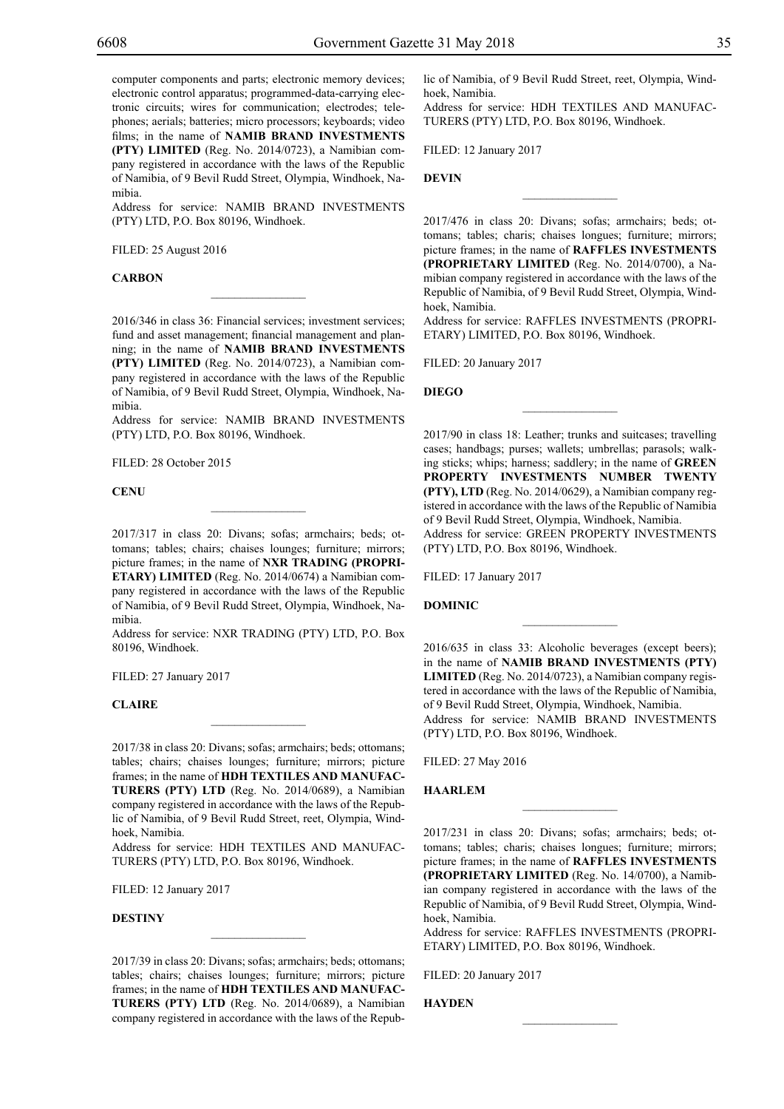computer components and parts; electronic memory devices; electronic control apparatus; programmed-data-carrying electronic circuits; wires for communication; electrodes; telephones; aerials; batteries; micro processors; keyboards; video films; in the name of **NAMIB BRAND INVESTMENTS (PTY) LIMITED** (Reg. No. 2014/0723), a Namibian company registered in accordance with the laws of the Republic of Namibia, of 9 Bevil Rudd Street, Olympia, Windhoek, Namibia.

Address for service: NAMIB BRAND INVESTMENTS (PTY) LTD, P.O. Box 80196, Windhoek.

Filed: 25 August 2016

#### **CARBON**

2016/346 in class 36: Financial services; investment services; fund and asset management; financial management and planning; in the name of **NAMIB BRAND INVESTMENTS (PTY) LIMITED** (Reg. No. 2014/0723), a Namibian company registered in accordance with the laws of the Republic of Namibia, of 9 Bevil Rudd Street, Olympia, Windhoek, Namibia.

 $\mathcal{L}=\mathcal{L}^{\mathcal{L}}$ 

Address for service: NAMIB BRAND INVESTMENTS (PTY) LTD, P.O. Box 80196, Windhoek.

FILED: 28 October 2015

**CENU**

2017/317 in class 20: Divans; sofas; armchairs; beds; ottomans; tables; chairs; chaises lounges; furniture; mirrors; picture frames; in the name of **NXR TRADING (PROPRI-ETARY) LIMITED** (Reg. No. 2014/0674) a Namibian company registered in accordance with the laws of the Republic of Namibia, of 9 Bevil Rudd Street, Olympia, Windhoek, Namibia.

 $\overline{\phantom{a}}$  , where  $\overline{\phantom{a}}$ 

Address for service: NXR TRADING (PTY) LTD, P.O. Box 80196, Windhoek.

Filed: 27 January 2017

#### **Claire**

2017/38 in class 20: Divans; sofas; armchairs; beds; ottomans; tables; chairs; chaises lounges; furniture; mirrors; picture frames; in the name of **HDH TEXTILES AND MANUFAC-TURERS (PTY) LTD** (Reg. No. 2014/0689), a Namibian company registered in accordance with the laws of the Republic of Namibia, of 9 Bevil Rudd Street, reet, Olympia, Windhoek, Namibia.

 $\overline{\phantom{a}}$  , where  $\overline{\phantom{a}}$ 

Address for service: HDH TEXTILES AND MANUFAC-TURERS (PTY) LTD, P.O. Box 80196, Windhoek.

Filed: 12 January 2017

#### **DESTINY**

2017/39 in class 20: Divans; sofas; armchairs; beds; ottomans; tables; chairs; chaises lounges; furniture; mirrors; picture frames; in the name of **HDH TEXTILES AND MANUFAC-TURERS (PTY) LTD** (Reg. No. 2014/0689), a Namibian company registered in accordance with the laws of the Repub-

 $\mathcal{L}=\mathcal{L}^{\mathcal{L}}$ 

lic of Namibia, of 9 Bevil Rudd Street, reet, Olympia, Windhoek, Namibia.

Address for service: HDH TEXTILES AND MANUFAC-TURERS (PTY) LTD, P.O. Box 80196, Windhoek.

Filed: 12 January 2017

**DEVIN**

2017/476 in class 20: Divans; sofas; armchairs; beds; ottomans; tables; charis; chaises longues; furniture; mirrors; picture frames; in the name of **RAFFLES INVESTMENTS (PROPRIETARY LIMITED** (Reg. No. 2014/0700), a Namibian company registered in accordance with the laws of the Republic of Namibia, of 9 Bevil Rudd Street, Olympia, Windhoek, Namibia.

 $\overline{\phantom{a}}$  , we can also the set of  $\overline{\phantom{a}}$ 

Address for service: Raffles Investments (Propri-ETARY) LIMITED, P.O. Box 80196, Windhoek.

 $\frac{1}{2}$ 

Filed: 20 January 2017

**DIEGO**

2017/90 in class 18: Leather; trunks and suitcases; travelling cases; handbags; purses; wallets; umbrellas; parasols; walking sticks; whips; harness; saddlery; in the name of **GREEN PROPERTY INVESTMENTS NUMBER TWENTY (PTY), LTD** (Reg. No. 2014/0629), a Namibian company registered in accordance with the laws of the Republic of Namibia of 9 Bevil Rudd Street, Olympia, Windhoek, Namibia. Address for service: GREEN PROPERTY INVESTMENTS (PTY) LTD, P.O. Box 80196, Windhoek.

Filed: 17 January 2017

**DOMINIC**

2016/635 in class 33: Alcoholic beverages (except beers); in the name of **NAMIB BRAND INVESTMENTS (PTY) LIMITED** (Reg. No. 2014/0723), a Namibian company registered in accordance with the laws of the Republic of Namibia, of 9 Bevil Rudd Street, Olympia, Windhoek, Namibia. Address for service: NAMIB BRAND INVESTMENTS (PTY) LTD, P.O. Box 80196, Windhoek.

 $\frac{1}{2}$ 

Filed: 27 May 2016

#### **HAARLEM**

2017/231 in class 20: Divans; sofas; armchairs; beds; ottomans; tables; charis; chaises longues; furniture; mirrors; picture frames; in the name of **RAFFLES INVESTMENTS (PROPRIETARY LIMITED** (Reg. No. 14/0700), a Namibian company registered in accordance with the laws of the Republic of Namibia, of 9 Bevil Rudd Street, Olympia, Windhoek, Namibia.

 $\overline{\phantom{a}}$  , we can also the set of  $\overline{\phantom{a}}$ 

Address for service: Raffles Investments (Propri-ETARY) LIMITED, P.O. Box 80196, Windhoek.

 $\frac{1}{2}$ 

Filed: 20 January 2017

**Hayden**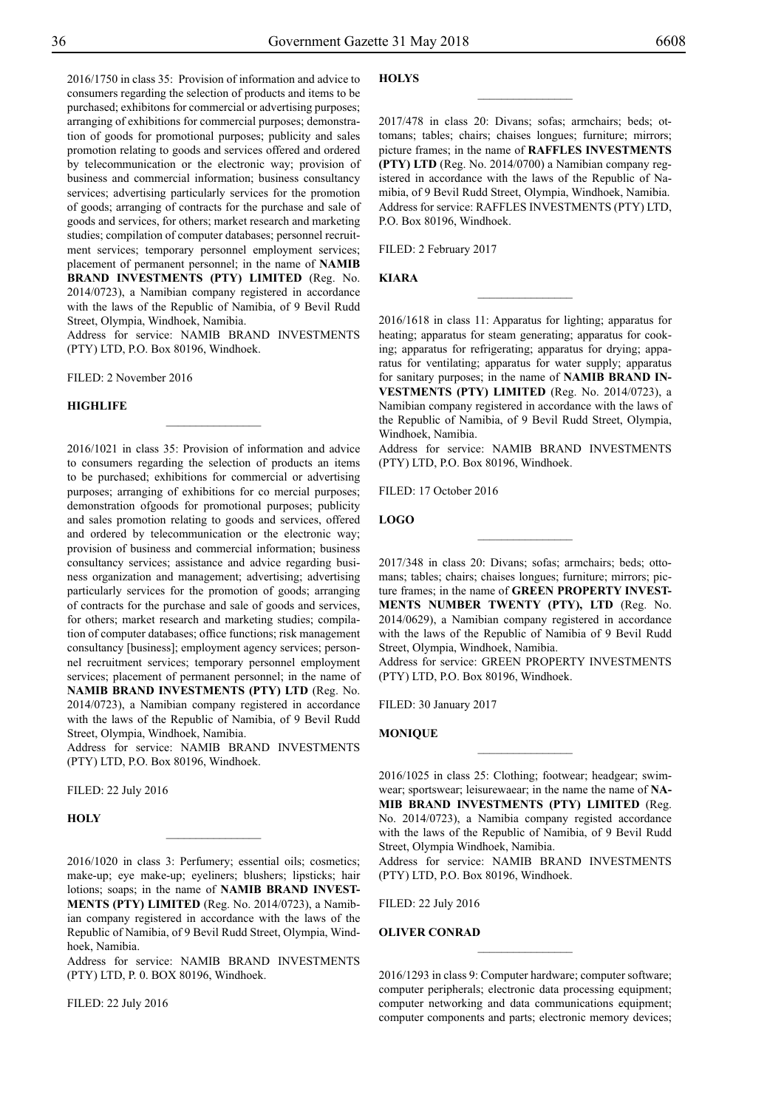2016/1750 in class 35: Provision of information and advice to consumers regarding the selection of products and items to be purchased; exhibitons for commercial or advertising purposes; arranging of exhibitions for commercial purposes; demonstration of goods for promotional purposes; publicity and sales promotion relating to goods and services offered and ordered by telecommunication or the electronic way; provision of business and commercial information; business consultancy services; advertising particularly services for the promotion of goods; arranging of contracts for the purchase and sale of goods and services, for others; market research and marketing studies; compilation of computer databases; personnel recruitment services; temporary personnel employment services; placement of permanent personnel; in the name of **NAMIB BRAND INVESTMENTS (PTY) LIMITED** (Reg. No. 2014/0723), a Namibian company registered in accordance with the laws of the Republic of Namibia, of 9 Bevil Rudd Street, Olympia, Windhoek, Namibia.

Address for service: NAMIB BRAND INVESTMENTS (PTY) LTD, P.O. Box 80196, Windhoek.

 $\overline{\phantom{a}}$  , where  $\overline{\phantom{a}}$ 

Filed: 2 November 2016

#### **HIGHLIFE**

2016/1021 in class 35: Provision of information and advice to consumers regarding the selection of products an items to be purchased; exhibitions for commercial or advertising purposes; arranging of exhibitions for co mercial purposes; demonstration ofgoods for promotional purposes; publicity and sales promotion relating to goods and services, offered and ordered by telecommunication or the electronic way; provision of business and commercial information; business consultancy services; assistance and advice regarding business organization and management; advertising; advertising particularly services for the promotion of goods; arranging of contracts for the purchase and sale of goods and services, for others; market research and marketing studies; compilation of computer databases; office functions; risk management consultancy [business]; employment agency services; personnel recruitment services; temporary personnel employment services; placement of permanent personnel; in the name of **NAMIB BRAND INVESTMENTS (PTY) LTD** (Reg. No. 2014/0723), a Namibian company registered in accordance with the laws of the Republic of Namibia, of 9 Bevil Rudd

Street, Olympia, Windhoek, Namibia. Address for service: NAMIB BRAND INVESTMENTS (PTY) LTD, P.O. Box 80196, Windhoek.

Filed: 22 July 2016

**Holy**

2016/1020 in class 3: Perfumery; essential oils; cosmetics; make-up; eye make-up; eyeliners; blushers; lipsticks; hair lotions; soaps; in the name of **NAMIB BRAND INVEST-MENTS (PTY) LIMITED** (Reg. No. 2014/0723), a Namibian company registered in accordance with the laws of the Republic of Namibia, of 9 Bevil Rudd Street, Olympia, Windhoek, Namibia.

 $\frac{1}{2}$ 

Address for service: NAMIB BRAND INVESTMENTS (PTY) LTD, P. 0. BOX 80196, Windhoek.

Filed: 22 July 2016

#### **HOLYS**

2017/478 in class 20: Divans; sofas; armchairs; beds; ottomans; tables; chairs; chaises longues; furniture; mirrors; picture frames; in the name of **RAFFLES INVESTMENTS (PTY) LTD** (Reg. No. 2014/0700) a Namibian company registered in accordance with the laws of the Republic of Namibia, of 9 Bevil Rudd Street, Olympia, Windhoek, Namibia. Address for service: RAFFLES INVESTMENTS (PTY) LTD, P.O. Box 80196, Windhoek.

 $\overline{\phantom{a}}$  , where  $\overline{\phantom{a}}$ 

FILED: 2 February 2017

**Kiara**

2016/1618 in class 11: Apparatus for lighting; apparatus for heating; apparatus for steam generating; apparatus for cooking; apparatus for refrigerating; apparatus for drying; apparatus for ventilating; apparatus for water supply; apparatus for sanitary purposes; in the name of **NAMIB BRAND IN-VESTMENTS (PTY) LIMITED** (Reg. No. 2014/0723), a Namibian company registered in accordance with the laws of the Republic of Namibia, of 9 Bevil Rudd Street, Olympia, Windhoek, Namibia.

 $\frac{1}{2}$ 

Address for service: NAMIB BRAND INVESTMENTS (PTY) LTD, P.O. Box 80196, Windhoek.

FILED: 17 October 2016

**Logo**

2017/348 in class 20: Divans; sofas; armchairs; beds; ottomans; tables; chairs; chaises longues; furniture; mirrors; picture frames; in the name of **GREEN PROPERTY INVEST-MENTS NUMBER TWENTY (PTY), LTD** (Reg. No. 2014/0629), a Namibian company registered in accordance with the laws of the Republic of Namibia of 9 Bevil Rudd Street, Olympia, Windhoek, Namibia.

 $\frac{1}{2}$ 

Address for service: GREEN PROPERTY INVESTMENTS (PTY) LTD, P.O. Box 80196, Windhoek.

FILED: 30 January 2017

**Monique**

2016/1025 in class 25: Clothing; footwear; headgear; swimwear; sportswear; leisurewaear; in the name the name of **NA-MIB BRAND INVESTMENTS (PTY) LIMITED** (Reg. No. 2014/0723), a Namibia company registed accordance with the laws of the Republic of Namibia, of 9 Bevil Rudd Street, Olympia Windhoek, Namibia.

 $\frac{1}{2}$ 

Address for service: NAMIB BRAND INVESTMENTS (PTY) LTD, P.O. Box 80196, Windhoek.

Filed: 22 July 2016

#### **Oliver Conrad**

2016/1293 in class 9: Computer hardware; computer software; computer peripherals; electronic data processing equipment; computer networking and data communications equipment; computer components and parts; electronic memory devices;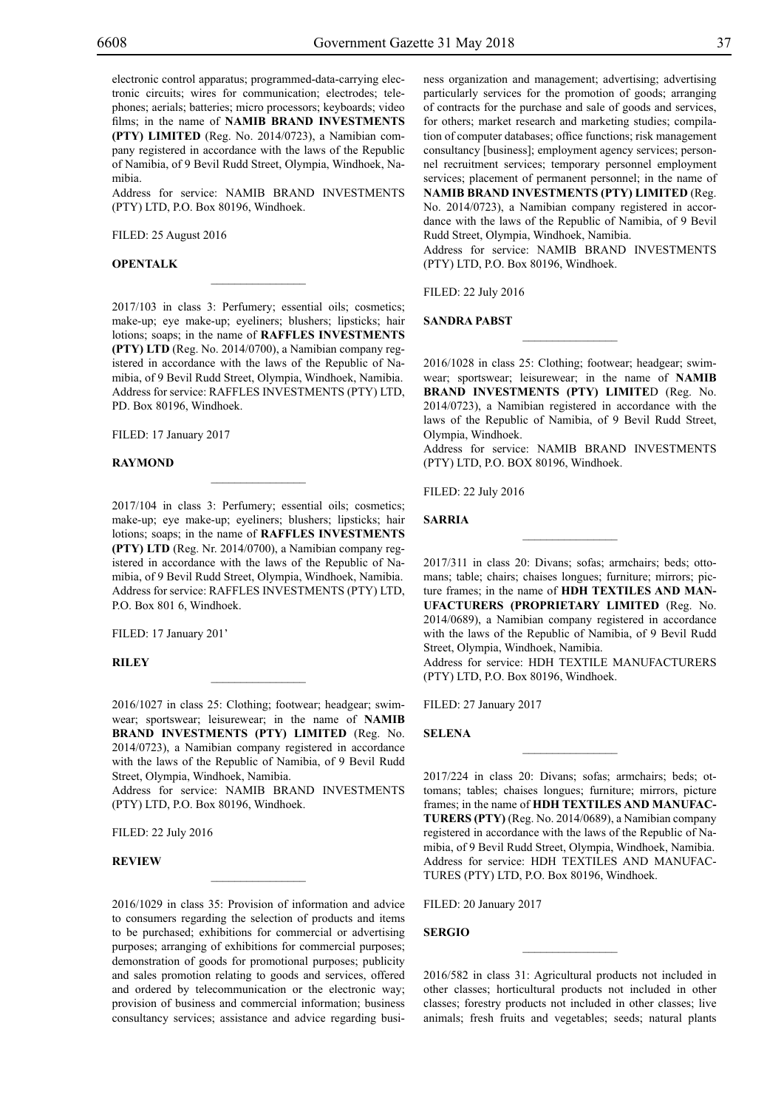Address for service: NAMIB BRAND INVESTMENTS (PTY) LTD, P.O. Box 80196, Windhoek.

Filed: 25 August 2016

#### **OPENTALK**

2017/103 in class 3: Perfumery; essential oils; cosmetics; make-up; eye make-up; eyeliners; blushers; lipsticks; hair lotions; soaps; in the name of **RAFFLES INVESTMENTS (PTY) LTD** (Reg. No. 2014/0700), a Namibian company registered in accordance with the laws of the Republic of Namibia, of 9 Bevil Rudd Street, Olympia, Windhoek, Namibia. Address for service: RAFFLES INVESTMENTS (PTY) LTD, PD. Box 80196, Windhoek.

 $\overline{\phantom{a}}$  , where  $\overline{\phantom{a}}$ 

Filed: 17 January 2017

#### **Raymond**

2017/104 in class 3: Perfumery; essential oils; cosmetics; make-up; eye make-up; eyeliners; blushers; lipsticks; hair lotions; soaps; in the name of **RAFFLES INVESTMENTS (PTY) LTD** (Reg. Nr. 2014/0700), a Namibian company registered in accordance with the laws of the Republic of Namibia, of 9 Bevil Rudd Street, Olympia, Windhoek, Namibia. Address for service: RAFFLES INVESTMENTS (PTY) LTD, P.O. Box 801 6, Windhoek.

 $\mathcal{L}=\mathcal{L}^{\mathcal{L}}$ 

FILED: 17 January 201'

#### **Riley**

2016/1027 in class 25: Clothing; footwear; headgear; swimwear; sportswear; leisurewear; in the name of **NAMIB BRAND INVESTMENTS (PTY) LIMITED** (Reg. No. 2014/0723), a Namibian company registered in accordance with the laws of the Republic of Namibia, of 9 Bevil Rudd Street, Olympia, Windhoek, Namibia.

 $\mathcal{L}=\mathcal{L}^{\mathcal{L}}$ 

Address for service: NAMIB BRAND INVESTMENTS (PTY) LTD, P.O. Box 80196, Windhoek.

 $\overline{\phantom{a}}$  , where  $\overline{\phantom{a}}$ 

Filed: 22 July 2016

#### **review**

2016/1029 in class 35: Provision of information and advice to consumers regarding the selection of products and items to be purchased; exhibitions for commercial or advertising purposes; arranging of exhibitions for commercial purposes; demonstration of goods for promotional purposes; publicity and sales promotion relating to goods and services, offered and ordered by telecommunication or the electronic way; provision of business and commercial information; business consultancy services; assistance and advice regarding business organization and management; advertising; advertising particularly services for the promotion of goods; arranging of contracts for the purchase and sale of goods and services, for others; market research and marketing studies; compilation of computer databases; office functions; risk management consultancy [business]; employment agency services; personnel recruitment services; temporary personnel employment services; placement of permanent personnel; in the name of

**NAMIB BRAND INVESTMENTS (PTY) LIMITED** (Reg. No. 2014/0723), a Namibian company registered in accordance with the laws of the Republic of Namibia, of 9 Bevil Rudd Street, Olympia, Windhoek, Namibia.

Address for service: NAMIB BRAND INVESTMENTS (PTY) LTD, P.O. Box 80196, Windhoek.

Filed: 22 July 2016

**Sandra Pabst**

2016/1028 in class 25: Clothing; footwear; headgear; swimwear; sportswear; leisurewear; in the name of **NAMIB BRAND INVESTMENTS (PTY) LIMITE**D (Reg. No. 2014/0723), a Namibian registered in accordance with the laws of the Republic of Namibia, of 9 Bevil Rudd Street, Olympia, Windhoek.

 $\frac{1}{2}$ 

Address for service: NAMIB BRAND INVESTMENTS (PTY) LTD, P.O. BOX 80196, Windhoek.

Filed: 22 July 2016

**SARRIA**

2017/311 in class 20: Divans; sofas; armchairs; beds; ottomans; table; chairs; chaises longues; furniture; mirrors; picture frames; in the name of **HDH TEXTILES AND MAN-UFACTURERS (PROPRIETARY LIMITED** (Reg. No. 2014/0689), a Namibian company registered in accordance with the laws of the Republic of Namibia, of 9 Bevil Rudd Street, Olympia, Windhoek, Namibia.

 $\frac{1}{2}$ 

Address for service: HDH TEXTILE MANUFACTURERS (PTY) LTD, P.O. Box 80196, Windhoek.

 $\frac{1}{2}$ 

Filed: 27 January 2017

**Selena**

2017/224 in class 20: Divans; sofas; armchairs; beds; ottomans; tables; chaises longues; furniture; mirrors, picture frames; in the name of **HDH TEXTILES AND MANUFAC-TURERS (PTY)** (Reg. No. 2014/0689), a Namibian company registered in accordance with the laws of the Republic of Namibia, of 9 Bevil Rudd Street, Olympia, Windhoek, Namibia. Address for service: HDH TEXTILES AND MANUFAC-TURES (PTY) LTD, P.O. Box 80196, Windhoek.

FILED: 20 January 2017

#### **Sergio**

2016/582 in class 31: Agricultural products not included in other classes; horticultural products not included in other classes; forestry products not included in other classes; live animals; fresh fruits and vegetables; seeds; natural plants

 $\overline{\phantom{a}}$  , we can also the set of  $\overline{\phantom{a}}$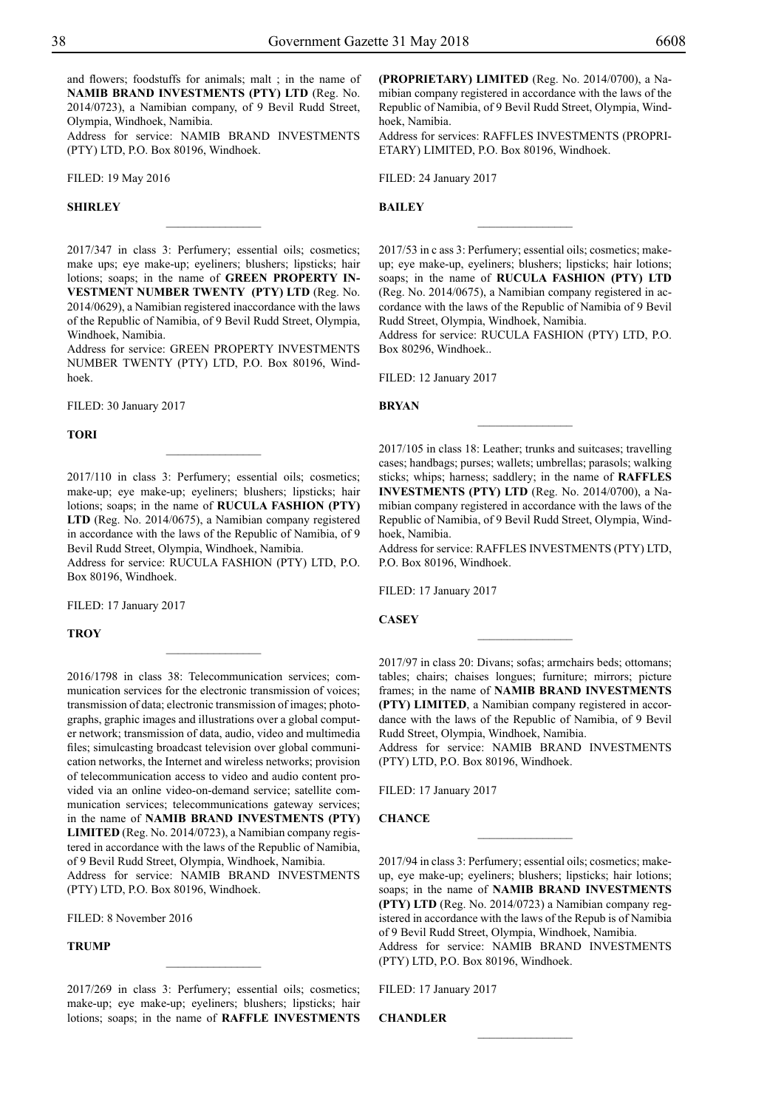and flowers; foodstuffs for animals; malt ; in the name of **NAMIB BRAND INVESTMENTS (PTY) LTD** (Reg. No. 2014/0723), a Namibian company, of 9 Bevil Rudd Street, Olympia, Windhoek, Namibia.

Address for service: NAMIB BRAND INVESTMENTS (PTY) LTD, P.O. Box 80196, Windhoek.

Filed: 19 May 2016

#### **SHIRLEY**

2017/347 in class 3: Perfumery; essential oils; cosmetics; make ups; eye make-up; eyeliners; blushers; lipsticks; hair lotions; soaps; in the name of **GREEN PROPERTY IN-VESTMENT NUMBER TWENTY (PTY) LTD** (Reg. No. 2014/0629), a Namibian registered inaccordance with the laws of the Republic of Namibia, of 9 Bevil Rudd Street, Olympia, Windhoek, Namibia.

 $\frac{1}{2}$ 

Address for service: GREEN PROPERTY INVESTMENTS NUMBER TWENTY (PTY) LTD, P.O. Box 80196, Windhoek.

FILED: 30 January 2017

#### **Tori**

2017/110 in class 3: Perfumery; essential oils; cosmetics; make-up; eye make-up; eyeliners; blushers; lipsticks; hair lotions; soaps; in the name of **RUCULA FASHION (PTY) LTD** (Reg. No. 2014/0675), a Namibian company registered in accordance with the laws of the Republic of Namibia, of 9 Bevil Rudd Street, Olympia, Windhoek, Namibia.

Address for service: RUCULA FASHION (PTY) LTD, P.O. Box 80196, Windhoek.

 $\overline{\phantom{a}}$  , where  $\overline{\phantom{a}}$ 

FILED: 17 January 2017

**Troy**

2016/1798 in class 38: Telecommunication services; communication services for the electronic transmission of voices; transmission of data; electronic transmission of images; photographs, graphic images and illustrations over a global computer network; transmission of data, audio, video and multimedia files; simulcasting broadcast television over global communication networks, the Internet and wireless networks; provision of telecommunication access to video and audio content provided via an online video-on-demand service; satellite communication services; telecommunications gateway services; in the name of **NAMIB BRAND INVESTMENTS (PTY) LIMITED** (Reg. No. 2014/0723), a Namibian company registered in accordance with the laws of the Republic of Namibia, of 9 Bevil Rudd Street, Olympia, Windhoek, Namibia.

Address for service: NAMIB BRAND INVESTMENTS (PTY) LTD, P.O. Box 80196, Windhoek.

Filed: 8 November 2016

**TRUMP**

2017/269 in class 3: Perfumery; essential oils; cosmetics; make-up; eye make-up; eyeliners; blushers; lipsticks; hair lotions; soaps; in the name of **RAFFLE INVESTMENTS** 

 $\frac{1}{2}$ 

**(PROPRIETARY) LIMITED** (Reg. No. 2014/0700), a Namibian company registered in accordance with the laws of the Republic of Namibia, of 9 Bevil Rudd Street, Olympia, Windhoek, Namibia.

Address for services: Raffles Investments (Propri-ETARY) LIMITED, P.O. Box 80196, Windhoek.

FILED: 24 January 2017

**Bailey**

2017/53 in c ass 3: Perfumery; essential oils; cosmetics; makeup; eye make-up, eyeliners; blushers; lipsticks; hair lotions; soaps; in the name of **RUCULA FASHION (PTY) LTD** (Reg. No. 2014/0675), a Namibian company registered in accordance with the laws of the Republic of Namibia of 9 Bevil Rudd Street, Olympia, Windhoek, Namibia.

 $\frac{1}{2}$ 

Address for service: RUCULA FASHION (PTY) LTD, P.O. Box 80296, Windhoek..

Filed: 12 January 2017

#### **Bryan**

2017/105 in class 18: Leather; trunks and suitcases; travelling cases; handbags; purses; wallets; umbrellas; parasols; walking sticks; whips; harness; saddlery; in the name of **RAFFLES INVESTMENTS (PTY) LTD** (Reg. No. 2014/0700), a Namibian company registered in accordance with the laws of the Republic of Namibia, of 9 Bevil Rudd Street, Olympia, Windhoek, Namibia.

 $\overline{\phantom{a}}$  , where  $\overline{\phantom{a}}$ 

Address for service: RAFFLES INVESTMENTS (PTY) LTD, P.O. Box 80196, Windhoek.

FILED: 17 January 2017

**Casey**

2017/97 in class 20: Divans; sofas; armchairs beds; ottomans; tables; chairs; chaises longues; furniture; mirrors; picture frames; in the name of **NAMIB BRAND INVESTMENTS (PTY) LIMITED**, a Namibian company registered in accordance with the laws of the Republic of Namibia, of 9 Bevil Rudd Street, Olympia, Windhoek, Namibia.

 $\frac{1}{2}$ 

Address for service: NAMIB BRAND INVESTMENTS (PTY) LTD, P.O. Box 80196, Windhoek.

Filed: 17 January 2017

#### **Chance**

2017/94 in class 3: Perfumery; essential oils; cosmetics; makeup, eye make-up; eyeliners; blushers; lipsticks; hair lotions; soaps; in the name of **NAMIB BRAND INVESTMENTS (PTY) LTD** (Reg. No. 2014/0723) a Namibian company registered in accordance with the laws of the Repub is of Namibia of 9 Bevil Rudd Street, Olympia, Windhoek, Namibia. Address for service: NAMIB BRAND INVESTMENTS (Pty) LTD, P.O. Box 80196, Windhoek.

 $\frac{1}{2}$ 

 $\frac{1}{2}$ 

Filed: 17 January 2017

**Chandler**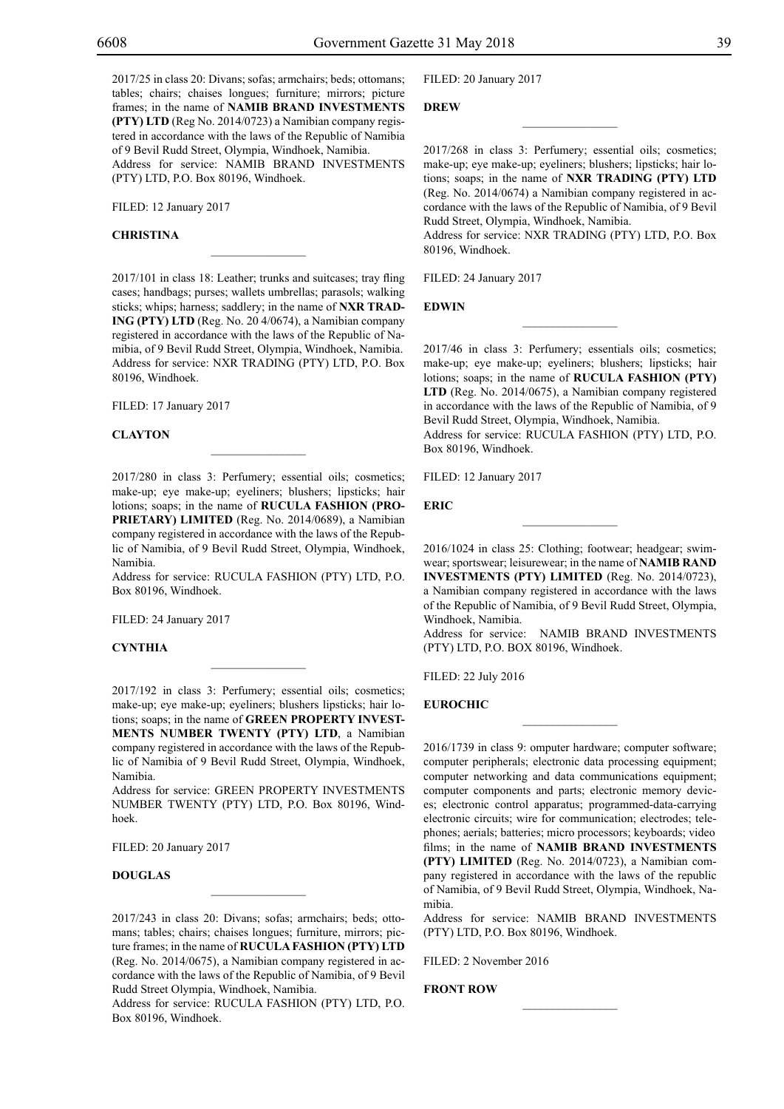2017/25 in class 20: Divans; sofas; armchairs; beds; ottomans; tables; chairs; chaises longues; furniture; mirrors; picture frames; in the name of **NAMIB BRAND INVESTMENTS (PTY) LTD** (Reg No. 2014/0723) a Namibian company registered in accordance with the laws of the Republic of Namibia of 9 Bevil Rudd Street, Olympia, Windhoek, Namibia. Address for service: NAMIB BRAND INVESTMENTS (PTY) LTD, P.O. Box 80196, Windhoek.

FILED: 12 January 2017

#### **Christina**

2017/101 in class 18: Leather; trunks and suitcases; tray fling cases; handbags; purses; wallets umbrellas; parasols; walking sticks; whips; harness; saddlery; in the name of **NXR TRAD-ING (PTY) LTD** (Reg. No. 20 4/0674), a Namibian company registered in accordance with the laws of the Republic of Namibia, of 9 Bevil Rudd Street, Olympia, Windhoek, Namibia. Address for service: NXR TRADING (PTY) LTD, P.O. Box 80196, Windhoek.

 $\mathcal{L}=\mathcal{L}^{\mathcal{L}}$ 

Filed: 17 January 2017

#### **Clayton**

2017/280 in class 3: Perfumery; essential oils; cosmetics; make-up; eye make-up; eyeliners; blushers; lipsticks; hair lotions; soaps; in the name of **RUCULA FASHION (PRO-PRIETARY) LIMITED** (Reg. No. 2014/0689), a Namibian company registered in accordance with the laws of the Republic of Namibia, of 9 Bevil Rudd Street, Olympia, Windhoek, Namibia.

Address for service: RUCULA FASHION (PTY) LTD, P.O. Box 80196, Windhoek.

Filed: 24 January 2017

#### **Cynthia**

2017/192 in class 3: Perfumery; essential oils; cosmetics; make-up; eye make-up; eyeliners; blushers lipsticks; hair lotions; soaps; in the name of **GREEN PROPERTY INVEST-MENTS NUMBER TWENTY (PTY) LTD**, a Namibian company registered in accordance with the laws of the Republic of Namibia of 9 Bevil Rudd Street, Olympia, Windhoek, Namibia.

Address for service: GREEN PROPERTY INVESTMENTS NUMBER TWENTY (PTY) LTD, P.O. Box 80196, Windhoek.

FILED: 20 January 2017

#### **Douglas**

2017/243 in class 20: Divans; sofas; armchairs; beds; ottomans; tables; chairs; chaises longues; furniture, mirrors; picture frames; in the name of **RUCULA FASHION (PTY) LTD**  (Reg. No. 2014/0675), a Namibian company registered in accordance with the laws of the Republic of Namibia, of 9 Bevil Rudd Street Olympia, Windhoek, Namibia.

 $\mathcal{L}=\mathcal{L}^{\mathcal{L}}$ 

Address for service: RUCULA FASHION (PTY) LTD, P.O. Box 80196, Windhoek.

Filed: 20 January 2017

#### **Drew**

2017/268 in class 3: Perfumery; essential oils; cosmetics; make-up; eye make-up; eyeliners; blushers; lipsticks; hair lotions; soaps; in the name of **NXR TRADING (PTY) LTD** (Reg. No. 2014/0674) a Namibian company registered in accordance with the laws of the Republic of Namibia, of 9 Bevil Rudd Street, Olympia, Windhoek, Namibia.

 $\overline{\phantom{a}}$  , we can also the set of  $\overline{\phantom{a}}$ 

Address for service: NXR TRADING (PTY) LTD, P.O. Box 80196, Windhoek.

FILED: 24 January 2017

**Edwin**

2017/46 in class 3: Perfumery; essentials oils; cosmetics; make-up; eye make-up; eyeliners; blushers; lipsticks; hair lotions; soaps; in the name of **RUCULA FASHION (PTY) LTD** (Reg. No. 2014/0675), a Namibian company registered in accordance with the laws of the Republic of Namibia, of 9 Bevil Rudd Street, Olympia, Windhoek, Namibia. Address for service: RUCULA FASHION (PTY) LTD, P.O.

 $\frac{1}{2}$ 

Filed: 12 January 2017

Box 80196, Windhoek.

**Eric**

2016/1024 in class 25: Clothing; footwear; headgear; swimwear; sportswear; leisurewear; in the name of **NAMIB RAND INVESTMENTS (PTY) LIMITED** (Reg. No. 2014/0723), a Namibian company registered in accordance with the laws of the Republic of Namibia, of 9 Bevil Rudd Street, Olympia, Windhoek, Namibia.

Address for service: NAMIB BRAND INVESTMENTS (PTY) LTD, P.O. BOX 80196, Windhoek.

 $\overline{\phantom{a}}$  , we can also the set of  $\overline{\phantom{a}}$ 

Filed: 22 July 2016

#### **Eurochic**

2016/1739 in class 9: omputer hardware; computer software; computer peripherals; electronic data processing equipment; computer networking and data communications equipment; computer components and parts; electronic memory devices; electronic control apparatus; programmed-data-carrying electronic circuits; wire for communication; electrodes; telephones; aerials; batteries; micro processors; keyboards; video films; in the name of **NAMIB BRAND INVESTMENTS (PTY) LIMITED** (Reg. No. 2014/0723), a Namibian company registered in accordance with the laws of the republic of Namibia, of 9 Bevil Rudd Street, Olympia, Windhoek, Namibia.

Address for service: NAMIB BRAND INVESTMENTS  $(PTY)$  LTD, P.O. Box 80196, Windhoek.

 $\frac{1}{2}$ 

Filed: 2 November 2016

#### **FRONT ROW**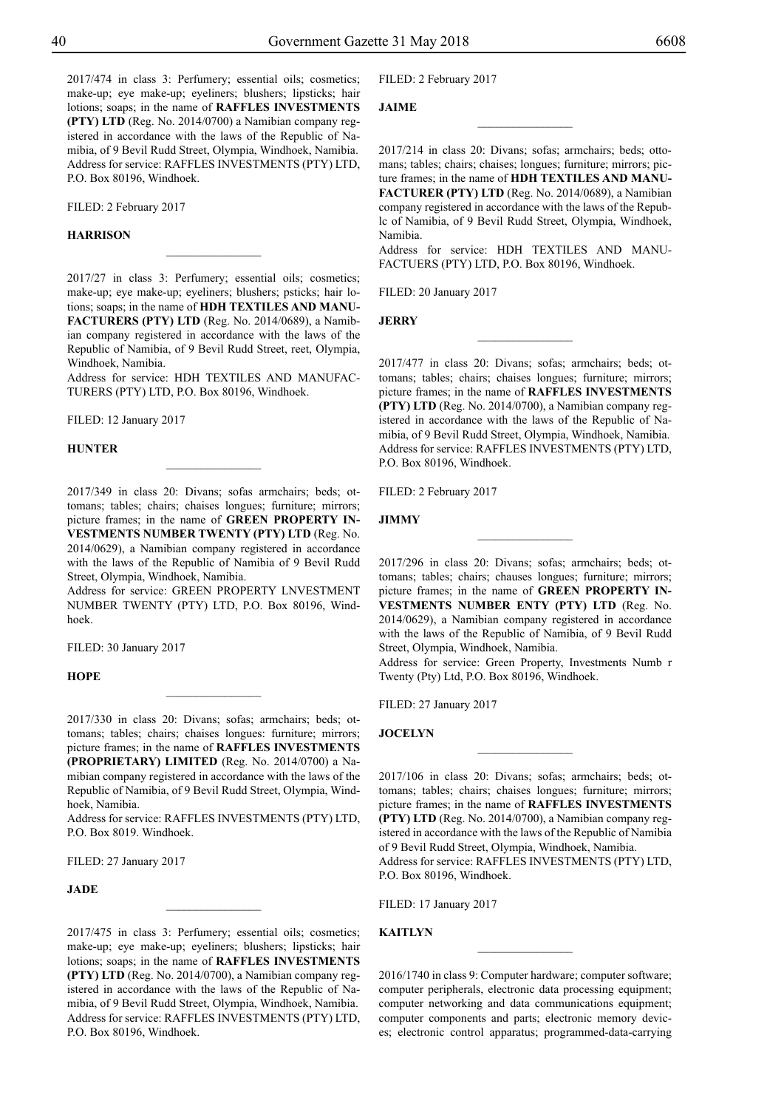2017/474 in class 3: Perfumery; essential oils; cosmetics; make-up; eye make-up; eyeliners; blushers; lipsticks; hair lotions; soaps; in the name of **RAFFLES INVESTMENTS (PTY) LTD** (Reg. No. 2014/0700) a Namibian company registered in accordance with the laws of the Republic of Namibia, of 9 Bevil Rudd Street, Olympia, Windhoek, Namibia. Address for service: RAFFLES INVESTMENTS (PTY) LTD, P.O. Box 80196, Windhoek.

FILED: 2 February 2017

#### **Harrison**

2017/27 in class 3: Perfumery; essential oils; cosmetics; make-up; eye make-up; eyeliners; blushers; psticks; hair lotions; soaps; in the name of **HDH TEXTILES AND MANU-FACTURERS (PTY) LTD** (Reg. No. 2014/0689), a Namibian company registered in accordance with the laws of the Republic of Namibia, of 9 Bevil Rudd Street, reet, Olympia, Windhoek, Namibia.

 $\frac{1}{2}$ 

Address for service: HDH TEXTILES AND MANUFAC-TURERS (PTY) LTD, P.O. Box 80196, Windhoek.

FILED: 12 January 2017

#### **Hunter**

2017/349 in class 20: Divans; sofas armchairs; beds; ottomans; tables; chairs; chaises longues; furniture; mirrors; picture frames; in the name of **GREEN PROPERTY IN-VESTMENTS NUMBER TWENTY (PTY) LTD** (Reg. No. 2014/0629), a Namibian company registered in accordance with the laws of the Republic of Namibia of 9 Bevil Rudd Street, Olympia, Windhoek, Namibia.

 $\frac{1}{2}$ 

Address for service: GREEN PROPERTY LNVESTMENT NUMBER TWENTY (PTY) LTD, P.O. Box 80196, Windhoek.

FILED: 30 January 2017

#### **Hope**

2017/330 in class 20: Divans; sofas; armchairs; beds; ottomans; tables; chairs; chaises longues: furniture; mirrors; picture frames; in the name of **RAFFLES INVESTMENTS (PROPRIETARY) LIMITED** (Reg. No. 2014/0700) a Namibian company registered in accordance with the laws of the Republic of Namibia, of 9 Bevil Rudd Street, Olympia, Windhoek, Namibia.

 $\frac{1}{2}$ 

Address for service: RAFFLES INVESTMENTS (PTY) LTD, P.O. Box 8019. Windhoek.

Filed: 27 January 2017

#### **Jade**

2017/475 in class 3: Perfumery; essential oils; cosmetics; make-up; eye make-up; eyeliners; blushers; lipsticks; hair lotions; soaps; in the name of **RAFFLES INVESTMENTS (PTY) LTD** (Reg. No. 2014/0700), a Namibian company registered in accordance with the laws of the Republic of Namibia, of 9 Bevil Rudd Street, Olympia, Windhoek, Namibia. Address for service: RAFFLES INVESTMENTS (PTY) LTD, P.O. Box 80196, Windhoek.

FILED: 2 February 2017

#### **Jaime**

2017/214 in class 20: Divans; sofas; armchairs; beds; ottomans; tables; chairs; chaises; longues; furniture; mirrors; picture frames; in the name of **HDH TEXTILES AND MANU-FACTURER (PTY) LTD** (Reg. No. 2014/0689), a Namibian company registered in accordance with the laws of the Republc of Namibia, of 9 Bevil Rudd Street, Olympia, Windhoek, Namibia.

 $\overline{\phantom{a}}$  , where  $\overline{\phantom{a}}$ 

Address for service: HDH TEXTILES AND MANU-FACTUERS (PTY) LTD, P.O. Box 80196, Windhoek.

 $\frac{1}{2}$ 

FILED: 20 January 2017

**Jerry**

2017/477 in class 20: Divans; sofas; armchairs; beds; ottomans; tables; chairs; chaises longues; furniture; mirrors; picture frames; in the name of **RAFFLES INVESTMENTS (PTY) LTD** (Reg. No. 2014/0700), a Namibian company registered in accordance with the laws of the Republic of Namibia, of 9 Bevil Rudd Street, Olympia, Windhoek, Namibia. Address for service: RAFFLES INVESTMENTS (PTY) LTD, P.O. Box 80196, Windhoek.

FILED: 2 February 2017

#### **Jimmy**

2017/296 in class 20: Divans; sofas; armchairs; beds; ottomans; tables; chairs; chauses longues; furniture; mirrors; picture frames; in the name of **GREEN PROPERTY IN-VESTMENTS NUMBER ENTY (PTY) LTD** (Reg. No. 2014/0629), a Namibian company registered in accordance with the laws of the Republic of Namibia, of 9 Bevil Rudd Street, Olympia, Windhoek, Namibia.

 $\frac{1}{2}$ 

Address for service: Green Property, Investments Numb r Twenty (Pty) Ltd, P.O. Box 80196, Windhoek.

Filed: 27 January 2017

**Jocelyn**

2017/106 in class 20: Divans; sofas; armchairs; beds; ottomans; tables; chairs; chaises longues; furniture; mirrors; picture frames; in the name of **RAFFLES INVESTMENTS (PTY) LTD** (Reg. No. 2014/0700), a Namibian company registered in accordance with the laws of the Republic of Namibia of 9 Bevil Rudd Street, Olympia, Windhoek, Namibia. Address for service: RAFFLES INVESTMENTS (PTY) LTD, P.O. Box 80196, Windhoek.

 $\frac{1}{2}$ 

Filed: 17 January 2017

#### **Kaitlyn**

2016/1740 in class 9: Computer hardware; computer software; computer peripherals, electronic data processing equipment; computer networking and data communications equipment; computer components and parts; electronic memory devices; electronic control apparatus; programmed-data-carrying

 $\overline{\phantom{a}}$  , where  $\overline{\phantom{a}}$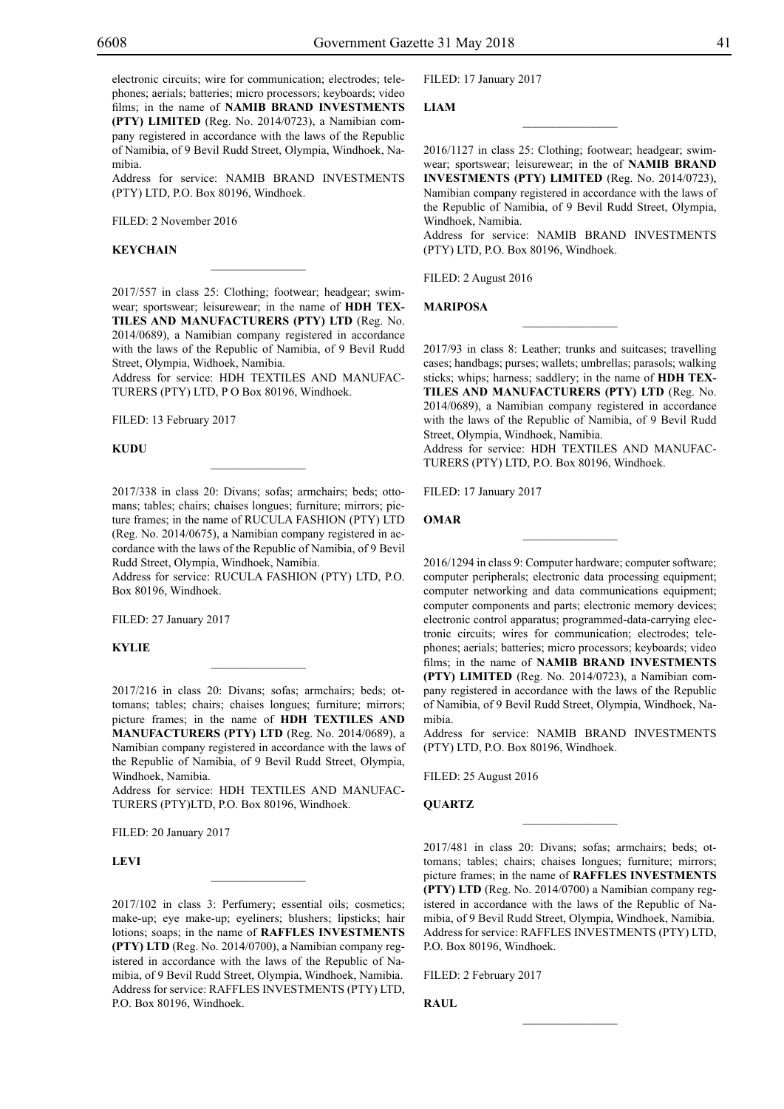electronic circuits; wire for communication; electrodes; telephones; aerials; batteries; micro processors; keyboards; video films; in the name of **NAMIB BRAND INVESTMENTS (PTY) LIMITED** (Reg. No. 2014/0723), a Namibian company registered in accordance with the laws of the Republic of Namibia, of 9 Bevil Rudd Street, Olympia, Windhoek, Namibia.

Address for service: NAMIB BRAND INVESTMENTS (PTY) LTD, P.O. Box 80196, Windhoek.

Filed: 2 November 2016

#### **KEYCHAIN**

2017/557 in class 25: Clothing; footwear; headgear; swimwear; sportswear; leisurewear; in the name of **HDH TEX-TILES AND MANUFACTURERS (PTY) LTD** (Reg. No. 2014/0689), a Namibian company registered in accordance with the laws of the Republic of Namibia, of 9 Bevil Rudd Street, Olympia, Widhoek, Namibia.

 $\overline{\phantom{a}}$  , where  $\overline{\phantom{a}}$ 

Address for service: HDH TEXTILES AND MANUFAC-TURERS (PTY) LTD, P O Box 80196, Windhoek.

FILED: 13 February 2017

**KUDU**

2017/338 in class 20: Divans; sofas; armchairs; beds; ottomans; tables; chairs; chaises longues; furniture; mirrors; picture frames; in the name of RUCULA FASHION (PTY) LTD (Reg. No. 2014/0675), a Namibian company registered in accordance with the laws of the Republic of Namibia, of 9 Bevil Rudd Street, Olympia, Windhoek, Namibia.

 $\mathcal{L}=\mathcal{L}^{\mathcal{L}}$ 

Address for service: RUCULA FASHION (PTY) LTD, P.O. Box 80196, Windhoek.

Filed: 27 January 2017

**Kylie**

2017/216 in class 20: Divans; sofas; armchairs; beds; ottomans; tables; chairs; chaises longues; furniture; mirrors; picture frames; in the name of **HDH TEXTILES AND MANUFACTURERS (PTY) LTD** (Reg. No. 2014/0689), a Namibian company registered in accordance with the laws of the Republic of Namibia, of 9 Bevil Rudd Street, Olympia, Windhoek, Namibia.

Address for service: HDH TEXTILES AND MANUFAC-TURERS (PTY)LTD, P.O. Box 80196, Windhoek.

 $\overline{\phantom{a}}$  , where  $\overline{\phantom{a}}$ 

FILED: 20 January 2017

**Levi**

2017/102 in class 3: Perfumery; essential oils; cosmetics; make-up; eye make-up; eyeliners; blushers; lipsticks; hair lotions; soaps; in the name of **RAFFLES INVESTMENTS (PTY) LTD** (Reg. No. 2014/0700), a Namibian company registered in accordance with the laws of the Republic of Namibia, of 9 Bevil Rudd Street, Olympia, Windhoek, Namibia. Address for service: RAFFLES INVESTMENTS (PTY) LTD, P.O. Box 80196, Windhoek.

Filed: 17 January 2017

#### **Liam**

2016/1127 in class 25: Clothing; footwear; headgear; swimwear; sportswear; leisurewear; in the of **NAMIB BRAND INVESTMENTS (PTY) LIMITED** (Reg. No. 2014/0723), Namibian company registered in accordance with the laws of the Republic of Namibia, of 9 Bevil Rudd Street, Olympia, Windhoek, Namibia.

 $\overline{\phantom{a}}$  , we can also the set of  $\overline{\phantom{a}}$ 

Address for service: NAMIB BRAND INVESTMENTS (PTY) LTD, P.O. Box 80196, Windhoek.

FILED: 2 August 2016

#### **MARIPOSA**

2017/93 in class 8: Leather; trunks and suitcases; travelling cases; handbags; purses; wallets; umbrellas; parasols; walking sticks; whips; harness; saddlery; in the name of **HDH TEX-TILES AND MANUFACTURERS (PTY) LTD** (Reg. No. 2014/0689), a Namibian company registered in accordance with the laws of the Republic of Namibia, of 9 Bevil Rudd Street, Olympia, Windhoek, Namibia.

 $\frac{1}{2}$ 

Address for service: HDH TEXTILES AND MANUFAC-TURERS (PTY) LTD, P.O. Box 80196, Windhoek.

 $\frac{1}{2}$ 

Filed: 17 January 2017

#### **Omar**

2016/1294 in class 9: Computer hardware; computer software; computer peripherals; electronic data processing equipment; computer networking and data communications equipment; computer components and parts; electronic memory devices; electronic control apparatus; programmed-data-carrying electronic circuits; wires for communication; electrodes; telephones; aerials; batteries; micro processors; keyboards; video films; in the name of **NAMIB BRAND INVESTMENTS (PTY) LIMITED** (Reg. No. 2014/0723), a Namibian company registered in accordance with the laws of the Republic of Namibia, of 9 Bevil Rudd Street, Olympia, Windhoek, Namibia.

Address for service: NAMIB BRAND INVESTMENTS (PTY) LTD, P.O. Box 80196, Windhoek.

 $\frac{1}{2}$ 

Filed: 25 August 2016

#### **QUARTZ**

2017/481 in class 20: Divans; sofas; armchairs; beds; ottomans; tables; chairs; chaises longues; furniture; mirrors; picture frames; in the name of **RAFFLES INVESTMENTS (PTY) LTD** (Reg. No. 2014/0700) a Namibian company registered in accordance with the laws of the Republic of Namibia, of 9 Bevil Rudd Street, Olympia, Windhoek, Namibia. Address for service: RAFFLES INVESTMENTS (PTY) LTD, P.O. Box 80196, Windhoek.

 $\frac{1}{2}$ 

Filed: 2 February 2017

**Raul**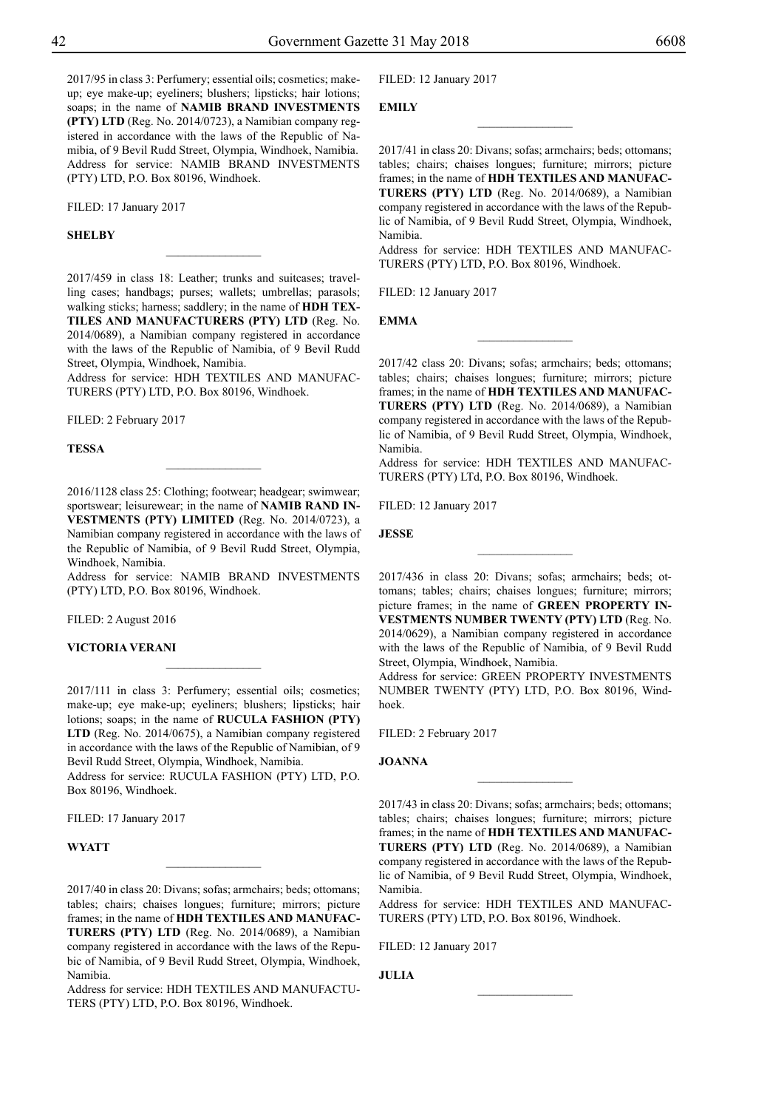2017/95 in class 3: Perfumery; essential oils; cosmetics; makeup; eye make-up; eyeliners; blushers; lipsticks; hair lotions; soaps; in the name of **NAMIB BRAND INVESTMENTS (PTY) LTD** (Reg. No. 2014/0723), a Namibian company registered in accordance with the laws of the Republic of Namibia, of 9 Bevil Rudd Street, Olympia, Windhoek, Namibia. Address for service: NAMIB BRAND INVESTMENTS (PTY) LTD, P.O. Box 80196, Windhoek.

Filed: 17 January 2017

#### **Shelby**

2017/459 in class 18: Leather; trunks and suitcases; travelling cases; handbags; purses; wallets; umbrellas; parasols; walking sticks; harness; saddlery; in the name of **HDH TEX-TILES AND MANUFACTURERS (PTY) LTD** (Reg. No. 2014/0689), a Namibian company registered in accordance with the laws of the Republic of Namibia, of 9 Bevil Rudd Street, Olympia, Windhoek, Namibia.

 $\frac{1}{2}$ 

Address for service: HDH TEXTILES AND MANUFAC-TURERS (PTY) LTD, P.O. Box 80196, Windhoek.

FILED: 2 February 2017

#### **Tessa**

2016/1128 class 25: Clothing; footwear; headgear; swimwear; sportswear; leisurewear; in the name of **NAMIB RAND IN-VESTMENTS (PTY) LIMITED** (Reg. No. 2014/0723), a Namibian company registered in accordance with the laws of the Republic of Namibia, of 9 Bevil Rudd Street, Olympia, Windhoek, Namibia.

 $\frac{1}{2}$ 

Address for service: NAMIB BRAND INVESTMENTS (PTY) LTD, P.O. Box 80196, Windhoek.

Filed: 2 August 2016

#### **VICTORIA VERANI**

2017/111 in class 3: Perfumery; essential oils; cosmetics; make-up; eye make-up; eyeliners; blushers; lipsticks; hair lotions; soaps; in the name of **RUCULA FASHION (PTY) LTD** (Reg. No. 2014/0675), a Namibian company registered in accordance with the laws of the Republic of Namibian, of 9 Bevil Rudd Street, Olympia, Windhoek, Namibia. Address for service: RUCULA FASHION (PTY) LTD, P.O.

Box 80196, Windhoek.

FILED: 17 January 2017

#### **WYATT**

2017/40 in class 20: Divans; sofas; armchairs; beds; ottomans; tables; chairs; chaises longues; furniture; mirrors; picture frames; in the name of **HDH TEXTILES AND MANUFAC-TURERS (PTY) LTD** (Reg. No. 2014/0689), a Namibian company registered in accordance with the laws of the Repubic of Namibia, of 9 Bevil Rudd Street, Olympia, Windhoek, Namibia.

 $\frac{1}{2}$ 

Address for service: HDH TEXTILES AND MANUFACTU-TERS (PTY) LTD, P.O. Box 80196, Windhoek.

FILED: 12 January 2017

#### **EMILY**

2017/41 in class 20: Divans; sofas; armchairs; beds; ottomans; tables; chairs; chaises longues; furniture; mirrors; picture frames; in the name of **HDH TEXTILES AND MANUFAC-TURERS (PTY) LTD** (Reg. No. 2014/0689), a Namibian company registered in accordance with the laws of the Republic of Namibia, of 9 Bevil Rudd Street, Olympia, Windhoek, Namibia.

 $\overline{\phantom{a}}$  , where  $\overline{\phantom{a}}$ 

Address for service: HDH TEXTILES AND MANUFAC-TURERS (PTY) LTD, P.O. Box 80196, Windhoek.

FILED: 12 January 2017

**Emma**

2017/42 class 20: Divans; sofas; armchairs; beds; ottomans; tables; chairs; chaises longues; furniture; mirrors; picture frames; in the name of **HDH TEXTILES AND MANUFAC-TURERS (PTY) LTD** (Reg. No. 2014/0689), a Namibian company registered in accordance with the laws of the Republic of Namibia, of 9 Bevil Rudd Street, Olympia, Windhoek, Namibia.

 $\frac{1}{2}$ 

Address for service: HDH TEXTILES AND MANUFAC-TURERS (PTY) LTd, P.O. Box 80196, Windhoek.

Filed: 12 January 2017

**Jesse**

2017/436 in class 20: Divans; sofas; armchairs; beds; ottomans; tables; chairs; chaises longues; furniture; mirrors; picture frames; in the name of **GREEN PROPERTY IN-VESTMENTS NUMBER TWENTY (PTY) LTD** (Reg. No. 2014/0629), a Namibian company registered in accordance with the laws of the Republic of Namibia, of 9 Bevil Rudd Street, Olympia, Windhoek, Namibia.

 $\frac{1}{2}$ 

Address for service: GREEN PROPERTY INVESTMENTS NUMBER TWENTY (PTY) LTD, P.O. Box 80196, Windhoek.

FILED: 2 February 2017

**Joanna**

2017/43 in class 20: Divans; sofas; armchairs; beds; ottomans; tables; chairs; chaises longues; furniture; mirrors; picture frames; in the name of **HDH TEXTILES AND MANUFAC-TURERS (PTY) LTD** (Reg. No. 2014/0689), a Namibian company registered in accordance with the laws of the Republic of Namibia, of 9 Bevil Rudd Street, Olympia, Windhoek, Namibia.

 $\frac{1}{2}$ 

Address for service: HDH TEXTILES AND MANUFAC-TURERS (PTY) LTD, P.O. Box 80196, Windhoek.

 $\frac{1}{2}$ 

Filed: 12 January 2017

**Julia**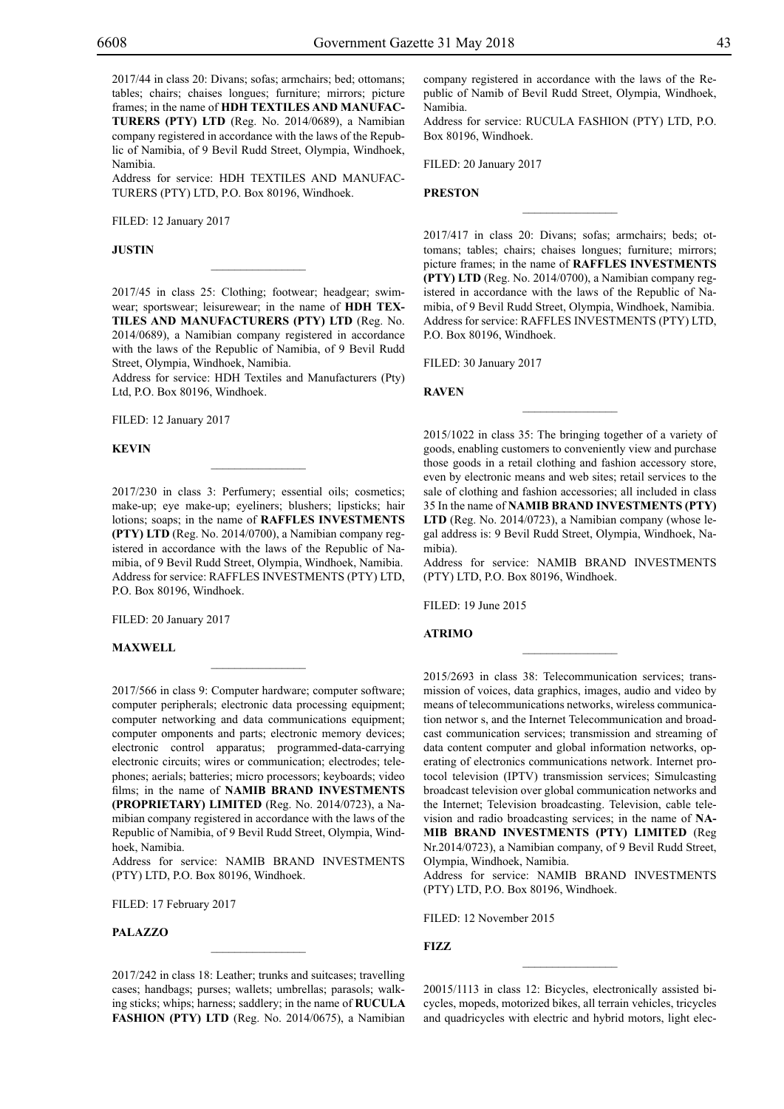2017/44 in class 20: Divans; sofas; armchairs; bed; ottomans; tables; chairs; chaises longues; furniture; mirrors; picture frames; in the name of **HDH TEXTILES AND MANUFAC-TURERS (PTY) LTD** (Reg. No. 2014/0689), a Namibian company registered in accordance with the laws of the Republic of Namibia, of 9 Bevil Rudd Street, Olympia, Windhoek, Namibia.

Address for service: HDH TEXTILES AND MANUFAC-TURERS (PTY) LTD, P.O. Box 80196, Windhoek.

Filed: 12 January 2017

**Justin**

2017/45 in class 25: Clothing; footwear; headgear; swimwear; sportswear; leisurewear; in the name of **HDH TEX-TILES AND MANUFACTURERS (PTY) LTD** (Reg. No. 2014/0689), a Namibian company registered in accordance with the laws of the Republic of Namibia, of 9 Bevil Rudd Street, Olympia, Windhoek, Namibia.

 $\overline{\phantom{a}}$  , where  $\overline{\phantom{a}}$ 

Address for service: HDH Textiles and Manufacturers (Pty) Ltd, P.O. Box 80196, Windhoek.

Filed: 12 January 2017

**Kevin**

2017/230 in class 3: Perfumery; essential oils; cosmetics; make-up; eye make-up; eyeliners; blushers; lipsticks; hair lotions; soaps; in the name of **RAFFLES INVESTMENTS (PTY) LTD** (Reg. No. 2014/0700), a Namibian company registered in accordance with the laws of the Republic of Namibia, of 9 Bevil Rudd Street, Olympia, Windhoek, Namibia. Address for service: RAFFLES INVESTMENTS (PTY) LTD, P.O. Box 80196, Windhoek.

 $\mathcal{L}=\mathcal{L}^{\mathcal{L}}$ 

FILED: 20 January 2017

**Maxwell**

2017/566 in class 9: Computer hardware; computer software; computer peripherals; electronic data processing equipment; computer networking and data communications equipment; computer omponents and parts; electronic memory devices; electronic control apparatus; programmed-data-carrying electronic circuits; wires or communication; electrodes; telephones; aerials; batteries; micro processors; keyboards; video films; in the name of **NAMIB BRAND INVESTMENTS (PROPRIETARY) LIMITED** (Reg. No. 2014/0723), a Namibian company registered in accordance with the laws of the Republic of Namibia, of 9 Bevil Rudd Street, Olympia, Windhoek, Namibia.

Address for service: NAMIB BRAND INVESTMENTS (PTY) LTD, P.O. Box 80196, Windhoek.

FILED: 17 February 2017

**Palazzo**

2017/242 in class 18: Leather; trunks and suitcases; travelling cases; handbags; purses; wallets; umbrellas; parasols; walking sticks; whips; harness; saddlery; in the name of **RUCULA FASHION (PTY) LTD** (Reg. No. 2014/0675), a Namibian

 $\overline{\phantom{a}}$  , where  $\overline{\phantom{a}}$ 

company registered in accordance with the laws of the Republic of Namib of Bevil Rudd Street, Olympia, Windhoek, Namibia.

Address for service: RUCULA FASHION (PTY) LTD, P.O. Box 80196, Windhoek.

 $\overline{\phantom{a}}$  , we can also the set of  $\overline{\phantom{a}}$ 

Filed: 20 January 2017

#### **Preston**

2017/417 in class 20: Divans; sofas; armchairs; beds; ottomans; tables; chairs; chaises longues; furniture; mirrors; picture frames; in the name of **RAFFLES INVESTMENTS (PTY) LTD** (Reg. No. 2014/0700), a Namibian company registered in accordance with the laws of the Republic of Namibia, of 9 Bevil Rudd Street, Olympia, Windhoek, Namibia. Address for service: RAFFLES INVESTMENTS (PTY) LTD, P.O. Box 80196, Windhoek.

Filed: 30 January 2017

**Raven**

2015/1022 in class 35: The bringing together of a variety of goods, enabling customers to conveniently view and purchase those goods in a retail clothing and fashion accessory store, even by electronic means and web sites; retail services to the sale of clothing and fashion accessories; all included in class 35 In the name of **NAMIB BRAND INVESTMENTS (PTY) LTD** (Reg. No. 2014/0723), a Namibian company (whose legal address is: 9 Bevil Rudd Street, Olympia, Windhoek, Namibia).

 $\frac{1}{2}$ 

Address for service: NAMIB BRAND INVESTMENTS (PTY) LTD, P.O. Box 80196, Windhoek.

 $\overline{\phantom{a}}$  , we can also the set of  $\overline{\phantom{a}}$ 

Filed: 19 June 2015

**Atrimo**

2015/2693 in class 38: Telecommunication services; transmission of voices, data graphics, images, audio and video by means of telecommunications networks, wireless communication networ s, and the Internet Telecommunication and broadcast communication services; transmission and streaming of data content computer and global information networks, operating of electronics communications network. Internet protocol television (IPTV) transmission services; Simulcasting broadcast television over global communication networks and the Internet; Television broadcasting. Television, cable television and radio broadcasting services; in the name of **NA-MIB BRAND INVESTMENTS (PTY) LIMITED** (Reg Nr.2014/0723), a Namibian company, of 9 Bevil Rudd Street, Olympia, Windhoek, Namibia.

Address for service: NAMIB BRAND INVESTMENTS (PTY) LTD, P.O. Box 80196, Windhoek.

Filed: 12 November 2015

**FIZZ**

20015/1113 in class 12: Bicycles, electronically assisted bicycles, mopeds, motorized bikes, all terrain vehicles, tricycles and quadricycles with electric and hybrid motors, light elec-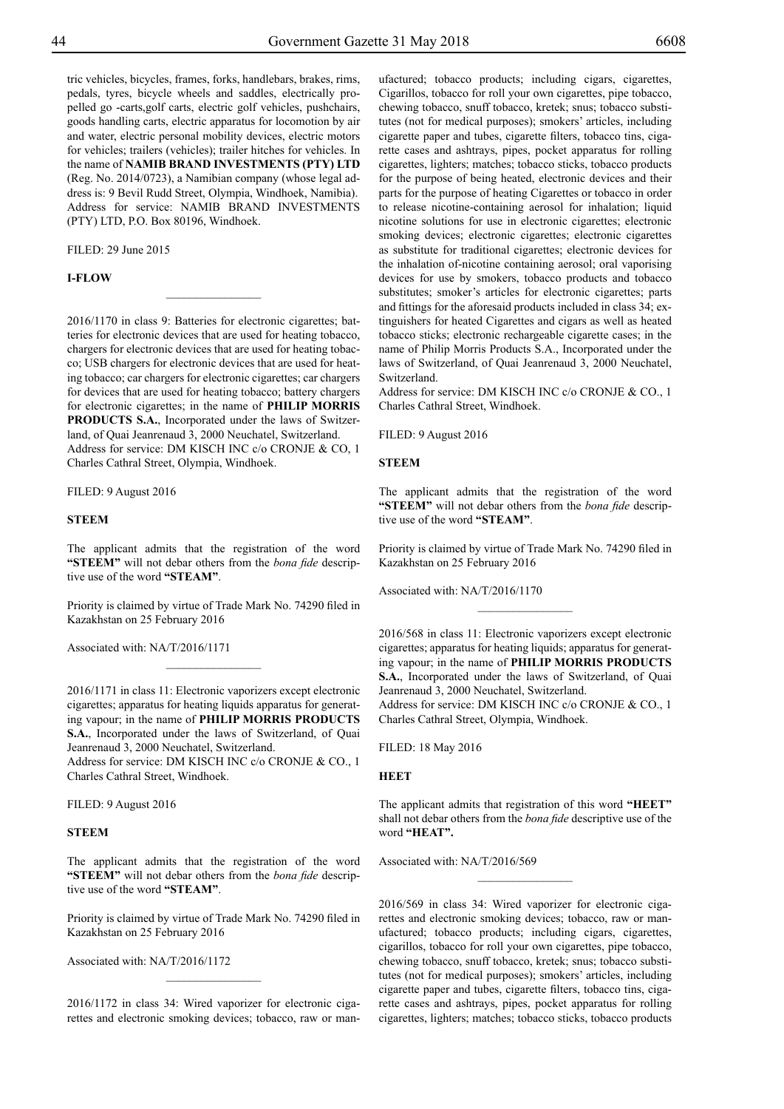tric vehicles, bicycles, frames, forks, handlebars, brakes, rims, pedals, tyres, bicycle wheels and saddles, electrically propelled go -carts,golf carts, electric golf vehicles, pushchairs, goods handling carts, electric apparatus for locomotion by air and water, electric personal mobility devices, electric motors for vehicles; trailers (vehicles); trailer hitches for vehicles. In the name of **NAMIB BRAND INVESTMENTS (PTY) LTD**  (Reg. No. 2014/0723), a Namibian company (whose legal address is: 9 Bevil Rudd Street, Olympia, Windhoek, Namibia). Address for service: NAMIB BRAND INVESTMENTS (PTY) LTD, P.O. Box 80196, Windhoek.

FILED: 29 June 2015

#### **i-flow**

2016/1170 in class 9: Batteries for electronic cigarettes; batteries for electronic devices that are used for heating tobacco, chargers for electronic devices that are used for heating tobacco; USB chargers for electronic devices that are used for heating tobacco; car chargers for electronic cigarettes; car chargers for devices that are used for heating tobacco; battery chargers for electronic cigarettes; in the name of **PHILIP MORRIS PRODUCTS S.A.**, Incorporated under the laws of Switzerland, of Quai Jeanrenaud 3, 2000 Neuchatel, Switzerland. Address for service: DM KISCH INC c/o CRONJE & CO, 1 Charles Cathral Street, Olympia, Windhoek.

 $\frac{1}{2}$ 

Filed: 9 August 2016

#### **STEEM**

The applicant admits that the registration of the word **"STEEM"** will not debar others from the *bona fide* descriptive use of the word **"STEAM"**.

Priority is claimed by virtue of Trade Mark No. 74290 filed in Kazakhstan on 25 February 2016

Associated with: NA/T/2016/1171

2016/1171 in class 11: Electronic vaporizers except electronic cigarettes; apparatus for heating liquids apparatus for generating vapour; in the name of **PHILIP MORRIS PRODUCTS S.A.**, Incorporated under the laws of Switzerland, of Quai Jeanrenaud 3, 2000 Neuchatel, Switzerland. Address for service: DM KISCH INC c/o CRONJE & CO., 1

Charles Cathral Street, Windhoek.

Filed: 9 August 2016

#### **STEEM**

The applicant admits that the registration of the word **"STEEM"** will not debar others from the *bona fide* descriptive use of the word **"STEAM"**.

Priority is claimed by virtue of Trade Mark No. 74290 filed in Kazakhstan on 25 February 2016

Associated with: NA/T/2016/1172

2016/1172 in class 34: Wired vaporizer for electronic cigarettes and electronic smoking devices; tobacco, raw or manufactured; tobacco products; including cigars, cigarettes, Cigarillos, tobacco for roll your own cigarettes, pipe tobacco, chewing tobacco, snuff tobacco, kretek; snus; tobacco substitutes (not for medical purposes); smokers' articles, including cigarette paper and tubes, cigarette filters, tobacco tins, cigarette cases and ashtrays, pipes, pocket apparatus for rolling cigarettes, lighters; matches; tobacco sticks, tobacco products for the purpose of being heated, electronic devices and their parts for the purpose of heating Cigarettes or tobacco in order to release nicotine-containing aerosol for inhalation; liquid nicotine solutions for use in electronic cigarettes; electronic smoking devices; electronic cigarettes; electronic cigarettes as substitute for traditional cigarettes; electronic devices for the inhalation of-nicotine containing aerosol; oral vaporising devices for use by smokers, tobacco products and tobacco substitutes; smoker's articles for electronic cigarettes; parts and fittings for the aforesaid products included in class 34; extinguishers for heated Cigarettes and cigars as well as heated tobacco sticks; electronic rechargeable cigarette cases; in the name of Philip Morris Products S.A., Incorporated under the laws of Switzerland, of Quai Jeanrenaud 3, 2000 Neuchatel, Switzerland.

Address for service: DM KISCH INC c/o CRONJE & CO., 1 Charles Cathral Street, Windhoek.

Filed: 9 August 2016

#### **STEEM**

The applicant admits that the registration of the word **"STEEM"** will not debar others from the *bona fide* descriptive use of the word **"STEAM"**.

Priority is claimed by virtue of Trade Mark No. 74290 filed in Kazakhstan on 25 February 2016

 $\frac{1}{2}$ 

Associated with: NA/T/2016/1170

2016/568 in class 11: Electronic vaporizers except electronic cigarettes; apparatus for heating liquids; apparatus for generating vapour; in the name of **PHILIP MORRIS PRODUCTS S.A.**, Incorporated under the laws of Switzerland, of Quai Jeanrenaud 3, 2000 Neuchatel, Switzerland.

Address for service: DM KISCH INC c/o CRONJE & CO., 1 Charles Cathral Street, Olympia, Windhoek.

Filed: 18 May 2016

#### **HEET**

The applicant admits that registration of this word **"HEET"**  shall not debar others from the *bona fide* descriptive use of the word **"HEAT".**

 $\overline{\phantom{a}}$  , where  $\overline{\phantom{a}}$ 

Associated with: NA/T/2016/569

2016/569 in class 34: Wired vaporizer for electronic cigarettes and electronic smoking devices; tobacco, raw or manufactured; tobacco products; including cigars, cigarettes, cigarillos, tobacco for roll your own cigarettes, pipe tobacco, chewing tobacco, snuff tobacco, kretek; snus; tobacco substitutes (not for medical purposes); smokers' articles, including cigarette paper and tubes, cigarette filters, tobacco tins, cigarette cases and ashtrays, pipes, pocket apparatus for rolling cigarettes, lighters; matches; tobacco sticks, tobacco products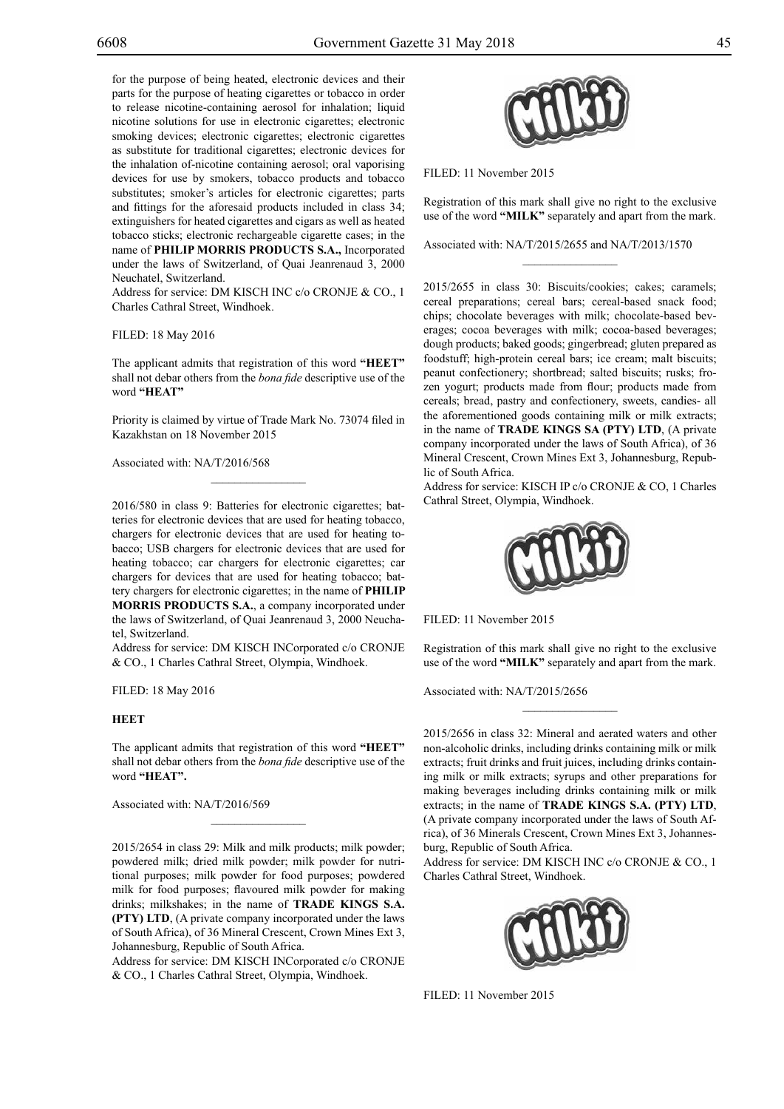for the purpose of being heated, electronic devices and their parts for the purpose of heating cigarettes or tobacco in order to release nicotine-containing aerosol for inhalation; liquid nicotine solutions for use in electronic cigarettes; electronic smoking devices; electronic cigarettes; electronic cigarettes as substitute for traditional cigarettes; electronic devices for the inhalation of-nicotine containing aerosol; oral vaporising devices for use by smokers, tobacco products and tobacco substitutes; smoker's articles for electronic cigarettes; parts and fittings for the aforesaid products included in class 34; extinguishers for heated cigarettes and cigars as well as heated tobacco sticks; electronic rechargeable cigarette cases; in the name of **PHILIP MORRIS PRODUCTS S.A.,** Incorporated under the laws of Switzerland, of Quai Jeanrenaud 3, 2000 Neuchatel, Switzerland.

Address for service: DM KISCH INC c/o CRONJE & CO., 1 Charles Cathral Street, Windhoek.

#### Filed: 18 May 2016

The applicant admits that registration of this word **"HEET"**  shall not debar others from the *bona fide* descriptive use of the word **"HEAT"**

Priority is claimed by virtue of Trade Mark No. 73074 filed in Kazakhstan on 18 November 2015

 $\mathcal{L}=\mathcal{L}^{\mathcal{L}}$ 

Associated with: NA/T/2016/568

2016/580 in class 9: Batteries for electronic cigarettes; batteries for electronic devices that are used for heating tobacco, chargers for electronic devices that are used for heating tobacco; USB chargers for electronic devices that are used for heating tobacco; car chargers for electronic cigarettes; car chargers for devices that are used for heating tobacco; battery chargers for electronic cigarettes; in the name of **PHILIP MORRIS PRODUCTS S.A.**, a company incorporated under the laws of Switzerland, of Quai Jeanrenaud 3, 2000 Neuchatel, Switzerland.

Address for service: DM KISCH INCorporated c/o CRONJE & Co., 1 Charles Cathral Street, Olympia, Windhoek.

Filed: 18 May 2016

#### **HEET**

The applicant admits that registration of this word **"HEET"**  shall not debar others from the *bona fide* descriptive use of the word **"HEAT".**

 $\mathcal{L}=\mathcal{L}^{\mathcal{L}}$ 

Associated with: NA/T/2016/569

2015/2654 in class 29: Milk and milk products; milk powder; powdered milk; dried milk powder; milk powder for nutritional purposes; milk powder for food purposes; powdered milk for food purposes; flavoured milk powder for making drinks; milkshakes; in the name of **TRADE KINGS S.A. (PTY) LTD**, (A private company incorporated under the laws of South Africa), of 36 Mineral Crescent, Crown Mines Ext 3, Johannesburg, Republic of South Africa.

Address for service: DM KISCH INCorporated c/o CRONJE & Co., 1 Charles Cathral Street, Olympia, Windhoek.



Filed: 11 November 2015

Registration of this mark shall give no right to the exclusive use of the word **"MILK"** separately and apart from the mark.

 $\frac{1}{2}$ 

Associated with: NA/T/2015/2655 and NA/T/2013/1570

2015/2655 in class 30: Biscuits/cookies; cakes; caramels; cereal preparations; cereal bars; cereal-based snack food; chips; chocolate beverages with milk; chocolate-based beverages; cocoa beverages with milk; cocoa-based beverages; dough products; baked goods; gingerbread; gluten prepared as foodstuff; high-protein cereal bars; ice cream; malt biscuits; peanut confectionery; shortbread; salted biscuits; rusks; frozen yogurt; products made from flour; products made from cereals; bread, pastry and confectionery, sweets, candies- all the aforementioned goods containing milk or milk extracts; in the name of **TRADE KINGS SA (PTY) LTD**, (A private company incorporated under the laws of South Africa), of 36 Mineral Crescent, Crown Mines Ext 3, Johannesburg, Republic of South Africa.

Address for service: KISCH IP c/o CRONJE & CO, 1 Charles Cathral Street, Olympia, Windhoek.



Filed: 11 November 2015

Registration of this mark shall give no right to the exclusive use of the word **"MILK"** separately and apart from the mark.

 $\overline{\phantom{a}}$  , we can also the set of  $\overline{\phantom{a}}$ 

Associated with: NA/T/2015/2656

2015/2656 in class 32: Mineral and aerated waters and other non-alcoholic drinks, including drinks containing milk or milk extracts; fruit drinks and fruit juices, including drinks containing milk or milk extracts; syrups and other preparations for making beverages including drinks containing milk or milk extracts; in the name of **TRADE KINGS S.A. (PTY) LTD**, (A private company incorporated under the laws of South Africa), of 36 Minerals Crescent, Crown Mines Ext 3, Johannesburg, Republic of South Africa.

Address for service: DM KISCH INC c/o CRONJE & CO., 1 Charles Cathral Street, Windhoek.



Filed: 11 November 2015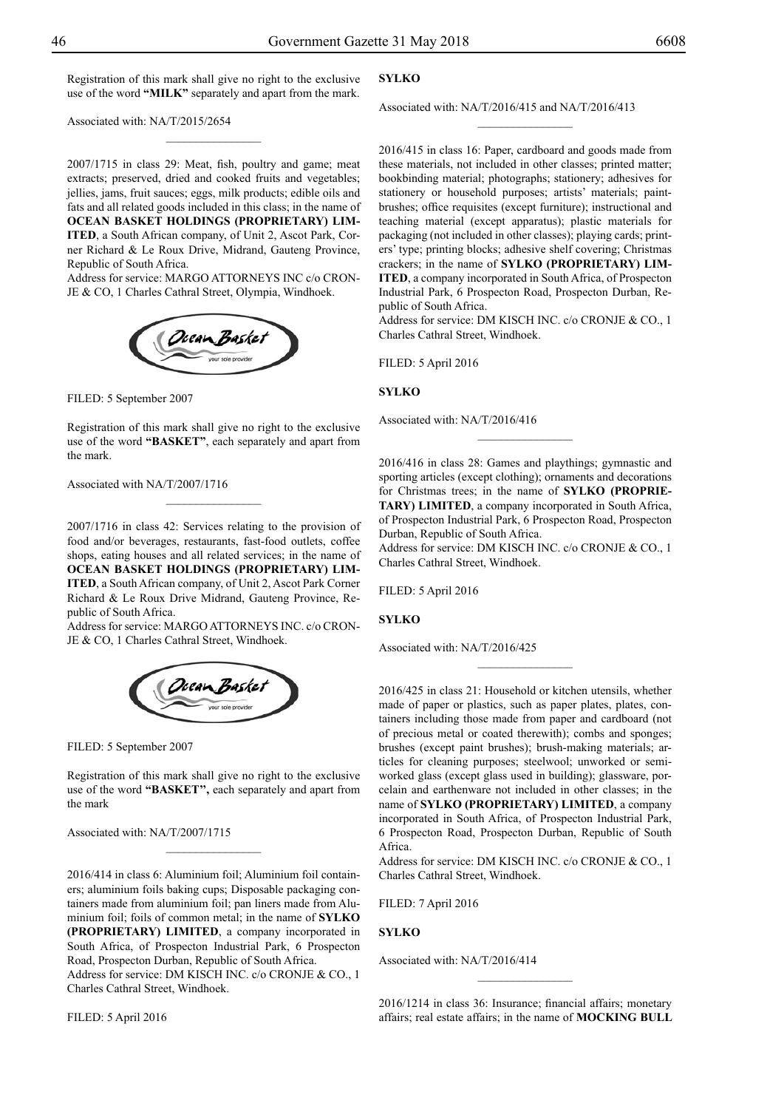Registration of this mark shall give no right to the exclusive use of the word **"MILK"** separately and apart from the mark.

 $\overline{\phantom{a}}$  , where  $\overline{\phantom{a}}$ 

Associated with: NA/T/2015/2654

2007/1715 in class 29: Meat, fish, poultry and game; meat extracts; preserved, dried and cooked fruits and vegetables; jellies, jams, fruit sauces; eggs, milk products; edible oils and fats and all related goods included in this class; in the name of **OCEAN BASKET HOLDINGS (PROPRIETARY) LIM-ITED**, a South African company, of Unit 2, Ascot Park, Corner Richard & Le Roux Drive, Midrand, Gauteng Province, Republic of South Africa.

Address for service: MARGO ATTORNEYS INC c/o CRON-JE & CO, 1 Charles Cathral Street, Olympia, Windhoek.



FILED: 5 September 2007

Registration of this mark shall give no right to the exclusive use of the word **"BASKET"**, each separately and apart from the mark.

 $\overline{\phantom{a}}$  , where  $\overline{\phantom{a}}$ 

Associated with NA/T/2007/1716

2007/1716 in class 42: Services relating to the provision of food and/or beverages, restaurants, fast-food outlets, coffee shops, eating houses and all related services; in the name of **OCEAN BASKET HOLDINGS (PROPRIETARY) LIM-ITED**, a South African company, of Unit 2, Ascot Park Corner Richard & Le Roux Drive Midrand, Gauteng Province, Republic of South Africa.

Address for service: MARGO ATTORNEYS INC. c/o CRON-JE & CO, 1 Charles Cathral Street, Windhoek.



Filed: 5 September 2007

Registration of this mark shall give no right to the exclusive use of the word **"BASKET'',** each separately and apart from the mark

 $\frac{1}{2}$ 

Associated with: NA/T/2007/1715

2016/414 in class 6: Aluminium foil; Aluminium foil containers; aluminium foils baking cups; Disposable packaging containers made from aluminium foil; pan liners made from Aluminium foil; foils of common metal; in the name of **SYLKO (PROPRIETARY) LIMITED**, a company incorporated in South Africa, of Prospecton Industrial Park, 6 Prospecton Road, Prospecton Durban, Republic of South Africa. Address for service: DM KISCH INC. c/o CRONJE & CO., 1 Charles Cathral Street, Windhoek.

Filed: 5 April 2016

#### **SYLKO**

Associated with: NA/T/2016/415 and NA/T/2016/413

 $\frac{1}{2}$ 

2016/415 in class 16: Paper, cardboard and goods made from these materials, not included in other classes; printed matter; bookbinding material; photographs; stationery; adhesives for stationery or household purposes; artists' materials; paintbrushes; office requisites (except furniture); instructional and teaching material (except apparatus); plastic materials for packaging (not included in other classes); playing cards; printers' type; printing blocks; adhesive shelf covering; Christmas crackers; in the name of **SYLKO (PROPRIETARY) LIM-ITED**, a company incorporated in South Africa, of Prospecton Industrial Park, 6 Prospecton Road, Prospecton Durban, Republic of South Africa.

Address for service: DM KISCH INC. c/o CRONJE & CO., 1 Charles Cathral Street, Windhoek.

Filed: 5 April 2016

#### **SYLKO**

Associated with: NA/T/2016/416

2016/416 in class 28: Games and playthings; gymnastic and sporting articles (except clothing); ornaments and decorations for Christmas trees; in the name of **SYLKO (PROPRIE-TARY) LIMITED**, a company incorporated in South Africa, of Prospecton Industrial Park, 6 Prospecton Road, Prospecton Durban, Republic of South Africa.

 $\frac{1}{2}$ 

Address for service: DM KISCH INC. c/o CRONJE & CO., 1 Charles Cathral Street, Windhoek.

Filed: 5 April 2016

**SYLKO**

Associated with: NA/T/2016/425

2016/425 in class 21: Household or kitchen utensils, whether made of paper or plastics, such as paper plates, plates, containers including those made from paper and cardboard (not of precious metal or coated therewith); combs and sponges; brushes (except paint brushes); brush-making materials; articles for cleaning purposes; steelwool; unworked or semiworked glass (except glass used in building); glassware, porcelain and earthenware not included in other classes; in the name of **SYLKO (PROPRIETARY) LIMITED**, a company incorporated in South Africa, of Prospecton Industrial Park, 6 Prospecton Road, Prospecton Durban, Republic of South Africa.

 $\frac{1}{2}$ 

Address for service: DM KISCH INC. c/o CRONJE & CO., 1 Charles Cathral Street, Windhoek.

Filed: 7 April 2016

#### **SYLKO**

Associated with: NA/T/2016/414

2016/1214 in class 36: Insurance; financial affairs; monetary affairs; real estate affairs; in the name of **MOCKING BULL**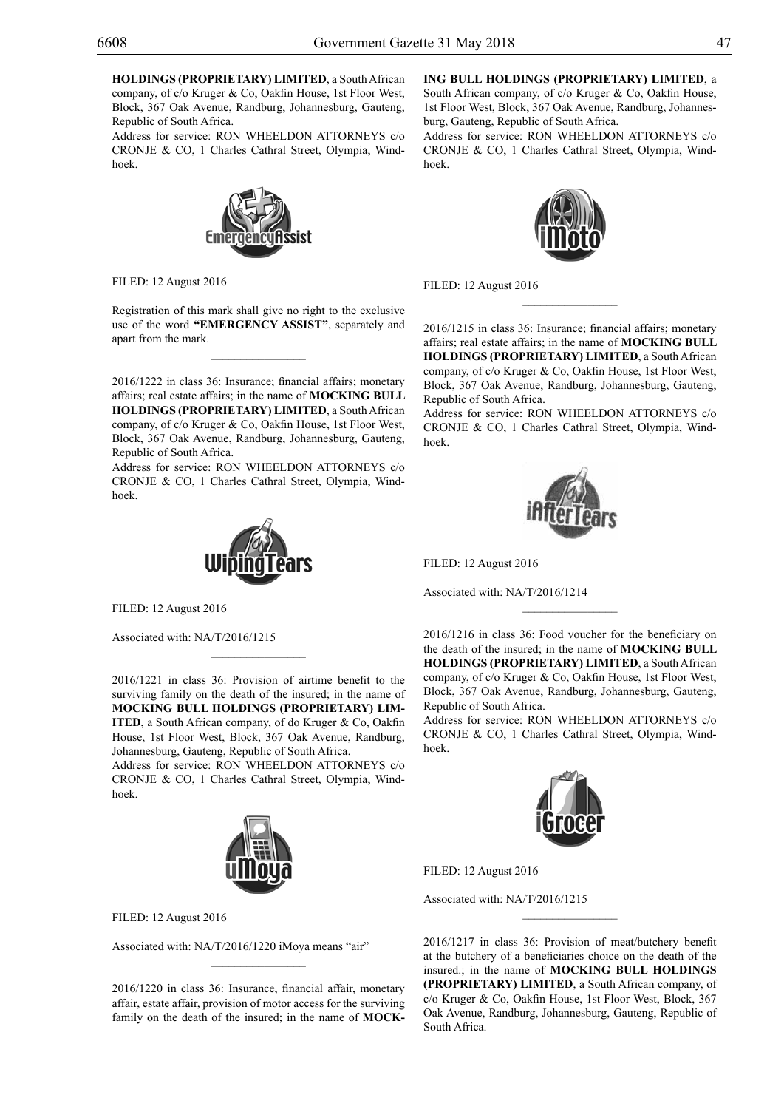**HOLDINGS (PROPRIETARY) LIMITED**, a South African company, of c/o Kruger & Co, Oakfin House, 1st Floor West, Block, 367 Oak Avenue, Randburg, Johannesburg, Gauteng, Republic of South Africa.

Address for service: RON WHEELDON ATTORNEYS c/o CRONJE & CO, 1 Charles Cathral Street, Olympia, Windhoek.



Filed: 12 August 2016

Registration of this mark shall give no right to the exclusive use of the word **"EMERGENCY ASSIST"**, separately and apart from the mark.

 $\overline{\phantom{a}}$  , where  $\overline{\phantom{a}}$ 

2016/1222 in class 36: Insurance; financial affairs; monetary affairs; real estate affairs; in the name of **MOCKING BULL HOLDINGS (PROPRIETARY) LIMITED**, a South African company, of c/o Kruger & Co, Oakfin House, 1st Floor West, Block, 367 Oak Avenue, Randburg, Johannesburg, Gauteng, Republic of South Africa.

Address for service: RON WHEELDON ATTORNEYS c/o CRONJE & CO, 1 Charles Cathral Street, Olympia, Windhoek.



Filed: 12 August 2016

Associated with: NA/T/2016/1215

2016/1221 in class 36: Provision of airtime benefit to the surviving family on the death of the insured; in the name of **MOCKING BULL HOLDINGS (PROPRIETARY) LIM-ITED**, a South African company, of do Kruger & Co, Oakfin House, 1st Floor West, Block, 367 Oak Avenue, Randburg, Johannesburg, Gauteng, Republic of South Africa. Address for service: RON WHEELDON ATTORNEYS c/o CRONJE & CO, 1 Charles Cathral Street, Olympia, Windhoek.

 $\mathcal{L}=\mathcal{L}^{\mathcal{L}}$ 



Filed: 12 August 2016

Associated with: NA/T/2016/1220 iMoya means "air"

2016/1220 in class 36: Insurance, financial affair, monetary affair, estate affair, provision of motor access for the surviving family on the death of the insured; in the name of **MOCK-**

#### **ING BULL HOLDINGS (PROPRIETARY) LIMITED**, a

South African company, of c/o Kruger & Co, Oakfin House, 1st Floor West, Block, 367 Oak Avenue, Randburg, Johannesburg, Gauteng, Republic of South Africa.

Address for service: RON WHEELDON ATTORNEYS c/o CRONJE & CO, 1 Charles Cathral Street, Olympia, Windhoek.



Filed: 12 August 2016

2016/1215 in class 36: Insurance; financial affairs; monetary affairs; real estate affairs; in the name of **MOCKING BULL HOLDINGS (PROPRIETARY) LIMITED**, a South African company, of c/o Kruger & Co, Oakfin House, 1st Floor West, Block, 367 Oak Avenue, Randburg, Johannesburg, Gauteng, Republic of South Africa.

Address for service: RON WHEELDON ATTORNEYS c/o CRONJE & CO, 1 Charles Cathral Street, Olympia, Windhoek.



Filed: 12 August 2016

Associated with: NA/T/2016/1214

2016/1216 in class 36: Food voucher for the beneficiary on the death of the insured; in the name of **MOCKING BULL HOLDINGS (PROPRIETARY) LIMITED**, a South African company, of c/o Kruger & Co, Oakfin House, 1st Floor West, Block, 367 Oak Avenue, Randburg, Johannesburg, Gauteng, Republic of South Africa.

 $\frac{1}{2}$ 

Address for service: RON WHEELDON ATTORNEYS c/o CRONJE & CO, 1 Charles Cathral Street, Olympia, Windhoek.



Filed: 12 August 2016

Associated with: NA/T/2016/1215

2016/1217 in class 36: Provision of meat/butchery benefit at the butchery of a beneficiaries choice on the death of the insured.; in the name of **MOCKING BULL HOLDINGS (PROPRIETARY) LIMITED**, a South African company, of c/o Kruger & Co, Oakfin House, 1st Floor West, Block, 367 Oak Avenue, Randburg, Johannesburg, Gauteng, Republic of South Africa.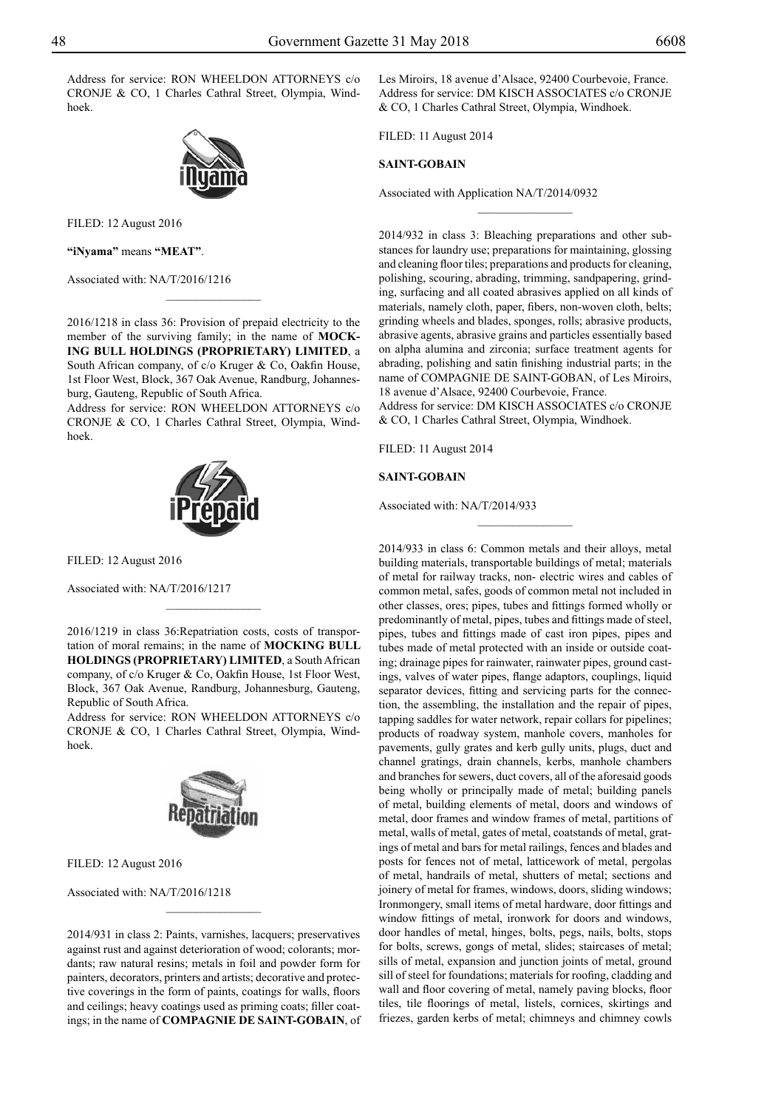Address for service: RON WHEELDON ATTORNEYS c/o CRONJE & CO, 1 Charles Cathral Street, Olympia, Windhoek.



Filed: 12 August 2016

**"iNyama"** means **"meat"**.

Associated with: NA/T/2016/1216

2016/1218 in class 36: Provision of prepaid electricity to the member of the surviving family; in the name of **MOCK-ING BULL HOLDINGS (PROPRIETARY) LIMITED**, a South African company, of c/o Kruger & Co, Oakfin House, 1st Floor West, Block, 367 Oak Avenue, Randburg, Johannesburg, Gauteng, Republic of South Africa.

 $\frac{1}{2}$ 

Address for service: RON WHEELDON ATTORNEYS c/o CRONJE & CO, 1 Charles Cathral Street, Olympia, Windhoek.



FILED: 12 August 2016

Associated with: NA/T/2016/1217

2016/1219 in class 36:Repatriation costs, costs of transportation of moral remains; in the name of **MOCKING BULL HOLDINGS (PROPRIETARY) LIMITED**, a South African company, of c/o Kruger & Co, Oakfin House, 1st Floor West, Block, 367 Oak Avenue, Randburg, Johannesburg, Gauteng, Republic of South Africa.

 $\frac{1}{2}$ 

Address for service: RON WHEELDON ATTORNEYS c/o CRONJE & CO, 1 Charles Cathral Street, Olympia, Windhoek.



Filed: 12 August 2016

Associated with: NA/T/2016/1218

2014/931 in class 2: Paints, varnishes, lacquers; preservatives against rust and against deterioration of wood; colorants; mordants; raw natural resins; metals in foil and powder form for painters, decorators, printers and artists; decorative and protective coverings in the form of paints, coatings for walls, floors and ceilings; heavy coatings used as priming coats; filler coatings; in the name of **COMPAGNIE DE SAINT-GOBAIN**, of

 $\frac{1}{2}$ 

Les Miroirs, 18 avenue d'Alsace, 92400 Courbevoie, France. Address for service: DM KISCH ASSOCIATES c/o CRONJE & Co, 1 Charles Cathral Street, Olympia, Windhoek.

 $\overline{\phantom{a}}$  , where  $\overline{\phantom{a}}$ 

Filed: 11 August 2014

#### **SAINT-GOBAIN**

Associated with Application NA/T/2014/0932

2014/932 in class 3: Bleaching preparations and other substances for laundry use; preparations for maintaining, glossing and cleaning floor tiles; preparations and products for cleaning, polishing, scouring, abrading, trimming, sandpapering, grinding, surfacing and all coated abrasives applied on all kinds of materials, namely cloth, paper, fibers, non-woven cloth, belts; grinding wheels and blades, sponges, rolls; abrasive products, abrasive agents, abrasive grains and particles essentially based on alpha alumina and zirconia; surface treatment agents for abrading, polishing and satin finishing industrial parts; in the name of COMPAGNIE DE SAINT-GOBAN, of Les Miroirs, 18 avenue d'Alsace, 92400 Courbevoie, France.

Address for service: DM KISCH ASSOCIATES c/o CRONJE & Co, 1 Charles Cathral Street, Olympia, Windhoek.

Filed: 11 August 2014

#### **SAINT-GOBAIN**

Associated with: NA/T/2014/933

2014/933 in class 6: Common metals and their alloys, metal building materials, transportable buildings of metal; materials of metal for railway tracks, non- electric wires and cables of common metal, safes, goods of common metal not included in other classes, ores; pipes, tubes and fittings formed wholly or predominantly of metal, pipes, tubes and fittings made of steel, pipes, tubes and fittings made of cast iron pipes, pipes and tubes made of metal protected with an inside or outside coating; drainage pipes for rainwater, rainwater pipes, ground castings, valves of water pipes, flange adaptors, couplings, liquid separator devices, fitting and servicing parts for the connection, the assembling, the installation and the repair of pipes, tapping saddles for water network, repair collars for pipelines; products of roadway system, manhole covers, manholes for pavements, gully grates and kerb gully units, plugs, duct and channel gratings, drain channels, kerbs, manhole chambers and branches for sewers, duct covers, all of the aforesaid goods being wholly or principally made of metal; building panels of metal, building elements of metal, doors and windows of metal, door frames and window frames of metal, partitions of metal, walls of metal, gates of metal, coatstands of metal, gratings of metal and bars for metal railings, fences and blades and posts for fences not of metal, latticework of metal, pergolas of metal, handrails of metal, shutters of metal; sections and joinery of metal for frames, windows, doors, sliding windows; Ironmongery, small items of metal hardware, door fittings and window fittings of metal, ironwork for doors and windows, door handles of metal, hinges, bolts, pegs, nails, bolts, stops for bolts, screws, gongs of metal, slides; staircases of metal; sills of metal, expansion and junction joints of metal, ground sill of steel for foundations; materials for roofing, cladding and wall and floor covering of metal, namely paving blocks, floor tiles, tile floorings of metal, listels, cornices, skirtings and friezes, garden kerbs of metal; chimneys and chimney cowls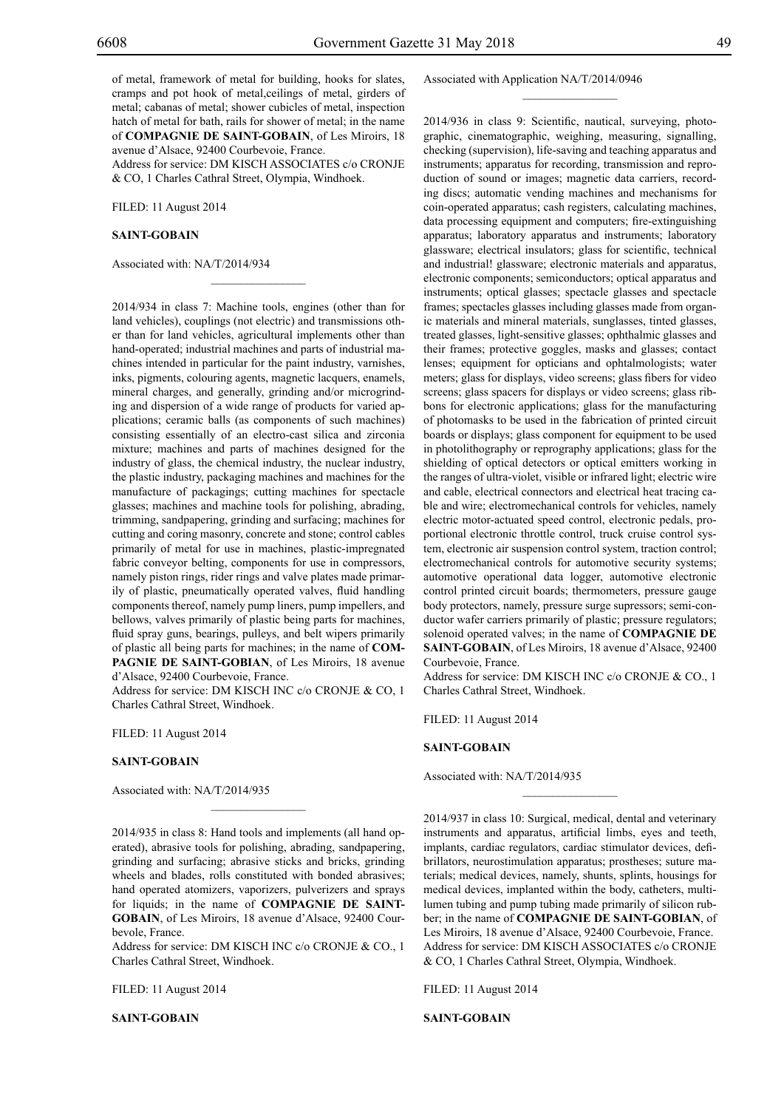of metal, framework of metal for building, hooks for slates, cramps and pot hook of metal,ceilings of metal, girders of metal; cabanas of metal; shower cubicles of metal, inspection hatch of metal for bath, rails for shower of metal; in the name of **COMPAGNIE DE SAINT-GOBAIN**, of Les Miroirs, 18 avenue d'Alsace, 92400 Courbevoie, France.

Address for service: DM KISCH ASSOCIATES c/o CRONJE & Co, 1 Charles Cathral Street, Olympia, Windhoek.

 $\overline{\phantom{a}}$  , where  $\overline{\phantom{a}}$ 

Filed: 11 August 2014

#### **SAINT-GOBAIN**

Associated with: NA/T/2014/934

2014/934 in class 7: Machine tools, engines (other than for land vehicles), couplings (not electric) and transmissions other than for land vehicles, agricultural implements other than hand-operated; industrial machines and parts of industrial machines intended in particular for the paint industry, varnishes, inks, pigments, colouring agents, magnetic lacquers, enamels, mineral charges, and generally, grinding and/or microgrinding and dispersion of a wide range of products for varied applications; ceramic balls (as components of such machines) consisting essentially of an electro-cast silica and zirconia mixture; machines and parts of machines designed for the industry of glass, the chemical industry, the nuclear industry, the plastic industry, packaging machines and machines for the manufacture of packagings; cutting machines for spectacle glasses; machines and machine tools for polishing, abrading, trimming, sandpapering, grinding and surfacing; machines for cutting and coring masonry, concrete and stone; control cables primarily of metal for use in machines, plastic-impregnated fabric conveyor belting, components for use in compressors, namely piston rings, rider rings and valve plates made primarily of plastic, pneumatically operated valves, fluid handling components thereof, namely pump liners, pump impellers, and bellows, valves primarily of plastic being parts for machines, fluid spray guns, bearings, pulleys, and belt wipers primarily of plastic all being parts for machines; in the name of **COM-PAGNIE DE SAINT-GOBIAN**, of Les Miroirs, 18 avenue d'Alsace, 92400 Courbevoie, France.

Address for service: DM KISCH INC c/o CRONJE & CO, 1 Charles Cathral Street, Windhoek.

Filed: 11 August 2014

#### **SAINT-GOBAIN**

Associated with: NA/T/2014/935

2014/935 in class 8: Hand tools and implements (all hand operated), abrasive tools for polishing, abrading, sandpapering, grinding and surfacing; abrasive sticks and bricks, grinding wheels and blades, rolls constituted with bonded abrasives; hand operated atomizers, vaporizers, pulverizers and sprays for liquids; in the name of **COMPAGNIE DE SAINT-GOBAIN**, of Les Miroirs, 18 avenue d'Alsace, 92400 Courbevole, France.

 $\overline{\phantom{a}}$  , where  $\overline{\phantom{a}}$ 

Address for service: DM KISCH INC c/o CRONJE & CO., 1 Charles Cathral Street, Windhoek.

Filed: 11 August 2014

**SAINT-GOBAIN**

#### Associated with Application NA/T/2014/0946

 $\frac{1}{2}$ 

2014/936 in class 9: Scientific, nautical, surveying, photographic, cinematographic, weighing, measuring, signalling, checking (supervision), life-saving and teaching apparatus and instruments; apparatus for recording, transmission and reproduction of sound or images; magnetic data carriers, recording discs; automatic vending machines and mechanisms for coin-operated apparatus; cash registers, calculating machines, data processing equipment and computers; fire-extinguishing apparatus; laboratory apparatus and instruments; laboratory glassware; electrical insulators; glass for scientific, technical and industrial! glassware; electronic materials and apparatus, electronic components; semiconductors; optical apparatus and instruments; optical glasses; spectacle glasses and spectacle frames; spectacles glasses including glasses made from organic materials and mineral materials, sunglasses, tinted glasses, treated glasses, light-sensitive glasses; ophthalmic glasses and their frames; protective goggles, masks and glasses; contact lenses; equipment for opticians and ophtalmologists; water meters; glass for displays, video screens; glass fibers for video screens; glass spacers for displays or video screens; glass ribbons for electronic applications; glass for the manufacturing of photomasks to be used in the fabrication of printed circuit boards or displays; glass component for equipment to be used in photolithography or reprography applications; glass for the shielding of optical detectors or optical emitters working in the ranges of ultra-violet, visible or infrared light; electric wire and cable, electrical connectors and electrical heat tracing cable and wire; electromechanical controls for vehicles, namely electric motor-actuated speed control, electronic pedals, proportional electronic throttle control, truck cruise control system, electronic air suspension control system, traction control; electromechanical controls for automotive security systems; automotive operational data logger, automotive electronic control printed circuit boards; thermometers, pressure gauge body protectors, namely, pressure surge supressors; semi-conductor wafer carriers primarily of plastic; pressure regulators; solenoid operated valves; in the name of **COMPAGNIE DE SAINT-GOBAIN**, of Les Miroirs, 18 avenue d'Alsace, 92400 Courbevoie, France.

Address for service: DM KISCH INC c/o CRONJE & CO., 1 Charles Cathral Street, Windhoek.

Filed: 11 August 2014

#### **SAINT-GOBAIN**

Associated with: NA/T/2014/935

2014/937 in class 10: Surgical, medical, dental and veterinary instruments and apparatus, artificial limbs, eyes and teeth, implants, cardiac regulators, cardiac stimulator devices, defibrillators, neurostimulation apparatus; prostheses; suture materials; medical devices, namely, shunts, splints, housings for medical devices, implanted within the body, catheters, multilumen tubing and pump tubing made primarily of silicon rubber; in the name of **COMPAGNIE DE SAINT-GOBIAN**, of Les Miroirs, 18 avenue d'Alsace, 92400 Courbevoie, France. Address for service: DM KISCH ASSOCIATES c/o CRONJE & Co, 1 Charles Cathral Street, Olympia, Windhoek.

 $\frac{1}{2}$ 

Filed: 11 August 2014

**SAINT-GOBAIN**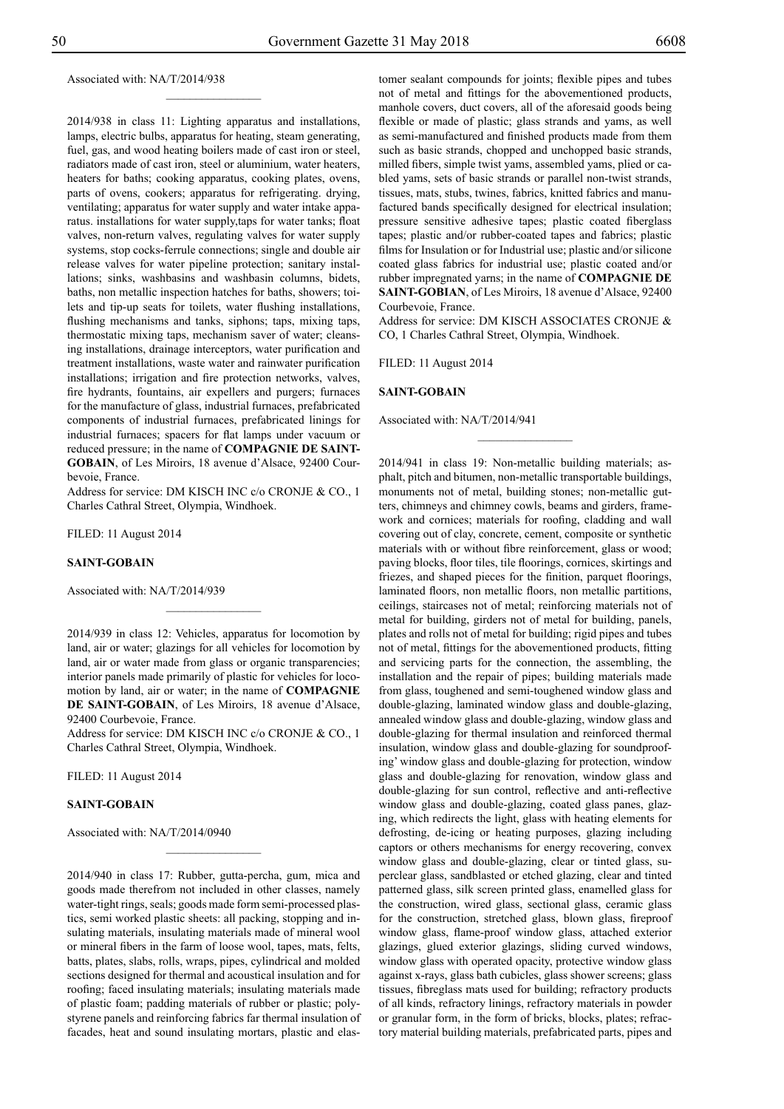#### Associated with: NA/T/2014/938

2014/938 in class 11: Lighting apparatus and installations, lamps, electric bulbs, apparatus for heating, steam generating, fuel, gas, and wood heating boilers made of cast iron or steel, radiators made of cast iron, steel or aluminium, water heaters, heaters for baths; cooking apparatus, cooking plates, ovens, parts of ovens, cookers; apparatus for refrigerating. drying, ventilating; apparatus for water supply and water intake apparatus. installations for water supply,taps for water tanks; float valves, non-return valves, regulating valves for water supply systems, stop cocks-ferrule connections; single and double air release valves for water pipeline protection; sanitary installations; sinks, washbasins and washbasin columns, bidets, baths, non metallic inspection hatches for baths, showers; toilets and tip-up seats for toilets, water flushing installations, flushing mechanisms and tanks, siphons; taps, mixing taps, thermostatic mixing taps, mechanism saver of water; cleansing installations, drainage interceptors, water purification and treatment installations, waste water and rainwater purification installations; irrigation and fire protection networks, valves, fire hydrants, fountains, air expellers and purgers; furnaces for the manufacture of glass, industrial furnaces, prefabricated components of industrial furnaces, prefabricated linings for industrial furnaces; spacers for flat lamps under vacuum or reduced pressure; in the name of **COMPAGNIE DE SAINT-GOBAIN**, of Les Miroirs, 18 avenue d'Alsace, 92400 Courbevoie, France.

 $\frac{1}{2}$ 

Address for service: DM KISCH INC c/o CRONJE & CO., 1 Charles Cathral Street, Olympia, Windhoek.

Filed: 11 August 2014

#### **SAINT-GOBAIN**

Associated with: NA/T/2014/939

2014/939 in class 12: Vehicles, apparatus for locomotion by land, air or water; glazings for all vehicles for locomotion by land, air or water made from glass or organic transparencies; interior panels made primarily of plastic for vehicles for locomotion by land, air or water; in the name of **COMPAGNIE DE SAINT-GOBAIN**, of Les Miroirs, 18 avenue d'Alsace, 92400 Courbevoie, France.

 $\frac{1}{2}$ 

Address for service: DM KISCH INC c/o CRONJE & CO., 1 Charles Cathral Street, Olympia, Windhoek.

 $\frac{1}{2}$ 

Filed: 11 August 2014

#### **SAINT-GOBAIN**

Associated with: NA/T/2014/0940

2014/940 in class 17: Rubber, gutta-percha, gum, mica and goods made therefrom not included in other classes, namely water-tight rings, seals; goods made form semi-processed plastics, semi worked plastic sheets: all packing, stopping and insulating materials, insulating materials made of mineral wool or mineral fibers in the farm of loose wool, tapes, mats, felts, batts, plates, slabs, rolls, wraps, pipes, cylindrical and molded sections designed for thermal and acoustical insulation and for roofing; faced insulating materials; insulating materials made of plastic foam; padding materials of rubber or plastic; polystyrene panels and reinforcing fabrics far thermal insulation of facades, heat and sound insulating mortars, plastic and elastomer sealant compounds for joints; flexible pipes and tubes not of metal and fittings for the abovementioned products, manhole covers, duct covers, all of the aforesaid goods being flexible or made of plastic; glass strands and yams, as well as semi-manufactured and finished products made from them such as basic strands, chopped and unchopped basic strands, milled fibers, simple twist yams, assembled yams, plied or cabled yams, sets of basic strands or parallel non-twist strands, tissues, mats, stubs, twines, fabrics, knitted fabrics and manufactured bands specifically designed for electrical insulation; pressure sensitive adhesive tapes; plastic coated fiberglass tapes; plastic and/or rubber-coated tapes and fabrics; plastic films for Insulation or for Industrial use; plastic and/or silicone coated glass fabrics for industrial use; plastic coated and/or rubber impregnated yarns; in the name of **COMPAGNIE DE SAINT-GOBIAN**, of Les Miroirs, 18 avenue d'Alsace, 92400 Courbevoie, France.

Address for service: DM KISCH ASSOCIATES CRONJE & Co, 1 Charles Cathral Street, Olympia, Windhoek.

 $\frac{1}{2}$ 

Filed: 11 August 2014

#### **SAINT-GOBAIN**

Associated with: NA/T/2014/941

2014/941 in class 19: Non-metallic building materials; asphalt, pitch and bitumen, non-metallic transportable buildings, monuments not of metal, building stones; non-metallic gutters, chimneys and chimney cowls, beams and girders, framework and cornices; materials for roofing, cladding and wall covering out of clay, concrete, cement, composite or synthetic materials with or without fibre reinforcement, glass or wood; paving blocks, floor tiles, tile floorings, cornices, skirtings and friezes, and shaped pieces for the finition, parquet floorings, laminated floors, non metallic floors, non metallic partitions, ceilings, staircases not of metal; reinforcing materials not of metal for building, girders not of metal for building, panels, plates and rolls not of metal for building; rigid pipes and tubes not of metal, fittings for the abovementioned products, fitting and servicing parts for the connection, the assembling, the installation and the repair of pipes; building materials made from glass, toughened and semi-toughened window glass and double-glazing, laminated window glass and double-glazing, annealed window glass and double-glazing, window glass and double-glazing for thermal insulation and reinforced thermal insulation, window glass and double-glazing for soundproofing' window glass and double-glazing for protection, window glass and double-glazing for renovation, window glass and double-glazing for sun control, reflective and anti-reflective window glass and double-glazing, coated glass panes, glazing, which redirects the light, glass with heating elements for defrosting, de-icing or heating purposes, glazing including captors or others mechanisms for energy recovering, convex window glass and double-glazing, clear or tinted glass, superclear glass, sandblasted or etched glazing, clear and tinted patterned glass, silk screen printed glass, enamelled glass for the construction, wired glass, sectional glass, ceramic glass for the construction, stretched glass, blown glass, fireproof window glass, flame-proof window glass, attached exterior glazings, glued exterior glazings, sliding curved windows, window glass with operated opacity, protective window glass against x-rays, glass bath cubicles, glass shower screens; glass tissues, fibreglass mats used for building; refractory products of all kinds, refractory linings, refractory materials in powder or granular form, in the form of bricks, blocks, plates; refractory material building materials, prefabricated parts, pipes and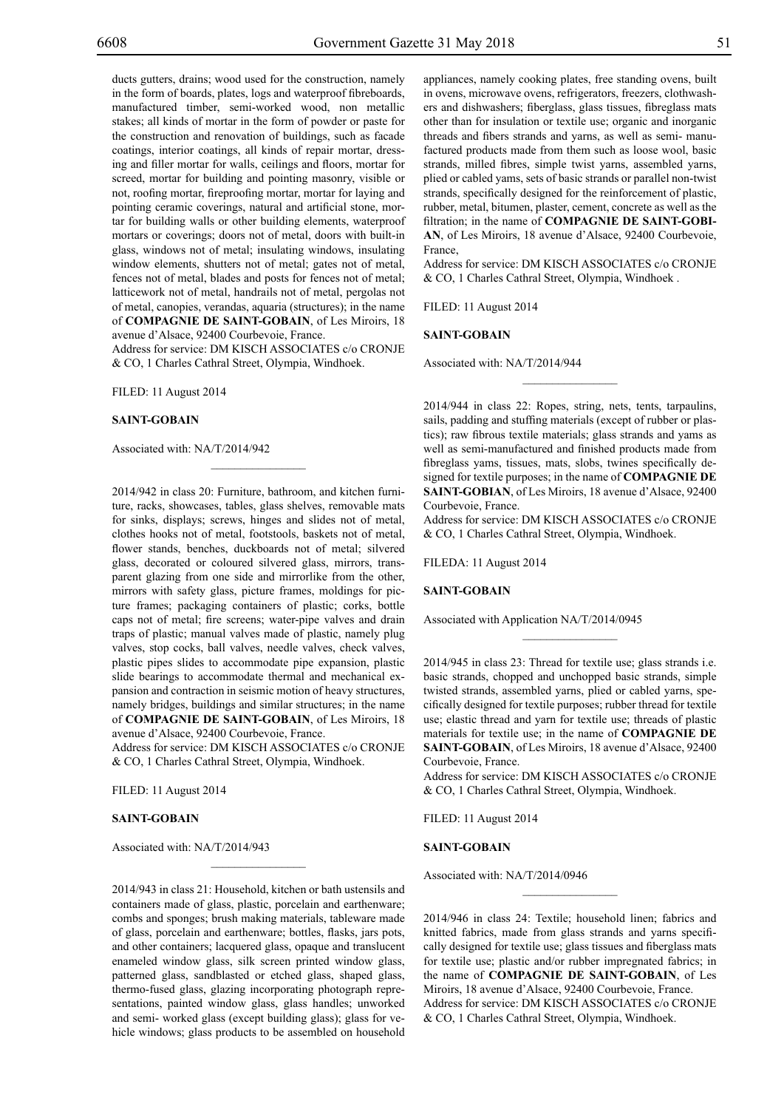ducts gutters, drains; wood used for the construction, namely in the form of boards, plates, logs and waterproof fibreboards, manufactured timber, semi-worked wood, non metallic stakes; all kinds of mortar in the form of powder or paste for the construction and renovation of buildings, such as facade coatings, interior coatings, all kinds of repair mortar, dressing and filler mortar for walls, ceilings and floors, mortar for screed, mortar for building and pointing masonry, visible or not, roofing mortar, fireproofing mortar, mortar for laying and pointing ceramic coverings, natural and artificial stone, mortar for building walls or other building elements, waterproof mortars or coverings; doors not of metal, doors with built-in glass, windows not of metal; insulating windows, insulating window elements, shutters not of metal; gates not of metal, fences not of metal, blades and posts for fences not of metal; latticework not of metal, handrails not of metal, pergolas not of metal, canopies, verandas, aquaria (structures); in the name of **COMPAGNIE DE SAINT-GOBAIN**, of Les Miroirs, 18 avenue d'Alsace, 92400 Courbevoie, France.

Address for service: DM KISCH ASSOCIATES c/o CRONJE & Co, 1 Charles Cathral Street, Olympia, Windhoek.

 $\mathcal{L}=\mathcal{L}^{\mathcal{L}}$ 

Filed: 11 August 2014

#### **SAINT-GOBAIN**

Associated with: NA/T/2014/942

2014/942 in class 20: Furniture, bathroom, and kitchen furniture, racks, showcases, tables, glass shelves, removable mats for sinks, displays; screws, hinges and slides not of metal, clothes hooks not of metal, footstools, baskets not of metal, flower stands, benches, duckboards not of metal; silvered glass, decorated or coloured silvered glass, mirrors, transparent glazing from one side and mirrorlike from the other, mirrors with safety glass, picture frames, moldings for picture frames; packaging containers of plastic; corks, bottle caps not of metal; fire screens; water-pipe valves and drain traps of plastic; manual valves made of plastic, namely plug valves, stop cocks, ball valves, needle valves, check valves, plastic pipes slides to accommodate pipe expansion, plastic slide bearings to accommodate thermal and mechanical expansion and contraction in seismic motion of heavy structures, namely bridges, buildings and similar structures; in the name of **COMPAGNIE DE SAINT-GOBAIN**, of Les Miroirs, 18 avenue d'Alsace, 92400 Courbevoie, France.

Address for service: DM KISCH ASSOCIATES c/o CRONJE & Co, 1 Charles Cathral Street, Olympia, Windhoek.

Filed: 11 August 2014

#### **SAINT-GOBAIN**

Associated with: NA/T/2014/943

2014/943 in class 21: Household, kitchen or bath ustensils and containers made of glass, plastic, porcelain and earthenware; combs and sponges; brush making materials, tableware made of glass, porcelain and earthenware; bottles, flasks, jars pots, and other containers; lacquered glass, opaque and translucent enameled window glass, silk screen printed window glass, patterned glass, sandblasted or etched glass, shaped glass, thermo-fused glass, glazing incorporating photograph representations, painted window glass, glass handles; unworked and semi- worked glass (except building glass); glass for vehicle windows; glass products to be assembled on household

 $\mathcal{L}=\mathcal{L}^{\mathcal{L}}$ 

appliances, namely cooking plates, free standing ovens, built in ovens, microwave ovens, refrigerators, freezers, clothwashers and dishwashers; fiberglass, glass tissues, fibreglass mats other than for insulation or textile use; organic and inorganic threads and fibers strands and yarns, as well as semi- manufactured products made from them such as loose wool, basic strands, milled fibres, simple twist yarns, assembled yarns, plied or cabled yams, sets of basic strands or parallel non-twist strands, specifically designed for the reinforcement of plastic, rubber, metal, bitumen, plaster, cement, concrete as well as the filtration; in the name of **COMPAGNIE DE SAINT-GOBI-AN**, of Les Miroirs, 18 avenue d'Alsace, 92400 Courbevoie, France,

Address for service: DM KISCH ASSOCIATES c/o CRONJE & Co, 1 Charles Cathral Street, Olympia, Windhoek .

Filed: 11 August 2014

#### **SAINT-GOBAIN**

Associated with: NA/T/2014/944

2014/944 in class 22: Ropes, string, nets, tents, tarpaulins, sails, padding and stuffing materials (except of rubber or plastics); raw fibrous textile materials; glass strands and yams as well as semi-manufactured and finished products made from fibreglass yams, tissues, mats, slobs, twines specifically designed for textile purposes; in the name of **COMPAGNIE DE SAINT-GOBIAN**, of Les Miroirs, 18 avenue d'Alsace, 92400 Courbevoie, France.

 $\frac{1}{2}$ 

Address for service: DM KISCH ASSOCIATES c/o CRONJE & Co, 1 Charles Cathral Street, Olympia, Windhoek.

FILEDA: 11 August 2014

#### **SAINT-GOBAIN**

Associated with Application NA/T/2014/0945

2014/945 in class 23: Thread for textile use; glass strands i.e. basic strands, chopped and unchopped basic strands, simple twisted strands, assembled yarns, plied or cabled yarns, specifically designed for textile purposes; rubber thread for textile use; elastic thread and yarn for textile use; threads of plastic materials for textile use; in the name of **COMPAGNIE DE SAINT-GOBAIN**, of Les Miroirs, 18 avenue d'Alsace, 92400 Courbevoie, France.

 $\frac{1}{2}$ 

Address for service: DM KISCH ASSOCIATES c/o CRONJE & Co, 1 Charles Cathral Street, Olympia, Windhoek.

Filed: 11 August 2014

#### **SAINT-GOBAIN**

Associated with: NA/T/2014/0946

2014/946 in class 24: Textile; household linen; fabrics and knitted fabrics, made from glass strands and yarns specifically designed for textile use; glass tissues and fiberglass mats for textile use; plastic and/or rubber impregnated fabrics; in the name of **COMPAGNIE DE SAINT-GOBAIN**, of Les Miroirs, 18 avenue d'Alsace, 92400 Courbevoie, France. Address for service: DM KISCH ASSOCIATES c/o CRONJE & Co, 1 Charles Cathral Street, Olympia, Windhoek.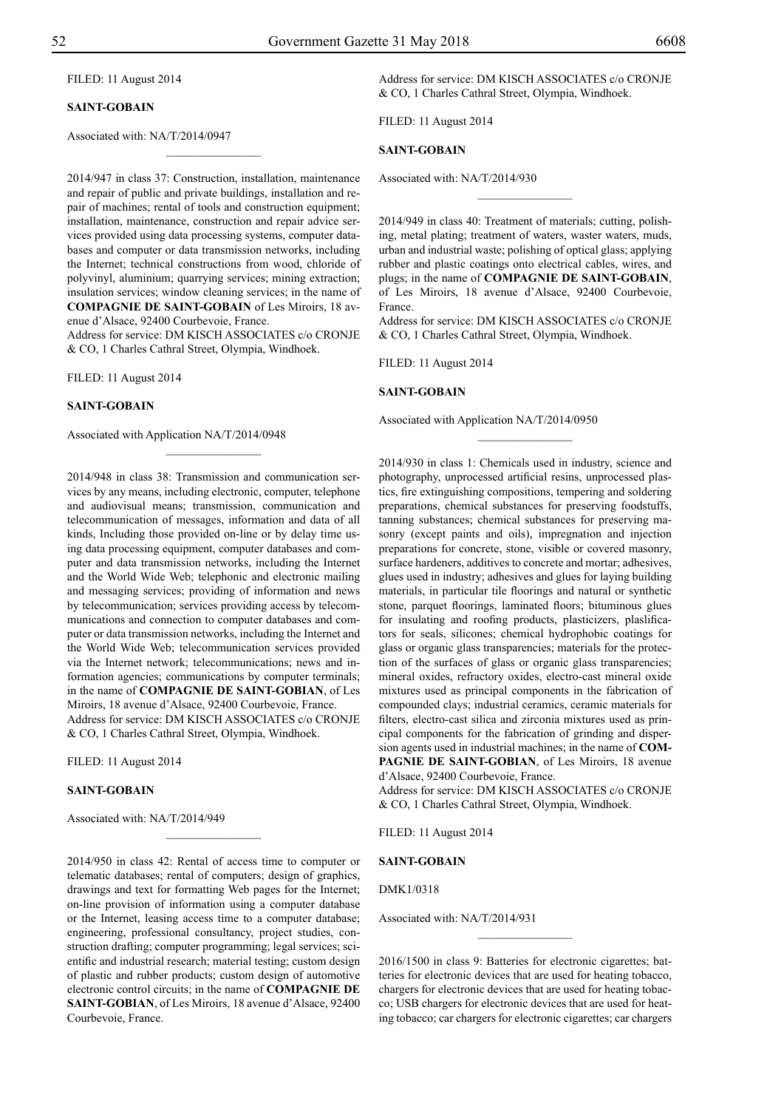FILED: 11 August 2014

#### **SAINT-GOBAIN**

Associated with: NA/T/2014/0947

2014/947 in class 37: Construction, installation, maintenance and repair of public and private buildings, installation and repair of machines; rental of tools and construction equipment; installation, maintenance, construction and repair advice services provided using data processing systems, computer databases and computer or data transmission networks, including the Internet; technical constructions from wood, chloride of polyvinyl, aluminium; quarrying services; mining extraction; insulation services; window cleaning services; in the name of **COMPAGNIE DE SAINT-GOBAIN** of Les Miroirs, 18 avenue d'Alsace, 92400 Courbevoie, France. Address for service: DM KISCH ASSOCIATES c/o CRONJE

 $\frac{1}{2}$ 

& Co, 1 Charles Cathral Street, Olympia, Windhoek.

Filed: 11 August 2014

#### **SAINT-GOBAIN**

Associated with Application NA/T/2014/0948

2014/948 in class 38: Transmission and communication services by any means, including electronic, computer, telephone and audiovisual means; transmission, communication and telecommunication of messages, information and data of all kinds, Including those provided on-line or by delay time using data processing equipment, computer databases and computer and data transmission networks, including the Internet and the World Wide Web; telephonic and electronic mailing and messaging services; providing of information and news by telecommunication; services providing access by telecommunications and connection to computer databases and computer or data transmission networks, including the Internet and the World Wide Web; telecommunication services provided via the Internet network; telecommunications; news and information agencies; communications by computer terminals; in the name of **COMPAGNIE DE SAINT-GOBIAN**, of Les Miroirs, 18 avenue d'Alsace, 92400 Courbevoie, France. Address for service: DM KISCH ASSOCIATES c/o CRONJE & Co, 1 Charles Cathral Street, Olympia, Windhoek.

Filed: 11 August 2014

#### **SAINT-GOBAIN**

Associated with: NA/T/2014/949

2014/950 in class 42: Rental of access time to computer or telematic databases; rental of computers; design of graphics, drawings and text for formatting Web pages for the Internet; on-line provision of information using a computer database or the Internet, leasing access time to a computer database; engineering, professional consultancy, project studies, construction drafting; computer programming; legal services; scientific and industrial research; material testing; custom design of plastic and rubber products; custom design of automotive electronic control circuits; in the name of **COMPAGNIE DE SAINT-GOBIAN**, of Les Miroirs, 18 avenue d'Alsace, 92400 Courbevoie, France.

 $\frac{1}{2}$ 

Address for service: DM KISCH ASSOCIATES c/o CRONJE & Co, 1 Charles Cathral Street, Olympia, Windhoek.

Filed: 11 August 2014

#### **SAINT-GOBAIN**

Associated with: NA/T/2014/930

2014/949 in class 40: Treatment of materials; cutting, polishing, metal plating; treatment of waters, waster waters, muds, urban and industrial waste; polishing of optical glass; applying rubber and plastic coatings onto electrical cables, wires, and plugs; in the name of **COMPAGNIE DE SAINT-GOBAIN**, of Les Miroirs, 18 avenue d'Alsace, 92400 Courbevoie, France.

 $\overline{\phantom{a}}$  , where  $\overline{\phantom{a}}$ 

Address for service: DM KISCH ASSOCIATES c/o CRONJE & Co, 1 Charles Cathral Street, Olympia, Windhoek.

 $\frac{1}{2}$ 

Filed: 11 August 2014

#### **SAINT-GOBAIN**

Associated with Application NA/T/2014/0950

2014/930 in class 1: Chemicals used in industry, science and photography, unprocessed artificial resins, unprocessed plastics, fire extinguishing compositions, tempering and soldering preparations, chemical substances for preserving foodstuffs, tanning substances; chemical substances for preserving masonry (except paints and oils), impregnation and injection preparations for concrete, stone, visible or covered masonry, surface hardeners, additives to concrete and mortar; adhesives, glues used in industry; adhesives and glues for laying building materials, in particular tile floorings and natural or synthetic stone, parquet floorings, laminated floors; bituminous glues for insulating and roofing products, plasticizers, plaslificators for seals, silicones; chemical hydrophobic coatings for glass or organic glass transparencies; materials for the protection of the surfaces of glass or organic glass transparencies; mineral oxides, refractory oxides, electro-cast mineral oxide mixtures used as principal components in the fabrication of compounded clays; industrial ceramics, ceramic materials for filters, electro-cast silica and zirconia mixtures used as principal components for the fabrication of grinding and dispersion agents used in industrial machines; in the name of **COM-PAGNIE DE SAINT-GOBIAN**, of Les Miroirs, 18 avenue d'Alsace, 92400 Courbevoie, France.

Address for service: DM KISCH ASSOCIATES c/o CRONJE & Co, 1 Charles Cathral Street, Olympia, Windhoek.

Filed: 11 August 2014

#### **SAINT-GOBAIN**

DMK1/0318

Associated with: NA/T/2014/931

2016/1500 in class 9: Batteries for electronic cigarettes; batteries for electronic devices that are used for heating tobacco, chargers for electronic devices that are used for heating tobacco; USB chargers for electronic devices that are used for heating tobacco; car chargers for electronic cigarettes; car chargers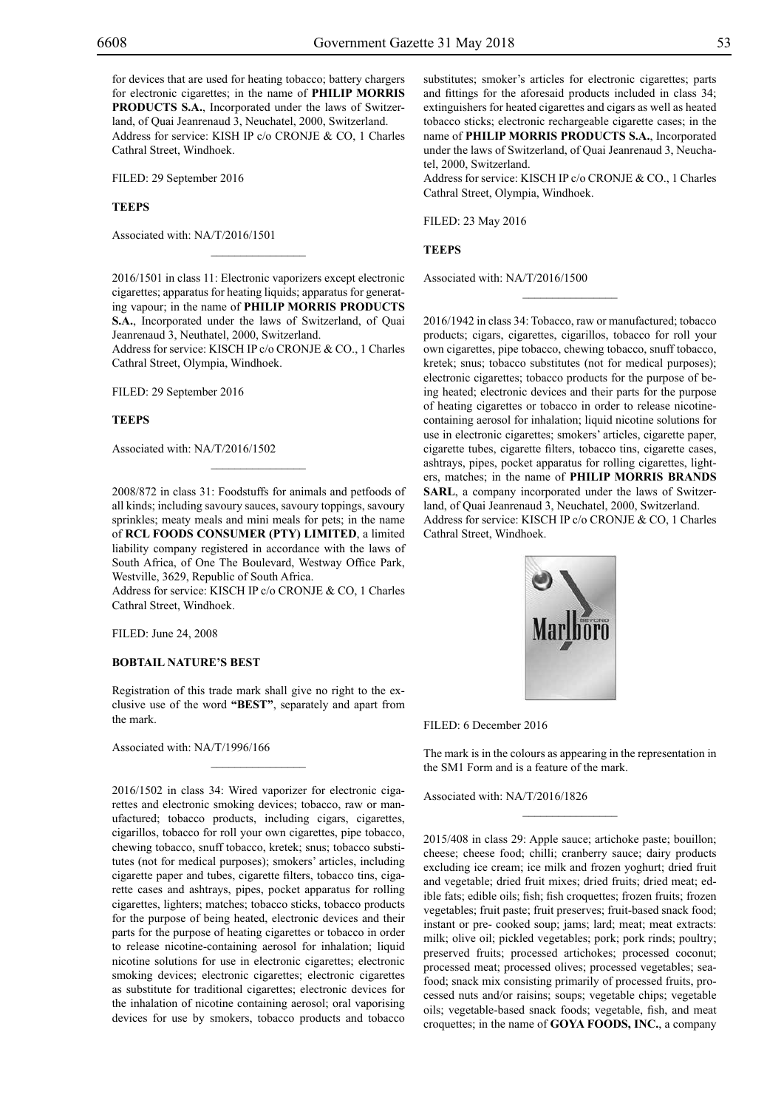for devices that are used for heating tobacco; battery chargers for electronic cigarettes; in the name of **PHILIP MORRIS PRODUCTS S.A.**, Incorporated under the laws of Switzerland, of Quai Jeanrenaud 3, Neuchatel, 2000, Switzerland. Address for service: KISH IP c/o CRONJE & CO, 1 Charles Cathral Street, Windhoek.

FILED: 29 September 2016

#### **TEEPS**

Associated with: NA/T/2016/1501

2016/1501 in class 11: Electronic vaporizers except electronic cigarettes; apparatus for heating liquids; apparatus for generating vapour; in the name of **PHILIP MORRIS PRODUCTS S.A.**, Incorporated under the laws of Switzerland, of Quai Jeanrenaud 3, Neuthatel, 2000, Switzerland.

 $\mathcal{L}=\mathcal{L}^{\mathcal{L}}$ 

Address for service: KISCH IP c/o CRONJE & CO., 1 Charles Cathral Street, Olympia, Windhoek.

FILED: 29 September 2016

#### **TEEPS**

Associated with: NA/T/2016/1502

2008/872 in class 31: Foodstuffs for animals and petfoods of all kinds; including savoury sauces, savoury toppings, savoury sprinkles; meaty meals and mini meals for pets; in the name of **RCL FOODS CONSUMER (PTY) LIMITED**, a limited liability company registered in accordance with the laws of South Africa, of One The Boulevard, Westway Office Park, Westville, 3629, Republic of South Africa.

 $\mathcal{L}=\mathcal{L}^{\mathcal{L}}$ 

Address for service: KISCH IP c/o CRONJE & CO, 1 Charles Cathral Street, Windhoek.

Filed: June 24, 2008

#### **BOBTAIL NATURE'S BEST**

Registration of this trade mark shall give no right to the exclusive use of the word **"BEST"**, separately and apart from the mark.

 $\mathcal{L}=\mathcal{L}^{\mathcal{L}}$ 

Associated with: NA/T/1996/166

2016/1502 in class 34: Wired vaporizer for electronic cigarettes and electronic smoking devices; tobacco, raw or manufactured; tobacco products, including cigars, cigarettes, cigarillos, tobacco for roll your own cigarettes, pipe tobacco, chewing tobacco, snuff tobacco, kretek; snus; tobacco substitutes (not for medical purposes); smokers' articles, including cigarette paper and tubes, cigarette filters, tobacco tins, cigarette cases and ashtrays, pipes, pocket apparatus for rolling cigarettes, lighters; matches; tobacco sticks, tobacco products for the purpose of being heated, electronic devices and their parts for the purpose of heating cigarettes or tobacco in order to release nicotine-containing aerosol for inhalation; liquid nicotine solutions for use in electronic cigarettes; electronic smoking devices; electronic cigarettes; electronic cigarettes as substitute for traditional cigarettes; electronic devices for the inhalation of nicotine containing aerosol; oral vaporising devices for use by smokers, tobacco products and tobacco substitutes; smoker's articles for electronic cigarettes; parts and fittings for the aforesaid products included in class 34; extinguishers for heated cigarettes and cigars as well as heated tobacco sticks; electronic rechargeable cigarette cases; in the name of **PHILIP MORRIS PRODUCTS S.A.**, Incorporated under the laws of Switzerland, of Quai Jeanrenaud 3, Neuchatel, 2000, Switzerland.

Address for service: KISCH IP c/o CRONJE & CO., 1 Charles Cathral Street, Olympia, Windhoek.

 $\frac{1}{2}$ 

Filed: 23 May 2016

**TEEPS**

Associated with: NA/T/2016/1500

2016/1942 in class 34: Tobacco, raw or manufactured; tobacco products; cigars, cigarettes, cigarillos, tobacco for roll your own cigarettes, pipe tobacco, chewing tobacco, snuff tobacco, kretek; snus; tobacco substitutes (not for medical purposes); electronic cigarettes; tobacco products for the purpose of being heated; electronic devices and their parts for the purpose of heating cigarettes or tobacco in order to release nicotinecontaining aerosol for inhalation; liquid nicotine solutions for use in electronic cigarettes; smokers' articles, cigarette paper, cigarette tubes, cigarette filters, tobacco tins, cigarette cases, ashtrays, pipes, pocket apparatus for rolling cigarettes, lighters, matches; in the name of **PHILIP MORRIS BRANDS SARL**, a company incorporated under the laws of Switzerland, of Quai Jeanrenaud 3, Neuchatel, 2000, Switzerland. Address for service: KISCH IP c/o CRONJE & CO, 1 Charles Cathral Street, Windhoek.



#### Filed: 6 December 2016

The mark is in the colours as appearing in the representation in the SM1 Form and is a feature of the mark.

 $\frac{1}{2}$ 

Associated with: NA/T/2016/1826

2015/408 in class 29: Apple sauce; artichoke paste; bouillon; cheese; cheese food; chilli; cranberry sauce; dairy products excluding ice cream; ice milk and frozen yoghurt; dried fruit and vegetable; dried fruit mixes; dried fruits; dried meat; edible fats; edible oils; fish; fish croquettes; frozen fruits; frozen vegetables; fruit paste; fruit preserves; fruit-based snack food; instant or pre- cooked soup; jams; lard; meat; meat extracts: milk; olive oil; pickled vegetables; pork; pork rinds; poultry; preserved fruits; processed artichokes; processed coconut; processed meat; processed olives; processed vegetables; seafood; snack mix consisting primarily of processed fruits, processed nuts and/or raisins; soups; vegetable chips; vegetable oils; vegetable-based snack foods; vegetable, fish, and meat croquettes; in the name of **GOYA FOODS, INC.**, a company